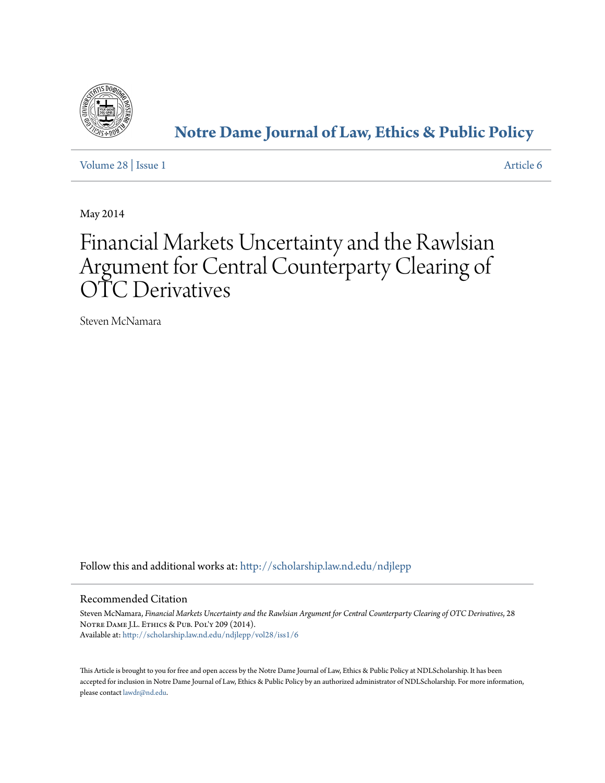

# **[Notre Dame Journal of Law, Ethics & Public Policy](http://scholarship.law.nd.edu/ndjlepp?utm_source=scholarship.law.nd.edu%2Fndjlepp%2Fvol28%2Fiss1%2F6&utm_medium=PDF&utm_campaign=PDFCoverPages)**

[Volume 28](http://scholarship.law.nd.edu/ndjlepp/vol28?utm_source=scholarship.law.nd.edu%2Fndjlepp%2Fvol28%2Fiss1%2F6&utm_medium=PDF&utm_campaign=PDFCoverPages) | [Issue 1](http://scholarship.law.nd.edu/ndjlepp/vol28/iss1?utm_source=scholarship.law.nd.edu%2Fndjlepp%2Fvol28%2Fiss1%2F6&utm_medium=PDF&utm_campaign=PDFCoverPages) [Article 6](http://scholarship.law.nd.edu/ndjlepp/vol28/iss1/6?utm_source=scholarship.law.nd.edu%2Fndjlepp%2Fvol28%2Fiss1%2F6&utm_medium=PDF&utm_campaign=PDFCoverPages)

May 2014

# Financial Markets Uncertainty and the Rawlsian Argument for Central Counterparty Clearing of OTC Derivatives

Steven McNamara

Follow this and additional works at: [http://scholarship.law.nd.edu/ndjlepp](http://scholarship.law.nd.edu/ndjlepp?utm_source=scholarship.law.nd.edu%2Fndjlepp%2Fvol28%2Fiss1%2F6&utm_medium=PDF&utm_campaign=PDFCoverPages)

# Recommended Citation

Steven McNamara, *Financial Markets Uncertainty and the Rawlsian Argument for Central Counterparty Clearing of OTC Derivatives*, 28 NOTRE DAME J.L. ETHICS & PUB. POL'Y 209 (2014). Available at: [http://scholarship.law.nd.edu/ndjlepp/vol28/iss1/6](http://scholarship.law.nd.edu/ndjlepp/vol28/iss1/6?utm_source=scholarship.law.nd.edu%2Fndjlepp%2Fvol28%2Fiss1%2F6&utm_medium=PDF&utm_campaign=PDFCoverPages)

This Article is brought to you for free and open access by the Notre Dame Journal of Law, Ethics & Public Policy at NDLScholarship. It has been accepted for inclusion in Notre Dame Journal of Law, Ethics & Public Policy by an authorized administrator of NDLScholarship. For more information, please contact [lawdr@nd.edu](mailto:lawdr@nd.edu).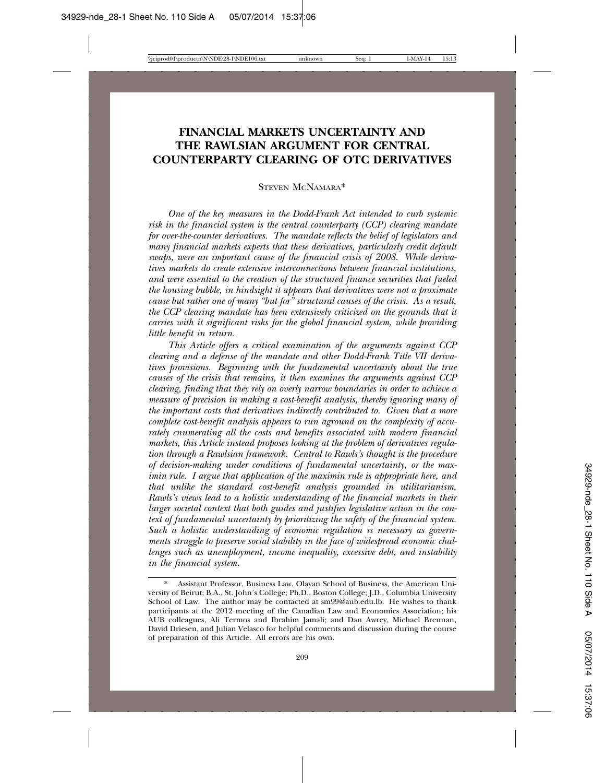# **FINANCIAL MARKETS UNCERTAINTY AND THE RAWLSIAN ARGUMENT FOR CENTRAL COUNTERPARTY CLEARING OF OTC DERIVATIVES**

STEVEN MCNAMARA\*

*One of the key measures in the Dodd-Frank Act intended to curb systemic risk in the financial system is the central counterparty (CCP) clearing mandate for over-the-counter derivatives. The mandate reflects the belief of legislators and many financial markets experts that these derivatives, particularly credit default swaps, were an important cause of the financial crisis of 2008. While derivatives markets do create extensive interconnections between financial institutions, and were essential to the creation of the structured finance securities that fueled the housing bubble, in hindsight it appears that derivatives were not a proximate cause but rather one of many "but for" structural causes of the crisis. As a result, the CCP clearing mandate has been extensively criticized on the grounds that it carries with it significant risks for the global financial system, while providing little benefit in return.*

*This Article offers a critical examination of the arguments against CCP clearing and a defense of the mandate and other Dodd-Frank Title VII derivatives provisions. Beginning with the fundamental uncertainty about the true causes of the crisis that remains, it then examines the arguments against CCP clearing, finding that they rely on overly narrow boundaries in order to achieve a measure of precision in making a cost-benefit analysis, thereby ignoring many of the important costs that derivatives indirectly contributed to. Given that a more complete cost-benefit analysis appears to run aground on the complexity of accurately enumerating all the costs and benefits associated with modern financial markets, this Article instead proposes looking at the problem of derivatives regulation through a Rawlsian framework. Central to Rawls's thought is the procedure of decision-making under conditions of fundamental uncertainty, or the maximin rule. I argue that application of the maximin rule is appropriate here, and that unlike the standard cost-benefit analysis grounded in utilitarianism, Rawls's views lead to a holistic understanding of the financial markets in their larger societal context that both guides and justifies legislative action in the context of fundamental uncertainty by prioritizing the safety of the financial system. Such a holistic understanding of economic regulation is necessary as governments struggle to preserve social stability in the face of widespread economic challenges such as unemployment, income inequality, excessive debt, and instability in the financial system.*

<sup>\*</sup> Assistant Professor, Business Law, Olayan School of Business, the American University of Beirut; B.A., St. John's College; Ph.D., Boston College; J.D., Columbia University School of Law. The author may be contacted at sm99@aub.edu.lb. He wishes to thank participants at the 2012 meeting of the Canadian Law and Economics Association; his AUB colleagues, Ali Termos and Ibrahim Jamali; and Dan Awrey, Michael Brennan, David Driesen, and Julian Velasco for helpful comments and discussion during the course of preparation of this Article. All errors are his own.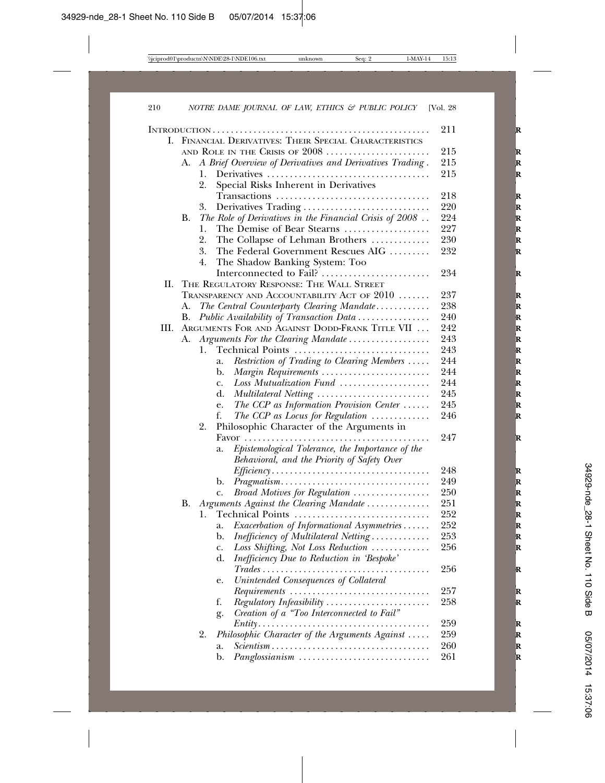|    |           |                                                                                         | 211 |
|----|-----------|-----------------------------------------------------------------------------------------|-----|
| L. |           | FINANCIAL DERIVATIVES: THEIR SPECIAL CHARACTERISTICS                                    |     |
|    |           | AND ROLE IN THE CRISIS OF 2008                                                          | 215 |
|    | А.        | A Brief Overview of Derivatives and Derivatives Trading.                                | 215 |
|    |           | 1.                                                                                      | 215 |
|    |           | Special Risks Inherent in Derivatives<br>2.                                             |     |
|    |           | Transactions                                                                            | 218 |
|    |           | Derivatives Trading<br>3.                                                               | 220 |
|    | В.        | The Role of Derivatives in the Financial Crisis of $2008$                               | 224 |
|    |           | The Demise of Bear Stearns<br>1.                                                        | 227 |
|    |           | 2.<br>The Collapse of Lehman Brothers                                                   | 230 |
|    |           | 3.<br>The Federal Government Rescues AIG                                                | 232 |
|    |           | 4.<br>The Shadow Banking System: Too                                                    |     |
|    |           | Interconnected to Fail?                                                                 | 234 |
| П. |           | THE REGULATORY RESPONSE: THE WALL STREET                                                |     |
|    |           | TRANSPARENCY AND ACCOUNTABILITY ACT OF $2010$                                           | 237 |
|    | А.        | The Central Counterparty Clearing Mandate                                               | 238 |
|    | В.        | Public Availability of Transaction Data                                                 | 240 |
| Ш. |           | ARGUMENTS FOR AND AGAINST DODD-FRANK TITLE VII                                          | 242 |
|    | А.        | Arguments For the Clearing Mandate                                                      | 243 |
|    |           | Technical Points<br>1.                                                                  | 243 |
|    |           | Restriction of Trading to Clearing Members<br>a.                                        | 244 |
|    |           | Margin Requirements<br>b.                                                               | 244 |
|    |           | Loss Mutualization Fund<br>c.                                                           | 244 |
|    |           | d.<br>Multilateral Netting                                                              | 245 |
|    |           | The CCP as Information Provision Center<br>e.                                           | 245 |
|    |           | f.<br>The CCP as Locus for Regulation $\ldots \ldots \ldots$                            | 246 |
|    |           | 2.<br>Philosophic Character of the Arguments in                                         |     |
|    |           |                                                                                         | 247 |
|    |           | Epistemological Tolerance, the Importance of the<br>a.                                  |     |
|    |           | Behavioral, and the Priority of Safety Over                                             |     |
|    |           | $Efficiency \ldots \ldots \ldots \ldots \ldots \ldots \ldots \ldots \ldots \ldots$      | 248 |
|    |           | b.                                                                                      | 249 |
|    |           | Broad Motives for Regulation<br>c.                                                      | 250 |
|    | <b>B.</b> | Arguments Against the Clearing Mandate                                                  | 251 |
|    |           | Technical Points<br>1.                                                                  | 252 |
|    |           | Exacerbation of Informational Asymmetries<br>a.                                         | 252 |
|    |           | Inefficiency of Multilateral Netting<br>b.                                              | 253 |
|    |           | Loss Shifting, Not Loss Reduction<br>c.                                                 | 256 |
|    |           | Inefficiency Due to Reduction in 'Bespoke'<br>d.                                        |     |
|    |           | $\mathsf{Trades}\ldots\ldots\ldots\ldots\ldots$                                         | 256 |
|    |           | Unintended Consequences of Collateral<br>e.                                             |     |
|    |           | $Requirements \dots \dots \dots \dots \dots \dots \dots \dots \dots \dots \dots$        | 257 |
|    |           | f.<br>Regulatory Infeasibility                                                          | 258 |
|    |           | Creation of a "Too Interconnected to Fail"<br>g.                                        |     |
|    |           | $Entity \ldots \ldots \ldots \ldots \ldots \ldots \ldots \ldots \ldots \ldots \ldots$   | 259 |
|    |           | Philosophic Character of the Arguments Against<br>2.                                    | 259 |
|    |           | $Scientism \ldots \ldots \ldots \ldots \ldots \ldots \ldots \ldots \ldots \ldots$<br>a. | 260 |
|    |           | Panglossianism<br>b.                                                                    | 261 |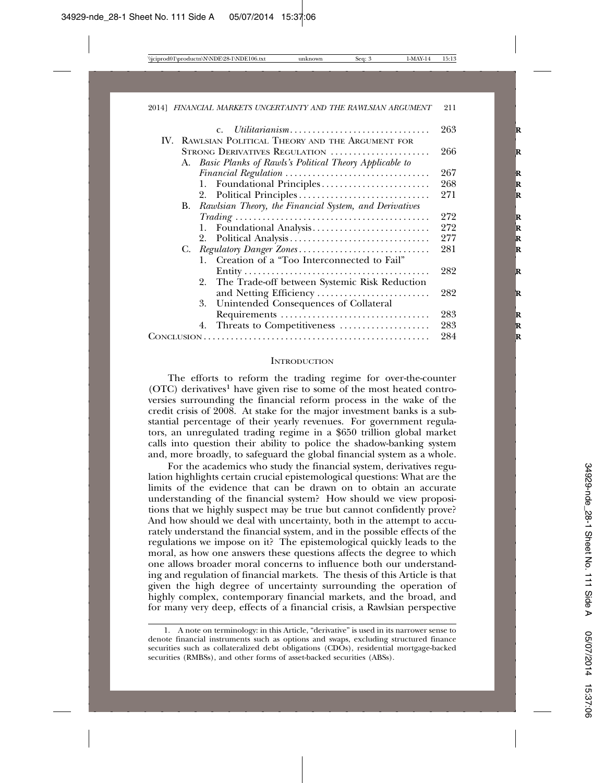|  | Utilitarianism<br>$C_{\rm{L}}$                            | 263 |
|--|-----------------------------------------------------------|-----|
|  | IV. RAWLSIAN POLITICAL THEORY AND THE ARGUMENT FOR        |     |
|  | STRONG DERIVATIVES REGULATION                             | 266 |
|  | A. Basic Planks of Rawls's Political Theory Applicable to |     |
|  |                                                           | 267 |
|  |                                                           | 268 |
|  |                                                           | 271 |
|  | B. Rawlsian Theory, the Financial System, and Derivatives |     |
|  |                                                           | 272 |
|  |                                                           | 272 |
|  |                                                           | 277 |
|  | C. Regulatory Danger Zones                                | 281 |
|  | Creation of a "Too Interconnected to Fail"<br>1.          |     |
|  |                                                           | 282 |
|  | 2. The Trade-off between Systemic Risk Reduction          |     |
|  | and Netting Efficiency                                    | 282 |
|  | 3. Unintended Consequences of Collateral                  |     |
|  |                                                           | 283 |
|  | Threats to Competitiveness<br>4.                          | 283 |
|  | 284                                                       |     |
|  |                                                           |     |

#### **INTRODUCTION**

The efforts to reform the trading regime for over-the-counter  $(OTC)$  derivatives<sup>1</sup> have given rise to some of the most heated controversies surrounding the financial reform process in the wake of the credit crisis of 2008. At stake for the major investment banks is a substantial percentage of their yearly revenues. For government regulators, an unregulated trading regime in a \$650 trillion global market calls into question their ability to police the shadow-banking system and, more broadly, to safeguard the global financial system as a whole.

For the academics who study the financial system, derivatives regulation highlights certain crucial epistemological questions: What are the limits of the evidence that can be drawn on to obtain an accurate understanding of the financial system? How should we view propositions that we highly suspect may be true but cannot confidently prove? And how should we deal with uncertainty, both in the attempt to accurately understand the financial system, and in the possible effects of the regulations we impose on it? The epistemological quickly leads to the moral, as how one answers these questions affects the degree to which one allows broader moral concerns to influence both our understanding and regulation of financial markets. The thesis of this Article is that given the high degree of uncertainty surrounding the operation of highly complex, contemporary financial markets, and the broad, and for many very deep, effects of a financial crisis, a Rawlsian perspective

<sup>1.</sup> A note on terminology: in this Article, "derivative" is used in its narrower sense to denote financial instruments such as options and swaps, excluding structured finance securities such as collateralized debt obligations (CDOs), residential mortgage-backed securities (RMBSs), and other forms of asset-backed securities (ABSs).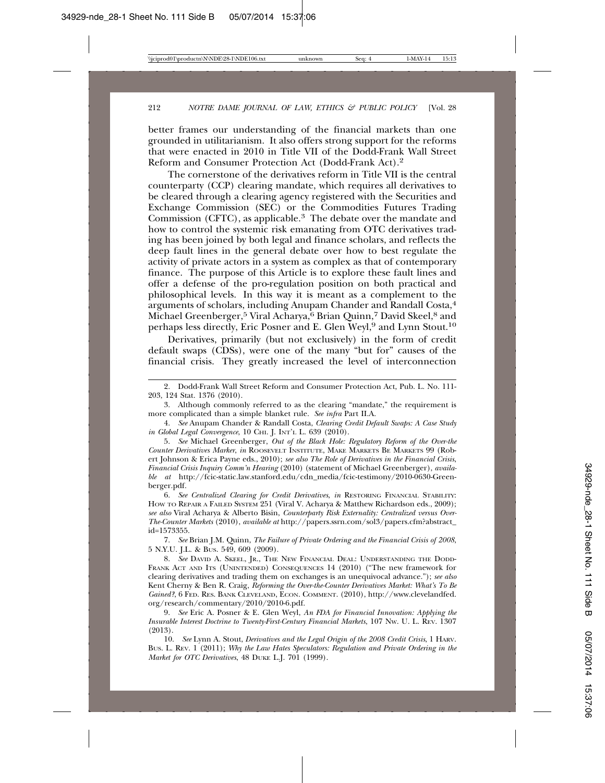better frames our understanding of the financial markets than one grounded in utilitarianism. It also offers strong support for the reforms that were enacted in 2010 in Title VII of the Dodd-Frank Wall Street Reform and Consumer Protection Act (Dodd-Frank Act).2

The cornerstone of the derivatives reform in Title VII is the central counterparty (CCP) clearing mandate, which requires all derivatives to be cleared through a clearing agency registered with the Securities and Exchange Commission (SEC) or the Commodities Futures Trading Commission (CFTC), as applicable.<sup>3</sup> The debate over the mandate and how to control the systemic risk emanating from OTC derivatives trading has been joined by both legal and finance scholars, and reflects the deep fault lines in the general debate over how to best regulate the activity of private actors in a system as complex as that of contemporary finance. The purpose of this Article is to explore these fault lines and offer a defense of the pro-regulation position on both practical and philosophical levels. In this way it is meant as a complement to the arguments of scholars, including Anupam Chander and Randall Costa,4 Michael Greenberger,<sup>5</sup> Viral Acharya,<sup>6</sup> Brian Quinn,<sup>7</sup> David Skeel,<sup>8</sup> and perhaps less directly, Eric Posner and E. Glen Weyl,<sup>9</sup> and Lynn Stout.<sup>10</sup>

Derivatives, primarily (but not exclusively) in the form of credit default swaps (CDSs), were one of the many "but for" causes of the financial crisis. They greatly increased the level of interconnection

3. Although commonly referred to as the clearing "mandate," the requirement is more complicated than a simple blanket rule. *See infra* Part II.A.

4. *See* Anupam Chander & Randall Costa, *Clearing Credit Default Swaps: A Case Study in Global Legal Convergence*, 10 CHI. J. INT'L L. 639 (2010).

5. *See* Michael Greenberger, *Out of the Black Hole: Regulatory Reform of the Over-the Counter Derivatives Marker*, *in* ROOSEVELT INSTITUTE, MAKE MARKETS BE MARKETS 99 (Robert Johnson & Erica Payne eds., 2010); *see also The Role of Derivatives in the Financial Crisis*, *Financial Crisis Inquiry Comm'n Hearing* (2010) (statement of Michael Greenberger), *available at* http://fcic-static.law.stanford.edu/cdn\_media/fcic-testimony/2010-0630-Greenberger.pdf.

6. *See Centralized Clearing for Credit Derivatives*, *in* RESTORING FINANCIAL STABILITY: HOW TO REPAIR A FAILED SYSTEM 251 (Viral V. Acharya & Matthew Richardson eds., 2009); *see also* Viral Acharya & Alberto Bisin, *Counterparty Risk Externality: Centralized versus Over-The-Counter Markets* (2010), *available at* http://papers.ssrn.com/sol3/papers.cfm?abstract\_ id=1573355.

7. *See* Brian J.M. Quinn, *The Failure of Private Ordering and the Financial Crisis of 2008*, 5 N.Y.U. J.L. & BUS. 549, 609 (2009).

8. *See* DAVID A. SKEEL, JR., THE NEW FINANCIAL DEAL: UNDERSTANDING THE DODD-FRANK ACT AND ITS (UNINTENDED) CONSEQUENCES 14 (2010) ("The new framework for clearing derivatives and trading them on exchanges is an unequivocal advance."); *see also* Kent Cherny & Ben R. Craig, *Reforming the Over-the-Counter Derivatives Market: What's To Be Gained?*, 6 FED. RES. BANK CLEVELAND, ECON. COMMENT. (2010), http://www.clevelandfed. org/research/commentary/2010/2010-6.pdf.

9. *See* Eric A. Posner & E. Glen Weyl, *An FDA for Financial Innovation: Applying the Insurable Interest Doctrine to Twenty-First-Century Financial Markets*, 107 NW. U. L. REV. 1307 (2013).

10. *See* Lynn A. Stout, *Derivatives and the Legal Origin of the 2008 Credit Crisis*, 1 HARV. BUS. L. REV. 1 (2011); *Why the Law Hates Speculators: Regulation and Private Ordering in the Market for OTC Derivatives*, 48 DUKE L.J. 701 (1999).

<sup>2.</sup> Dodd-Frank Wall Street Reform and Consumer Protection Act, Pub. L. No. 111- 203, 124 Stat. 1376 (2010).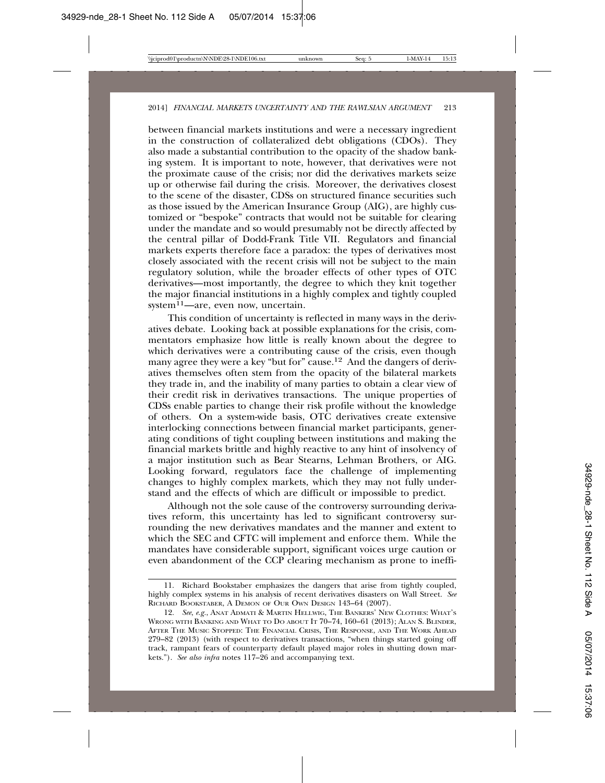between financial markets institutions and were a necessary ingredient in the construction of collateralized debt obligations  $(C\overline{D}Os)$ . They also made a substantial contribution to the opacity of the shadow banking system. It is important to note, however, that derivatives were not the proximate cause of the crisis; nor did the derivatives markets seize up or otherwise fail during the crisis. Moreover, the derivatives closest to the scene of the disaster, CDSs on structured finance securities such as those issued by the American Insurance Group (AIG), are highly customized or "bespoke" contracts that would not be suitable for clearing under the mandate and so would presumably not be directly affected by the central pillar of Dodd-Frank Title VII. Regulators and financial markets experts therefore face a paradox: the types of derivatives most closely associated with the recent crisis will not be subject to the main regulatory solution, while the broader effects of other types of OTC derivatives—most importantly, the degree to which they knit together the major financial institutions in a highly complex and tightly coupled system $^{11}$ —are, even now, uncertain.

This condition of uncertainty is reflected in many ways in the derivatives debate. Looking back at possible explanations for the crisis, commentators emphasize how little is really known about the degree to which derivatives were a contributing cause of the crisis, even though many agree they were a key "but for" cause.<sup>12</sup> And the dangers of derivatives themselves often stem from the opacity of the bilateral markets they trade in, and the inability of many parties to obtain a clear view of their credit risk in derivatives transactions. The unique properties of CDSs enable parties to change their risk profile without the knowledge of others. On a system-wide basis, OTC derivatives create extensive interlocking connections between financial market participants, generating conditions of tight coupling between institutions and making the financial markets brittle and highly reactive to any hint of insolvency of a major institution such as Bear Stearns, Lehman Brothers, or AIG. Looking forward, regulators face the challenge of implementing changes to highly complex markets, which they may not fully understand and the effects of which are difficult or impossible to predict.

Although not the sole cause of the controversy surrounding derivatives reform, this uncertainty has led to significant controversy surrounding the new derivatives mandates and the manner and extent to which the SEC and CFTC will implement and enforce them. While the mandates have considerable support, significant voices urge caution or even abandonment of the CCP clearing mechanism as prone to ineffi-

<sup>11.</sup> Richard Bookstaber emphasizes the dangers that arise from tightly coupled, highly complex systems in his analysis of recent derivatives disasters on Wall Street. *See* RICHARD BOOKSTABER, A DEMON OF OUR OWN DESIGN 143–64 (2007).

<sup>12.</sup> *See*, *e.g.*, ANAT ADMATI & MARTIN HELLWIG, THE BANKERS' NEW CLOTHES: WHAT'S WRONG WITH BANKING AND WHAT TO DO ABOUT IT 70–74, 160–61 (2013); ALAN S. BLINDER, AFTER THE MUSIC STOPPED: THE FINANCIAL CRISIS, THE RESPONSE, AND THE WORK AHEAD 279–82 (2013) (with respect to derivatives transactions, "when things started going off track, rampant fears of counterparty default played major roles in shutting down markets."). *See also infra* notes 117–26 and accompanying text.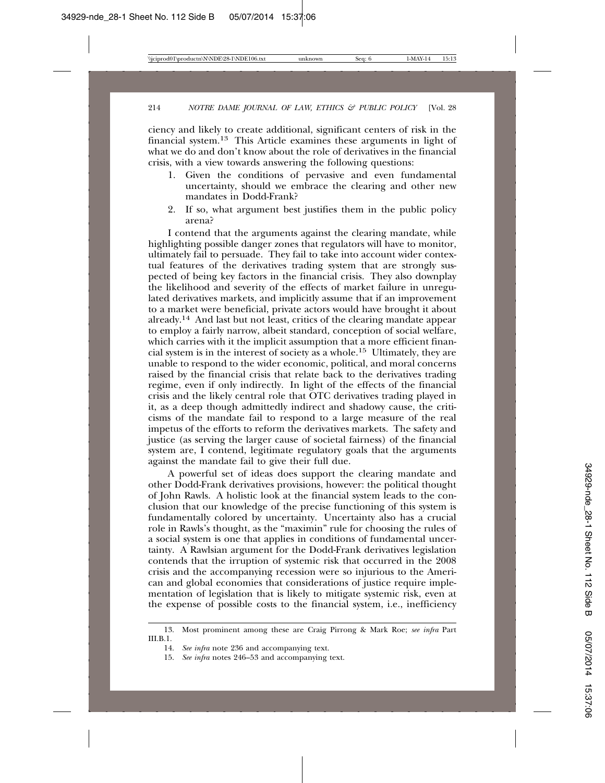ciency and likely to create additional, significant centers of risk in the financial system.13 This Article examines these arguments in light of what we do and don't know about the role of derivatives in the financial crisis, with a view towards answering the following questions:

- 1. Given the conditions of pervasive and even fundamental uncertainty, should we embrace the clearing and other new mandates in Dodd-Frank?
- 2. If so, what argument best justifies them in the public policy arena?

I contend that the arguments against the clearing mandate, while highlighting possible danger zones that regulators will have to monitor, ultimately fail to persuade. They fail to take into account wider contextual features of the derivatives trading system that are strongly suspected of being key factors in the financial crisis. They also downplay the likelihood and severity of the effects of market failure in unregulated derivatives markets, and implicitly assume that if an improvement to a market were beneficial, private actors would have brought it about already.14 And last but not least, critics of the clearing mandate appear to employ a fairly narrow, albeit standard, conception of social welfare, which carries with it the implicit assumption that a more efficient financial system is in the interest of society as a whole.15 Ultimately, they are unable to respond to the wider economic, political, and moral concerns raised by the financial crisis that relate back to the derivatives trading regime, even if only indirectly. In light of the effects of the financial crisis and the likely central role that OTC derivatives trading played in it, as a deep though admittedly indirect and shadowy cause, the criticisms of the mandate fail to respond to a large measure of the real impetus of the efforts to reform the derivatives markets. The safety and justice (as serving the larger cause of societal fairness) of the financial system are, I contend, legitimate regulatory goals that the arguments against the mandate fail to give their full due.

A powerful set of ideas does support the clearing mandate and other Dodd-Frank derivatives provisions, however: the political thought of John Rawls. A holistic look at the financial system leads to the conclusion that our knowledge of the precise functioning of this system is fundamentally colored by uncertainty. Uncertainty also has a crucial role in Rawls's thought, as the "maximin" rule for choosing the rules of a social system is one that applies in conditions of fundamental uncertainty. A Rawlsian argument for the Dodd-Frank derivatives legislation contends that the irruption of systemic risk that occurred in the 2008 crisis and the accompanying recession were so injurious to the American and global economies that considerations of justice require implementation of legislation that is likely to mitigate systemic risk, even at the expense of possible costs to the financial system, i.e., inefficiency

<sup>13.</sup> Most prominent among these are Craig Pirrong & Mark Roe; *see infra* Part III.B.1.

<sup>14.</sup> *See infra* note 236 and accompanying text.

<sup>15.</sup> *See infra* notes 246–53 and accompanying text.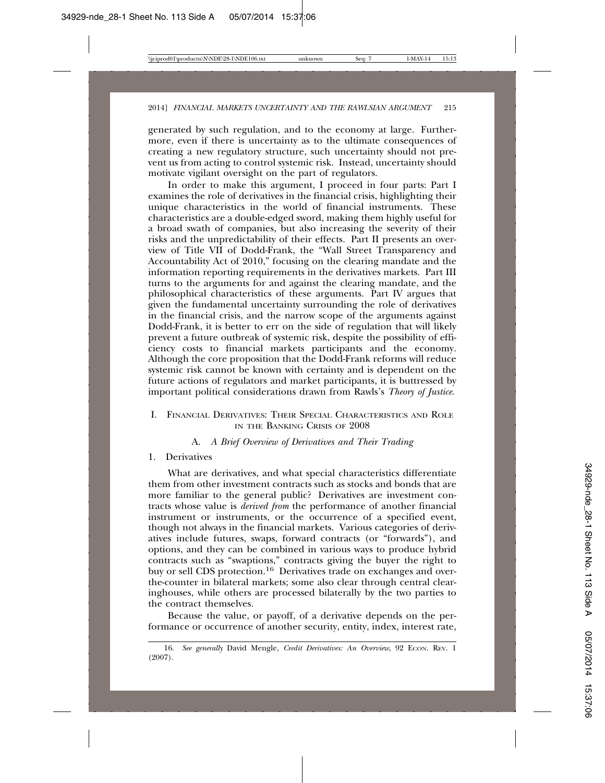generated by such regulation, and to the economy at large. Furthermore, even if there is uncertainty as to the ultimate consequences of creating a new regulatory structure, such uncertainty should not prevent us from acting to control systemic risk. Instead, uncertainty should motivate vigilant oversight on the part of regulators.

In order to make this argument, I proceed in four parts: Part I examines the role of derivatives in the financial crisis, highlighting their unique characteristics in the world of financial instruments. These characteristics are a double-edged sword, making them highly useful for a broad swath of companies, but also increasing the severity of their risks and the unpredictability of their effects. Part II presents an overview of Title VII of Dodd-Frank, the "Wall Street Transparency and Accountability Act of 2010," focusing on the clearing mandate and the information reporting requirements in the derivatives markets. Part III turns to the arguments for and against the clearing mandate, and the philosophical characteristics of these arguments. Part IV argues that given the fundamental uncertainty surrounding the role of derivatives in the financial crisis, and the narrow scope of the arguments against Dodd-Frank, it is better to err on the side of regulation that will likely prevent a future outbreak of systemic risk, despite the possibility of efficiency costs to financial markets participants and the economy. Although the core proposition that the Dodd-Frank reforms will reduce systemic risk cannot be known with certainty and is dependent on the future actions of regulators and market participants, it is buttressed by important political considerations drawn from Rawls's *Theory of Justice*.

# I. FINANCIAL DERIVATIVES: THEIR SPECIAL CHARACTERISTICS AND ROLE IN THE BANKING CRISIS OF 2008

## A. *A Brief Overview of Derivatives and Their Trading*

#### 1. Derivatives

What are derivatives, and what special characteristics differentiate them from other investment contracts such as stocks and bonds that are more familiar to the general public? Derivatives are investment contracts whose value is *derived from* the performance of another financial instrument or instruments, or the occurrence of a specified event, though not always in the financial markets. Various categories of derivatives include futures, swaps, forward contracts (or "forwards"), and options, and they can be combined in various ways to produce hybrid contracts such as "swaptions," contracts giving the buyer the right to buy or sell CDS protection.<sup>16</sup> Derivatives trade on exchanges and overthe-counter in bilateral markets; some also clear through central clearinghouses, while others are processed bilaterally by the two parties to the contract themselves.

Because the value, or payoff, of a derivative depends on the performance or occurrence of another security, entity, index, interest rate,

<sup>16.</sup> See generally David Mengle, Credit Derivatives: An Overview, 92 ECON. REV. 1 (2007).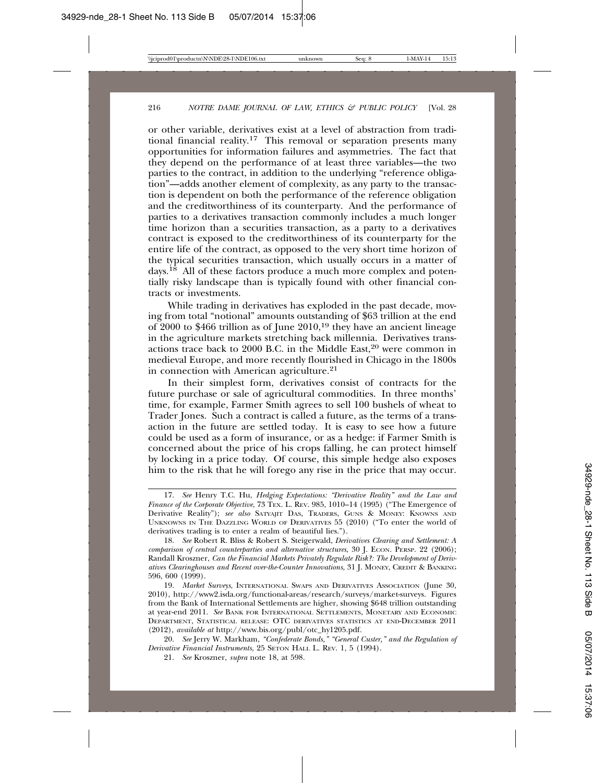or other variable, derivatives exist at a level of abstraction from traditional financial reality.<sup>17</sup> This removal or separation presents many opportunities for information failures and asymmetries. The fact that they depend on the performance of at least three variables—the two parties to the contract, in addition to the underlying "reference obligation"—adds another element of complexity, as any party to the transaction is dependent on both the performance of the reference obligation and the creditworthiness of its counterparty. And the performance of parties to a derivatives transaction commonly includes a much longer time horizon than a securities transaction, as a party to a derivatives contract is exposed to the creditworthiness of its counterparty for the entire life of the contract, as opposed to the very short time horizon of the typical securities transaction, which usually occurs in a matter of days.<sup>18</sup> All of these factors produce a much more complex and potentially risky landscape than is typically found with other financial contracts or investments.

While trading in derivatives has exploded in the past decade, moving from total "notional" amounts outstanding of \$63 trillion at the end of  $2000$  to \$466 trillion as of June  $2010$ ,<sup>19</sup> they have an ancient lineage in the agriculture markets stretching back millennia. Derivatives transactions trace back to 2000 B.C. in the Middle East,<sup>20</sup> were common in medieval Europe, and more recently flourished in Chicago in the 1800s in connection with American agriculture.<sup>21</sup>

In their simplest form, derivatives consist of contracts for the future purchase or sale of agricultural commodities. In three months' time, for example, Farmer Smith agrees to sell 100 bushels of wheat to Trader Jones. Such a contract is called a future, as the terms of a transaction in the future are settled today. It is easy to see how a future could be used as a form of insurance, or as a hedge: if Farmer Smith is concerned about the price of his crops falling, he can protect himself by locking in a price today. Of course, this simple hedge also exposes him to the risk that he will forego any rise in the price that may occur.

<sup>17.</sup> *See* Henry T.C. Hu, *Hedging Expectations: "Derivative Reality" and the Law and Finance of the Corporate Objective*, 73 TEX. L. REV. 985, 1010–14 (1995) ("The Emergence of Derivative Reality"); *see also* SATYAJIT DAS, TRADERS, GUNS & MONEY: KNOWNS AND UNKNOWNS IN THE DAZZLING WORLD OF DERIVATIVES 55 (2010) ("To enter the world of derivatives trading is to enter a realm of beautiful lies.").

<sup>18.</sup> *See* Robert R. Bliss & Robert S. Steigerwald, *Derivatives Clearing and Settlement: A comparison of central counterparties and alternative structures*, 30 J. ECON. PERSP. 22 (2006); Randall Kroszner, *Can the Financial Markets Privately Regulate Risk?: The Development of Derivatives Clearinghouses and Recent over-the-Counter Innovations*, 31 J. MONEY, CREDIT & BANKING 596, 600 (1999).

<sup>19.</sup> *Market Surveys*, INTERNATIONAL SWAPS AND DERIVATIVES ASSOCIATION (June 30, 2010), http://www2.isda.org/functional-areas/research/surveys/market-surveys. Figures from the Bank of International Settlements are higher, showing \$648 trillion outstanding at year-end 2011. *See* BANK FOR INTERNATIONAL SETTLEMENTS, MONETARY AND ECONOMIC DEPARTMENT, STATISTICAL RELEASE: OTC DERIVATIVES STATISTICS AT END-DECEMBER 2011 (2012), *available at* http://www.bis.org/publ/otc\_hy1205.pdf.

<sup>20.</sup> *See* Jerry W. Markham, *"Confederate Bonds," "General Custer," and the Regulation of Derivative Financial Instruments*, 25 SETON HALL L. REV. 1, 5 (1994).

<sup>21.</sup> *See* Kroszner, *supra* note 18, at 598.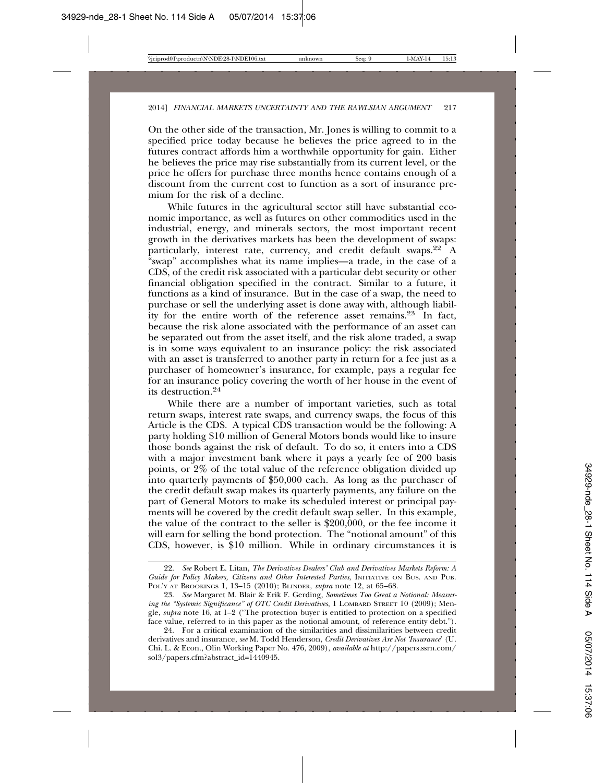On the other side of the transaction, Mr. Jones is willing to commit to a specified price today because he believes the price agreed to in the futures contract affords him a worthwhile opportunity for gain. Either he believes the price may rise substantially from its current level, or the price he offers for purchase three months hence contains enough of a discount from the current cost to function as a sort of insurance premium for the risk of a decline.

While futures in the agricultural sector still have substantial economic importance, as well as futures on other commodities used in the industrial, energy, and minerals sectors, the most important recent growth in the derivatives markets has been the development of swaps: particularly, interest rate, currency, and credit default swaps.<sup>22</sup> A "swap" accomplishes what its name implies—a trade, in the case of a CDS, of the credit risk associated with a particular debt security or other financial obligation specified in the contract. Similar to a future, it functions as a kind of insurance. But in the case of a swap, the need to purchase or sell the underlying asset is done away with, although liability for the entire worth of the reference asset remains.<sup>23</sup> In fact, because the risk alone associated with the performance of an asset can be separated out from the asset itself, and the risk alone traded, a swap is in some ways equivalent to an insurance policy: the risk associated with an asset is transferred to another party in return for a fee just as a purchaser of homeowner's insurance, for example, pays a regular fee for an insurance policy covering the worth of her house in the event of its destruction.24

While there are a number of important varieties, such as total return swaps, interest rate swaps, and currency swaps, the focus of this Article is the CDS. A typical CDS transaction would be the following: A party holding \$10 million of General Motors bonds would like to insure those bonds against the risk of default. To do so, it enters into a CDS with a major investment bank where it pays a yearly fee of 200 basis points, or 2% of the total value of the reference obligation divided up into quarterly payments of \$50,000 each. As long as the purchaser of the credit default swap makes its quarterly payments, any failure on the part of General Motors to make its scheduled interest or principal payments will be covered by the credit default swap seller. In this example, the value of the contract to the seller is \$200,000, or the fee income it will earn for selling the bond protection. The "notional amount" of this CDS, however, is \$10 million. While in ordinary circumstances it is

<sup>22.</sup> *See* Robert E. Litan, *The Derivatives Dealers' Club and Derivatives Markets Reform: A Guide for Policy Makers, Citizens and Other Interested Parties*, INITIATIVE ON BUS. AND PUB. POL'Y AT BROOKINGS 1, 13–15 (2010); BLINDER, *supra* note 12, at 65–68.

<sup>23.</sup> *See* Margaret M. Blair & Erik F. Gerding, *Sometimes Too Great a Notional: Measuring the "Systemic Significance" of OTC Credit Derivatives*, 1 LOMBARD STREET 10 (2009); Mengle, *supra* note 16, at 1–2 ("The protection buyer is entitled to protection on a specified face value, referred to in this paper as the notional amount, of reference entity debt.").

<sup>24.</sup> For a critical examination of the similarities and dissimilarities between credit derivatives and insurance, *see* M. Todd Henderson, *Credit Derivatives Are Not 'Insurance*' (U. Chi. L. & Econ., Olin Working Paper No. 476, 2009), *available at* http://papers.ssrn.com/ sol3/papers.cfm?abstract\_id=1440945.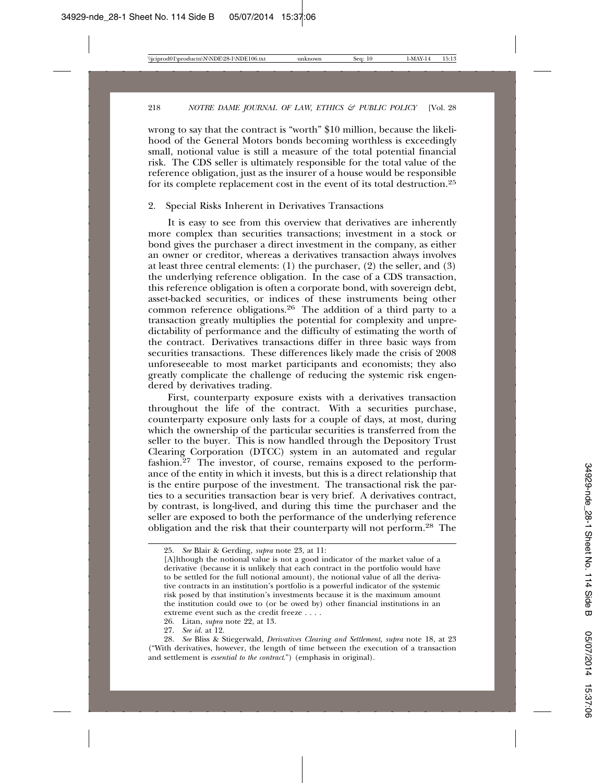wrong to say that the contract is "worth" \$10 million, because the likelihood of the General Motors bonds becoming worthless is exceedingly small, notional value is still a measure of the total potential financial risk. The CDS seller is ultimately responsible for the total value of the reference obligation, just as the insurer of a house would be responsible for its complete replacement cost in the event of its total destruction.<sup>25</sup>

#### 2. Special Risks Inherent in Derivatives Transactions

It is easy to see from this overview that derivatives are inherently more complex than securities transactions; investment in a stock or bond gives the purchaser a direct investment in the company, as either an owner or creditor, whereas a derivatives transaction always involves at least three central elements: (1) the purchaser, (2) the seller, and (3) the underlying reference obligation. In the case of a CDS transaction, this reference obligation is often a corporate bond, with sovereign debt, asset-backed securities, or indices of these instruments being other common reference obligations.26 The addition of a third party to a transaction greatly multiplies the potential for complexity and unpredictability of performance and the difficulty of estimating the worth of the contract. Derivatives transactions differ in three basic ways from securities transactions. These differences likely made the crisis of 2008 unforeseeable to most market participants and economists; they also greatly complicate the challenge of reducing the systemic risk engendered by derivatives trading.

First, counterparty exposure exists with a derivatives transaction throughout the life of the contract. With a securities purchase, counterparty exposure only lasts for a couple of days, at most, during which the ownership of the particular securities is transferred from the seller to the buyer. This is now handled through the Depository Trust Clearing Corporation (DTCC) system in an automated and regular fashion.<sup>27</sup> The investor, of course, remains exposed to the performance of the entity in which it invests, but this is a direct relationship that is the entire purpose of the investment. The transactional risk the parties to a securities transaction bear is very brief. A derivatives contract, by contrast, is long-lived, and during this time the purchaser and the seller are exposed to both the performance of the underlying reference obligation and the risk that their counterparty will not perform.28 The

<sup>25.</sup> *See* Blair & Gerding, *supra* note 23, at 11:

<sup>[</sup>A]lthough the notional value is not a good indicator of the market value of a derivative (because it is unlikely that each contract in the portfolio would have to be settled for the full notional amount), the notional value of all the derivative contracts in an institution's portfolio is a powerful indicator of the systemic risk posed by that institution's investments because it is the maximum amount the institution could owe to (or be owed by) other financial institutions in an extreme event such as the credit freeze . . . .

<sup>26.</sup> Litan, *supra* note 22, at 13.

<sup>27.</sup> *See id.* at 12.

<sup>28.</sup> *See* Bliss & Stiegerwald, *Derivatives Clearing and Settlement*, *supra* note 18, at 23 ("With derivatives, however, the length of time between the execution of a transaction and settlement is *essential to the contract*.") (emphasis in original).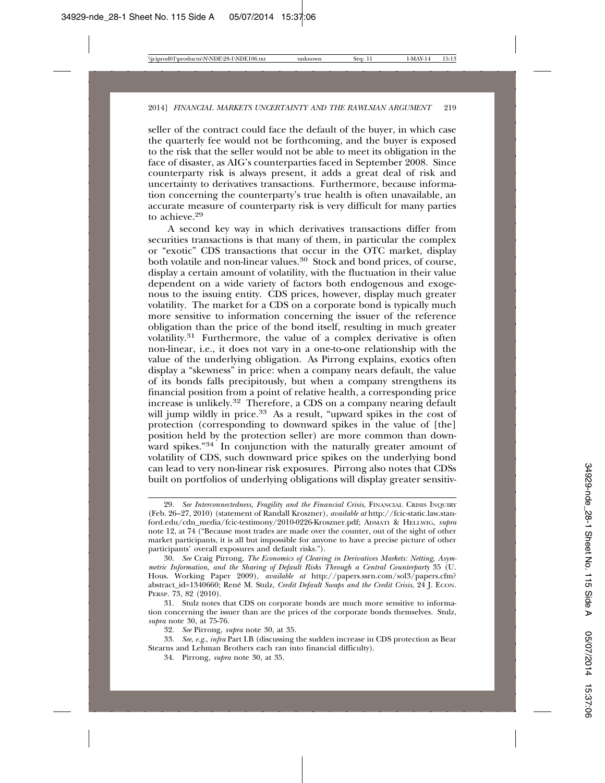seller of the contract could face the default of the buyer, in which case the quarterly fee would not be forthcoming, and the buyer is exposed to the risk that the seller would not be able to meet its obligation in the face of disaster, as AIG's counterparties faced in September 2008. Since counterparty risk is always present, it adds a great deal of risk and uncertainty to derivatives transactions. Furthermore, because information concerning the counterparty's true health is often unavailable, an accurate measure of counterparty risk is very difficult for many parties to achieve.29

A second key way in which derivatives transactions differ from securities transactions is that many of them, in particular the complex or "exotic" CDS transactions that occur in the OTC market, display both volatile and non-linear values.<sup>30</sup> Stock and bond prices, of course, display a certain amount of volatility, with the fluctuation in their value dependent on a wide variety of factors both endogenous and exogenous to the issuing entity. CDS prices, however, display much greater volatility. The market for a CDS on a corporate bond is typically much more sensitive to information concerning the issuer of the reference obligation than the price of the bond itself, resulting in much greater volatility.<sup>31</sup> Furthermore, the value of a complex derivative is often non-linear, i.e., it does not vary in a one-to-one relationship with the value of the underlying obligation. As Pirrong explains, exotics often display a "skewness" in price: when a company nears default, the value of its bonds falls precipitously, but when a company strengthens its financial position from a point of relative health, a corresponding price increase is unlikely.32 Therefore, a CDS on a company nearing default will jump wildly in price.<sup>33</sup> As a result, "upward spikes in the cost of protection (corresponding to downward spikes in the value of [the] position held by the protection seller) are more common than downward spikes."<sup>34</sup> In conjunction with the naturally greater amount of volatility of CDS, such downward price spikes on the underlying bond can lead to very non-linear risk exposures. Pirrong also notes that CDSs built on portfolios of underlying obligations will display greater sensitiv-

<sup>29.</sup> *See Interconnectedness, Fragility and the Financial Crisis*, FINANCIAL CRISIS INQUIRY (Feb. 26–27, 2010) (statement of Randall Kroszner), *available at* http://fcic-static.law.stanford.edu/cdn\_media/fcic-testimony/2010-0226-Kroszner.pdf; ADMATI & HELLWIG, *supra* note 12, at 74 ("Because most trades are made over the counter, out of the sight of other market participants, it is all but impossible for anyone to have a precise picture of other participants' overall exposures and default risks.").

<sup>30.</sup> *See* Craig Pirrong, *The Economics of Clearing in Derivatives Markets: Netting, Asymmetric Information, and the Sharing of Default Risks Through a Central Counterparty* 35 (U. Hous. Working Paper 2009), *available at* http://papers.ssrn.com/sol3/papers.cfm? abstract\_id=1340660; René M. Stulz, *Credit Default Swaps and the Credit Crisis*, 24 J. ECON. PERSP. 73, 82 (2010).

<sup>31.</sup> Stulz notes that CDS on corporate bonds are much more sensitive to information concerning the issuer than are the prices of the corporate bonds themselves. Stulz, *supra* note 30, at 75-76.

<sup>32.</sup> *See* Pirrong, *supra* note 30, at 35.

<sup>33.</sup> *See*, *e.g*., *infra* Part I.B (discussing the sudden increase in CDS protection as Bear Stearns and Lehman Brothers each ran into financial difficulty).

<sup>34.</sup> Pirrong, *supra* note 30, at 35.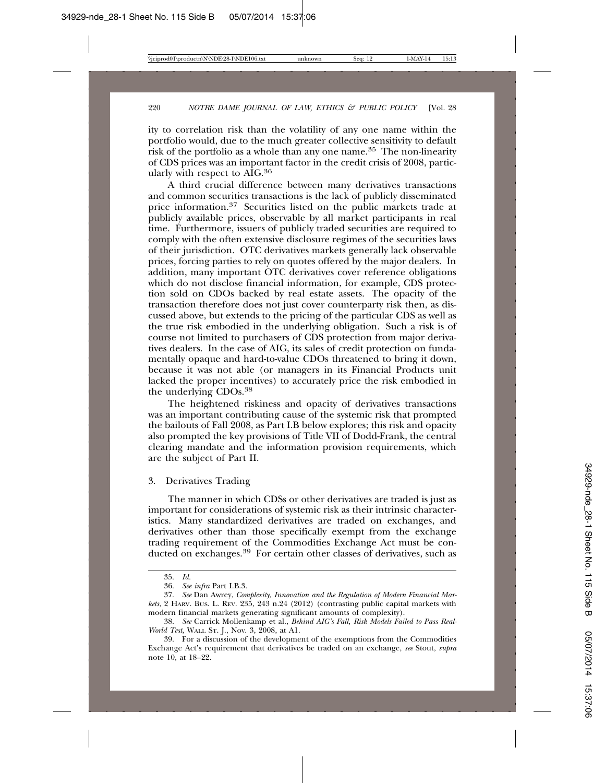ity to correlation risk than the volatility of any one name within the portfolio would, due to the much greater collective sensitivity to default risk of the portfolio as a whole than any one name.35 The non-linearity of CDS prices was an important factor in the credit crisis of 2008, particularly with respect to AIG.36

A third crucial difference between many derivatives transactions and common securities transactions is the lack of publicly disseminated price information.<sup>37</sup> Securities listed on the public markets trade at publicly available prices, observable by all market participants in real time. Furthermore, issuers of publicly traded securities are required to comply with the often extensive disclosure regimes of the securities laws of their jurisdiction. OTC derivatives markets generally lack observable prices, forcing parties to rely on quotes offered by the major dealers. In addition, many important OTC derivatives cover reference obligations which do not disclose financial information, for example, CDS protection sold on CDOs backed by real estate assets. The opacity of the transaction therefore does not just cover counterparty risk then, as discussed above, but extends to the pricing of the particular CDS as well as the true risk embodied in the underlying obligation. Such a risk is of course not limited to purchasers of CDS protection from major derivatives dealers. In the case of AIG, its sales of credit protection on fundamentally opaque and hard-to-value CDOs threatened to bring it down, because it was not able (or managers in its Financial Products unit lacked the proper incentives) to accurately price the risk embodied in the underlying CDOs.38

The heightened riskiness and opacity of derivatives transactions was an important contributing cause of the systemic risk that prompted the bailouts of Fall 2008, as Part I.B below explores; this risk and opacity also prompted the key provisions of Title VII of Dodd-Frank, the central clearing mandate and the information provision requirements, which are the subject of Part II.

3. Derivatives Trading

The manner in which CDSs or other derivatives are traded is just as important for considerations of systemic risk as their intrinsic characteristics. Many standardized derivatives are traded on exchanges, and derivatives other than those specifically exempt from the exchange trading requirement of the Commodities Exchange Act must be conducted on exchanges.39 For certain other classes of derivatives, such as

<sup>35.</sup> *Id.*

<sup>36.</sup> *See infra* Part I.B.3.

<sup>37.</sup> *See* Dan Awrey, *Complexity, Innovation and the Regulation of Modern Financial Markets*, 2 HARV. BUS. L. REV. 235, 243 n.24 (2012) (contrasting public capital markets with modern financial markets generating significant amounts of complexity).

<sup>38.</sup> *See* Carrick Mollenkamp et al., *Behind AIG's Fall, Risk Models Failed to Pass Real-World Test*, WALL ST. J., Nov. 3, 2008, at A1.

<sup>39.</sup> For a discussion of the development of the exemptions from the Commodities Exchange Act's requirement that derivatives be traded on an exchange, *see* Stout, *supra* note 10, at 18–22.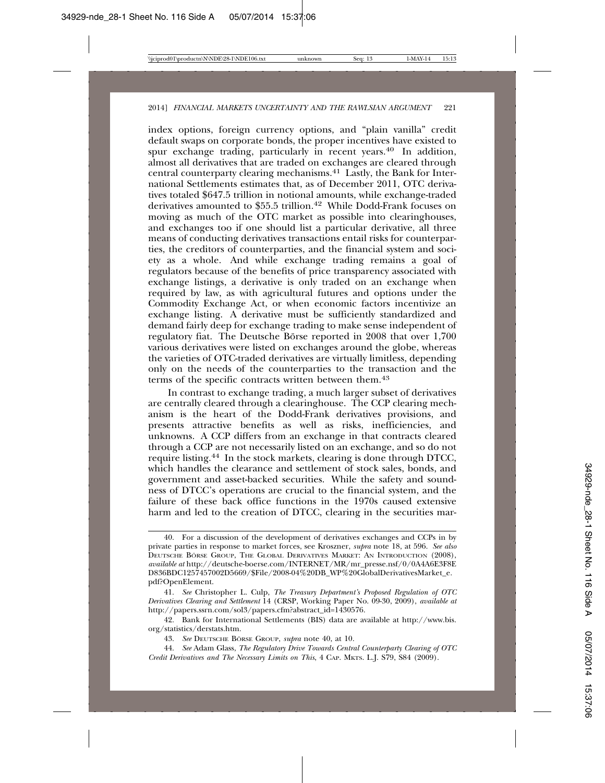index options, foreign currency options, and "plain vanilla" credit default swaps on corporate bonds, the proper incentives have existed to spur exchange trading, particularly in recent years.<sup>40</sup> In addition, almost all derivatives that are traded on exchanges are cleared through central counterparty clearing mechanisms.41 Lastly, the Bank for International Settlements estimates that, as of December 2011, OTC derivatives totaled \$647.5 trillion in notional amounts, while exchange-traded derivatives amounted to \$55.5 trillion.<sup>42</sup> While Dodd-Frank focuses on moving as much of the OTC market as possible into clearinghouses, and exchanges too if one should list a particular derivative, all three means of conducting derivatives transactions entail risks for counterparties, the creditors of counterparties, and the financial system and society as a whole. And while exchange trading remains a goal of regulators because of the benefits of price transparency associated with exchange listings, a derivative is only traded on an exchange when required by law, as with agricultural futures and options under the Commodity Exchange Act, or when economic factors incentivize an exchange listing. A derivative must be sufficiently standardized and demand fairly deep for exchange trading to make sense independent of regulatory fiat. The Deutsche Börse reported in 2008 that over 1,700 various derivatives were listed on exchanges around the globe, whereas the varieties of OTC-traded derivatives are virtually limitless, depending only on the needs of the counterparties to the transaction and the terms of the specific contracts written between them.<sup>43</sup>

In contrast to exchange trading, a much larger subset of derivatives are centrally cleared through a clearinghouse. The CCP clearing mechanism is the heart of the Dodd-Frank derivatives provisions, and presents attractive benefits as well as risks, inefficiencies, and unknowns. A CCP differs from an exchange in that contracts cleared through a CCP are not necessarily listed on an exchange, and so do not require listing.44 In the stock markets, clearing is done through DTCC, which handles the clearance and settlement of stock sales, bonds, and government and asset-backed securities. While the safety and soundness of DTCC's operations are crucial to the financial system, and the failure of these back office functions in the 1970s caused extensive harm and led to the creation of DTCC, clearing in the securities mar-

<sup>40.</sup> For a discussion of the development of derivatives exchanges and CCPs in by private parties in response to market forces, see Kroszner, *supra* note 18, at 596. *See also* DEUTSCHE BORSE GROUP, THE GLOBAL DERIVATIVES MARKET: AN INTRODUCTION (2008), *available at* http://deutsche-boerse.com/INTERNET/MR/mr\_presse.nsf/0/0A4A6E3F8E D836BDC1257457002D5669/\$File/2008-04%20DB\_WP%20GlobalDerivativesMarket\_e. pdf?OpenElement.

<sup>41.</sup> *See* Christopher L. Culp, *The Treasury Department's Proposed Regulation of OTC Derivatives Clearing and Settlement* 14 (CRSP, Working Paper No. 09-30, 2009), *available at* http://papers.ssrn.com/sol3/papers.cfm?abstract\_id=1430576.

<sup>42.</sup> Bank for International Settlements (BIS) data are available at http://www.bis. org/statistics/derstats.htm.

<sup>43.</sup> See DEUTSCHE BÖRSE GROUP, *supra* note 40, at 10.

<sup>44.</sup> *See* Adam Glass, *The Regulatory Drive Towards Central Counterparty Clearing of OTC Credit Derivatives and The Necessary Limits on This*, 4 CAP. MKTS. L.J. S79, S84 (2009).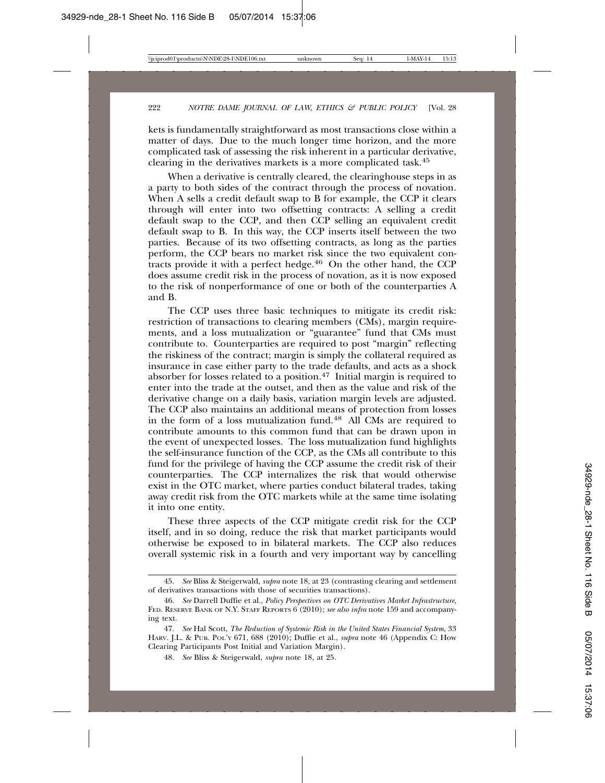kets is fundamentally straightforward as most transactions close within a matter of days. Due to the much longer time horizon, and the more complicated task of assessing the risk inherent in a particular derivative, clearing in the derivatives markets is a more complicated task.45

When a derivative is centrally cleared, the clearinghouse steps in as a party to both sides of the contract through the process of novation. When  $A$  sells a credit default swap to  $B$  for example, the CCP it clears through will enter into two offsetting contracts: A selling a credit default swap to the CCP, and then CCP selling an equivalent credit default swap to B. In this way, the CCP inserts itself between the two parties. Because of its two offsetting contracts, as long as the parties perform, the CCP bears no market risk since the two equivalent contracts provide it with a perfect hedge. $46$  On the other hand, the CCP does assume credit risk in the process of novation, as it is now exposed to the risk of nonperformance of one or both of the counterparties A and B.

The CCP uses three basic techniques to mitigate its credit risk: restriction of transactions to clearing members (CMs), margin requirements, and a loss mutualization or "guarantee" fund that CMs must contribute to. Counterparties are required to post "margin" reflecting the riskiness of the contract; margin is simply the collateral required as insurance in case either party to the trade defaults, and acts as a shock absorber for losses related to a position.<sup>47</sup> Initial margin is required to enter into the trade at the outset, and then as the value and risk of the derivative change on a daily basis, variation margin levels are adjusted. The CCP also maintains an additional means of protection from losses in the form of a loss mutualization fund.48 All CMs are required to contribute amounts to this common fund that can be drawn upon in the event of unexpected losses. The loss mutualization fund highlights the self-insurance function of the CCP, as the CMs all contribute to this fund for the privilege of having the CCP assume the credit risk of their counterparties. The CCP internalizes the risk that would otherwise exist in the OTC market, where parties conduct bilateral trades, taking away credit risk from the OTC markets while at the same time isolating it into one entity.

These three aspects of the CCP mitigate credit risk for the CCP itself, and in so doing, reduce the risk that market participants would otherwise be exposed to in bilateral markets. The CCP also reduces overall systemic risk in a fourth and very important way by cancelling

<sup>45.</sup> *See* Bliss & Steigerwald, *supra* note 18, at 23 (contrasting clearing and settlement of derivatives transactions with those of securities transactions).

<sup>46.</sup> *See* Darrell Duffie et al., *Policy Perspectives on OTC Derivatives Market Infrastructure*, FED. RESERVE BANK OF N.Y. STAFF REPORTS 6 (2010); *see also infra* note 159 and accompanying text.

<sup>47.</sup> *See* Hal Scott, *The Reduction of Systemic Risk in the United States Financial System*, 33 HARV. J.L. & PUB. POL'Y 671, 688 (2010); Duffie et al., *supra* note 46 (Appendix C: How Clearing Participants Post Initial and Variation Margin).

<sup>48.</sup> *See* Bliss & Steigerwald, *supra* note 18, at 25.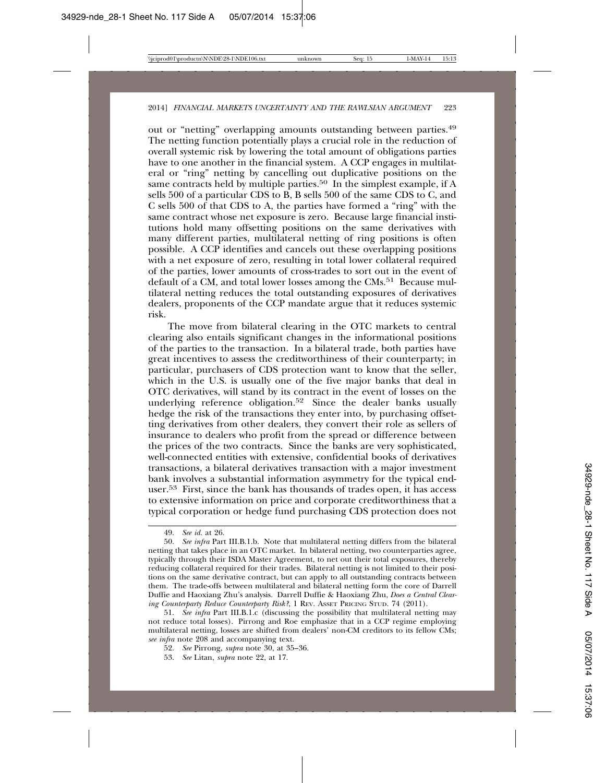out or "netting" overlapping amounts outstanding between parties.49 The netting function potentially plays a crucial role in the reduction of overall systemic risk by lowering the total amount of obligations parties have to one another in the financial system. A CCP engages in multilateral or "ring" netting by cancelling out duplicative positions on the same contracts held by multiple parties.<sup>50</sup> In the simplest example, if A sells 500 of a particular CDS to B, B sells 500 of the same CDS to C, and C sells 500 of that CDS to A, the parties have formed a "ring" with the same contract whose net exposure is zero. Because large financial institutions hold many offsetting positions on the same derivatives with many different parties, multilateral netting of ring positions is often possible. A CCP identifies and cancels out these overlapping positions with a net exposure of zero, resulting in total lower collateral required of the parties, lower amounts of cross-trades to sort out in the event of default of a CM, and total lower losses among the CMs.<sup>51</sup> Because multilateral netting reduces the total outstanding exposures of derivatives dealers, proponents of the CCP mandate argue that it reduces systemic risk.

The move from bilateral clearing in the OTC markets to central clearing also entails significant changes in the informational positions of the parties to the transaction. In a bilateral trade, both parties have great incentives to assess the creditworthiness of their counterparty; in particular, purchasers of CDS protection want to know that the seller, which in the U.S. is usually one of the five major banks that deal in OTC derivatives, will stand by its contract in the event of losses on the underlying reference obligation.52 Since the dealer banks usually hedge the risk of the transactions they enter into, by purchasing offsetting derivatives from other dealers, they convert their role as sellers of insurance to dealers who profit from the spread or difference between the prices of the two contracts. Since the banks are very sophisticated, well-connected entities with extensive, confidential books of derivatives transactions, a bilateral derivatives transaction with a major investment bank involves a substantial information asymmetry for the typical enduser.53 First, since the bank has thousands of trades open, it has access to extensive information on price and corporate creditworthiness that a typical corporation or hedge fund purchasing CDS protection does not

<sup>49.</sup> *See id.* at 26.

<sup>50.</sup> *See infra* Part III.B.1.b. Note that multilateral netting differs from the bilateral netting that takes place in an OTC market. In bilateral netting, two counterparties agree, typically through their ISDA Master Agreement, to net out their total exposures, thereby reducing collateral required for their trades. Bilateral netting is not limited to their positions on the same derivative contract, but can apply to all outstanding contracts between them. The trade-offs between multilateral and bilateral netting form the core of Darrell Duffie and Haoxiang Zhu's analysis. Darrell Duffie & Haoxiang Zhu, *Does a Central Clearing Counterparty Reduce Counterparty Risk?*, 1 REV. ASSET PRICING STUD. 74 (2011).

<sup>51.</sup> *See infra* Part III.B.1.c (discussing the possibility that multilateral netting may not reduce total losses). Pirrong and Roe emphasize that in a CCP regime employing multilateral netting, losses are shifted from dealers' non-CM creditors to its fellow CMs; *see infra* note 208 and accompanying text.

<sup>52.</sup> *See* Pirrong, *supra* note 30, at 35–36.

<sup>53.</sup> *See* Litan, *supra* note 22, at 17.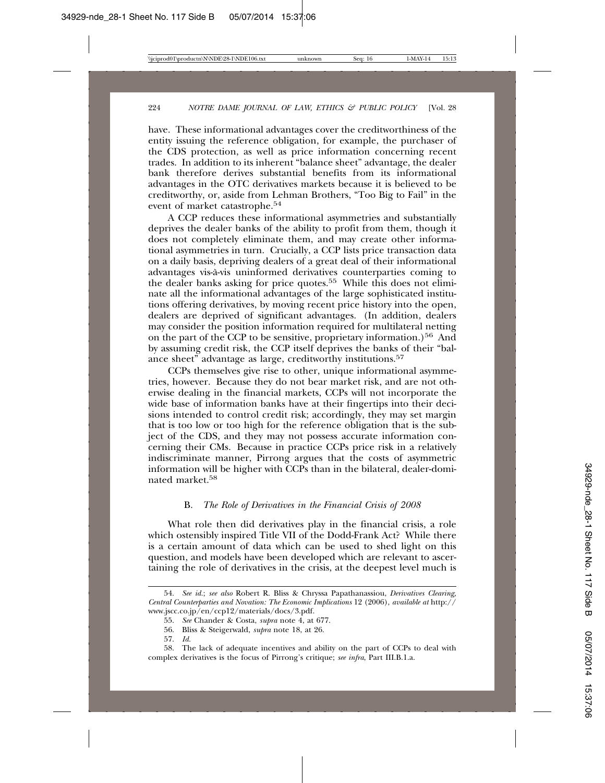have. These informational advantages cover the creditworthiness of the entity issuing the reference obligation, for example, the purchaser of the CDS protection, as well as price information concerning recent trades. In addition to its inherent "balance sheet" advantage, the dealer bank therefore derives substantial benefits from its informational advantages in the OTC derivatives markets because it is believed to be creditworthy, or, aside from Lehman Brothers, "Too Big to Fail" in the event of market catastrophe.54

A CCP reduces these informational asymmetries and substantially deprives the dealer banks of the ability to profit from them, though it does not completely eliminate them, and may create other informational asymmetries in turn. Crucially, a CCP lists price transaction data on a daily basis, depriving dealers of a great deal of their informational advantages vis-a-vis uninformed derivatives counterparties coming to ` the dealer banks asking for price quotes.<sup>55</sup> While this does not eliminate all the informational advantages of the large sophisticated institutions offering derivatives, by moving recent price history into the open, dealers are deprived of significant advantages. (In addition, dealers may consider the position information required for multilateral netting on the part of the CCP to be sensitive, proprietary information.)<sup>56</sup> And by assuming credit risk, the CCP itself deprives the banks of their "balance sheet" advantage as large, creditworthy institutions.57

CCPs themselves give rise to other, unique informational asymmetries, however. Because they do not bear market risk, and are not otherwise dealing in the financial markets, CCPs will not incorporate the wide base of information banks have at their fingertips into their decisions intended to control credit risk; accordingly, they may set margin that is too low or too high for the reference obligation that is the subject of the CDS, and they may not possess accurate information concerning their CMs. Because in practice CCPs price risk in a relatively indiscriminate manner, Pirrong argues that the costs of asymmetric information will be higher with CCPs than in the bilateral, dealer-dominated market.58

#### B. *The Role of Derivatives in the Financial Crisis of 2008*

What role then did derivatives play in the financial crisis, a role which ostensibly inspired Title VII of the Dodd-Frank Act? While there is a certain amount of data which can be used to shed light on this question, and models have been developed which are relevant to ascertaining the role of derivatives in the crisis, at the deepest level much is

<sup>54.</sup> *See id.*; *see also* Robert R. Bliss & Chryssa Papathanassiou, *Derivatives Clearing, Central Counterparties and Novation: The Economic Implications* 12 (2006), *available at* http:// www.jscc.co.jp/en/ccp12/materials/docs/3.pdf.

<sup>55.</sup> *See* Chander & Costa, *supra* note 4, at 677.

<sup>56.</sup> Bliss & Steigerwald, *supra* note 18, at 26.

<sup>57.</sup> *Id.*

<sup>58.</sup> The lack of adequate incentives and ability on the part of CCPs to deal with complex derivatives is the focus of Pirrong's critique; *see infra*, Part III.B.1.a.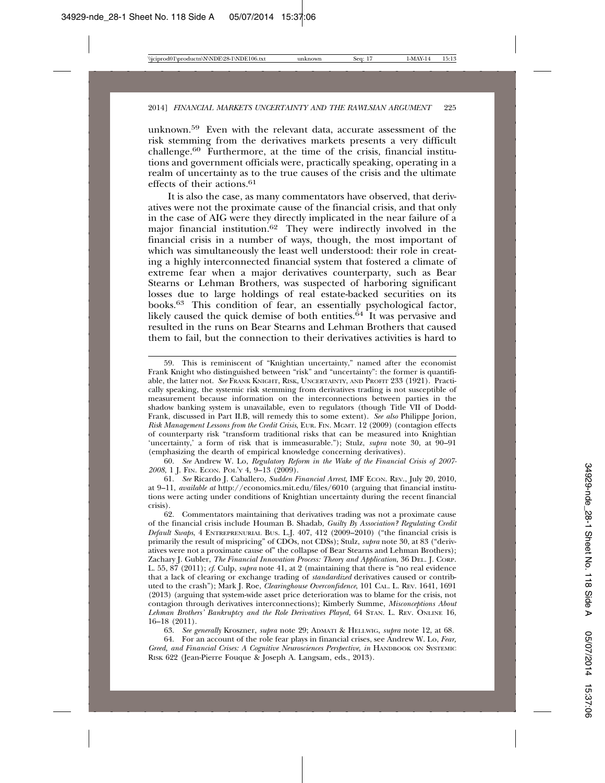unknown.59 Even with the relevant data, accurate assessment of the risk stemming from the derivatives markets presents a very difficult challenge.60 Furthermore, at the time of the crisis, financial institutions and government officials were, practically speaking, operating in a realm of uncertainty as to the true causes of the crisis and the ultimate effects of their actions.61

It is also the case, as many commentators have observed, that derivatives were not the proximate cause of the financial crisis, and that only in the case of AIG were they directly implicated in the near failure of a major financial institution.62 They were indirectly involved in the financial crisis in a number of ways, though, the most important of which was simultaneously the least well understood: their role in creating a highly interconnected financial system that fostered a climate of extreme fear when a major derivatives counterparty, such as Bear Stearns or Lehman Brothers, was suspected of harboring significant losses due to large holdings of real estate-backed securities on its books.63 This condition of fear, an essentially psychological factor, likely caused the quick demise of both entities. $64$  It was pervasive and resulted in the runs on Bear Stearns and Lehman Brothers that caused them to fail, but the connection to their derivatives activities is hard to

60. *See* Andrew W. Lo, *Regulatory Reform in the Wake of the Financial Crisis of 2007- 2008*, 1 J. FIN. ECON. POL'Y 4, 9–13 (2009).

61. *See* Ricardo J. Caballero, *Sudden Financial Arrest*, IMF ECON. REV., July 20, 2010, at 9–11, *available at* http://economics.mit.edu/files/6010 (arguing that financial institutions were acting under conditions of Knightian uncertainty during the recent financial crisis).<br>62.

62. Commentators maintaining that derivatives trading was not a proximate cause of the financial crisis include Houman B. Shadab, *Guilty By Association? Regulating Credit Default Swaps*, 4 ENTREPRENURIAL BUS. L.J. 407, 412 (2009–2010) ("the financial crisis is primarily the result of mispricing" of CDOs, not CDSs); Stulz, *supra* note 30, at 83 ("derivatives were not a proximate cause of" the collapse of Bear Stearns and Lehman Brothers); Zachary J. Gubler, *The Financial Innovation Process: Theory and Application*, 36 DEL. J. CORP. L. 55, 87 (2011); *cf*. Culp, *supra* note 41, at 2 (maintaining that there is "no real evidence that a lack of clearing or exchange trading of *standardized* derivatives caused or contributed to the crash"); Mark J. Roe, *Clearinghouse Overconfidence*, 101 CAL. L. REV. 1641, 1691 (2013) (arguing that system-wide asset price deterioration was to blame for the crisis, not contagion through derivatives interconnections); Kimberly Summe, *Misconceptions About Lehman Brothers' Bankruptcy and the Role Derivatives Played*, 64 STAN. L. REV. ONLINE 16, 16–18 (2011).

63. *See generally* Kroszner, *supra* note 29; ADMATI & HELLWIG, *supra* note 12, at 68.

64. For an account of the role fear plays in financial crises, see Andrew W. Lo, *Fear, Greed, and Financial Crises: A Cognitive Neurosciences Perspective, in* HANDBOOK ON SYSTEMIC RISK 622 (Jean-Pierre Fouque & Joseph A. Langsam, eds., 2013).

<sup>59.</sup> This is reminiscent of "Knightian uncertainty," named after the economist Frank Knight who distinguished between "risk" and "uncertainty": the former is quantifiable, the latter not. *See* FRANK KNIGHT, RISK, UNCERTAINTY, AND PROFIT 233 (1921). Practically speaking, the systemic risk stemming from derivatives trading is not susceptible of measurement because information on the interconnections between parties in the shadow banking system is unavailable, even to regulators (though Title VII of Dodd-Frank, discussed in Part II.B, will remedy this to some extent). *See also* Philippe Jorion, *Risk Management Lessons from the Credit Crisis*, EUR. FIN. MGMT. 12 (2009) (contagion effects of counterparty risk "transform traditional risks that can be measured into Knightian 'uncertainty,' a form of risk that is immeasurable."); Stulz, *supra* note 30, at 90–91 (emphasizing the dearth of empirical knowledge concerning derivatives).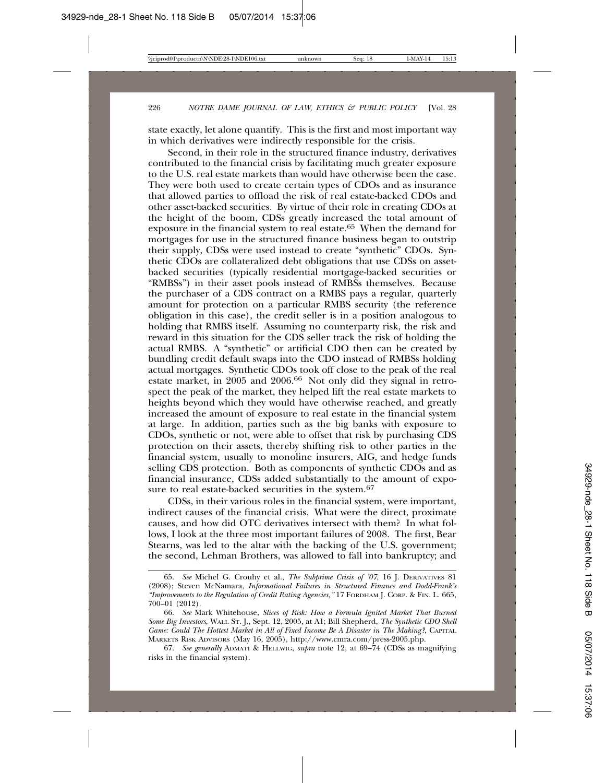state exactly, let alone quantify. This is the first and most important way in which derivatives were indirectly responsible for the crisis.

Second, in their role in the structured finance industry, derivatives contributed to the financial crisis by facilitating much greater exposure to the U.S. real estate markets than would have otherwise been the case. They were both used to create certain types of CDOs and as insurance that allowed parties to offload the risk of real estate-backed CDOs and other asset-backed securities. By virtue of their role in creating CDOs at the height of the boom, CDSs greatly increased the total amount of exposure in the financial system to real estate.<sup>65</sup> When the demand for mortgages for use in the structured finance business began to outstrip their supply, CDSs were used instead to create "synthetic" CDOs. Synthetic CDOs are collateralized debt obligations that use CDSs on assetbacked securities (typically residential mortgage-backed securities or "RMBSs") in their asset pools instead of RMBSs themselves. Because the purchaser of a CDS contract on a RMBS pays a regular, quarterly amount for protection on a particular RMBS security (the reference obligation in this case), the credit seller is in a position analogous to holding that RMBS itself. Assuming no counterparty risk, the risk and reward in this situation for the CDS seller track the risk of holding the actual RMBS. A "synthetic" or artificial CDO then can be created by bundling credit default swaps into the CDO instead of RMBSs holding actual mortgages. Synthetic CDOs took off close to the peak of the real estate market, in 2005 and 2006.66 Not only did they signal in retrospect the peak of the market, they helped lift the real estate markets to heights beyond which they would have otherwise reached, and greatly increased the amount of exposure to real estate in the financial system at large. In addition, parties such as the big banks with exposure to CDOs, synthetic or not, were able to offset that risk by purchasing CDS protection on their assets, thereby shifting risk to other parties in the financial system, usually to monoline insurers, AIG, and hedge funds selling CDS protection. Both as components of synthetic CDOs and as financial insurance, CDSs added substantially to the amount of exposure to real estate-backed securities in the system.<sup>67</sup>

CDSs, in their various roles in the financial system, were important, indirect causes of the financial crisis. What were the direct, proximate causes, and how did OTC derivatives intersect with them? In what follows, I look at the three most important failures of 2008. The first, Bear Stearns, was led to the altar with the backing of the U.S. government; the second, Lehman Brothers, was allowed to fall into bankruptcy; and

<sup>65.</sup> *See* Michel G. Crouhy et al., *The Subprime Crisis of '07*, 16 J. DERIVATIVES 81 (2008); Steven McNamara, *Informational Failures in Structured Finance and Dodd-Frank's "Improvements to the Regulation of Credit Rating Agencies,"* 17 FORDHAM J. CORP. & FIN. L. 665, 700–01 (2012).

<sup>66.</sup> *See* Mark Whitehouse, *Slices of Risk: How a Formula Ignited Market That Burned Some Big Investors*, WALL ST. J., Sept. 12, 2005, at A1; Bill Shepherd, *The Synthetic CDO Shell Game: Could The Hottest Market in All of Fixed Income Be A Disaster in The Making?*, CAPITAL MARKETS RISK ADVISORS (May 16, 2005), http://www.cmra.com/press-2005.php.

<sup>67.</sup> *See generally* ADMATI & HELLWIG, *supra* note 12*,* at 69–74 (CDSs as magnifying risks in the financial system).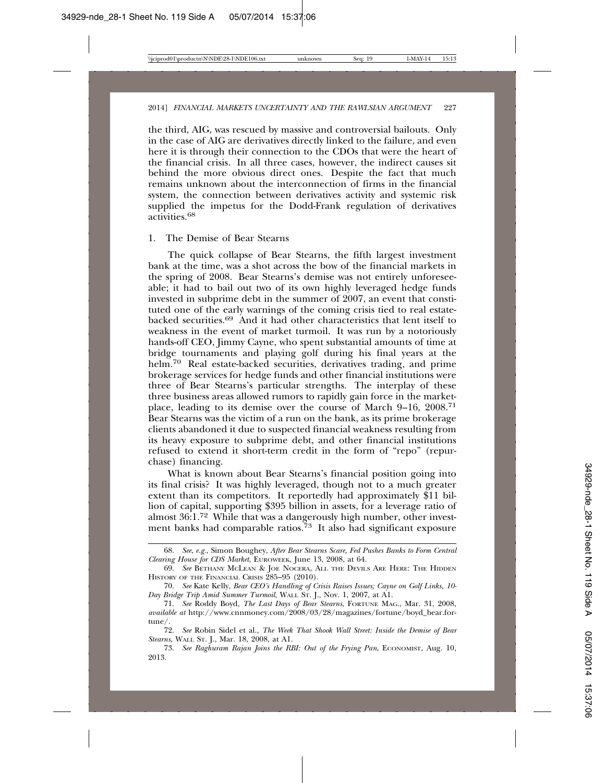the third, AIG, was rescued by massive and controversial bailouts. Only in the case of AIG are derivatives directly linked to the failure, and even here it is through their connection to the CDOs that were the heart of the financial crisis. In all three cases, however, the indirect causes sit behind the more obvious direct ones. Despite the fact that much remains unknown about the interconnection of firms in the financial system, the connection between derivatives activity and systemic risk supplied the impetus for the Dodd-Frank regulation of derivatives activities.<sup>68</sup>

#### 1. The Demise of Bear Stearns

The quick collapse of Bear Stearns, the fifth largest investment bank at the time, was a shot across the bow of the financial markets in the spring of 2008. Bear Stearns's demise was not entirely unforeseeable; it had to bail out two of its own highly leveraged hedge funds invested in subprime debt in the summer of 2007, an event that constituted one of the early warnings of the coming crisis tied to real estatebacked securities.69 And it had other characteristics that lent itself to weakness in the event of market turmoil. It was run by a notoriously hands-off CEO, Jimmy Cayne, who spent substantial amounts of time at bridge tournaments and playing golf during his final years at the helm.<sup>70</sup> Real estate-backed securities, derivatives trading, and prime brokerage services for hedge funds and other financial institutions were three of Bear Stearns's particular strengths. The interplay of these three business areas allowed rumors to rapidly gain force in the marketplace, leading to its demise over the course of March 9–16, 2008.71 Bear Stearns was the victim of a run on the bank, as its prime brokerage clients abandoned it due to suspected financial weakness resulting from its heavy exposure to subprime debt, and other financial institutions refused to extend it short-term credit in the form of "repo" (repurchase) financing.

What is known about Bear Stearns's financial position going into its final crisis? It was highly leveraged, though not to a much greater extent than its competitors. It reportedly had approximately \$11 billion of capital, supporting \$395 billion in assets, for a leverage ratio of almost 36:1.<sup>72</sup> While that was a dangerously high number, other investment banks had comparable ratios.<sup>73</sup> It also had significant exposure

<sup>68.</sup> *See*, *e.g.*, Simon Boughey, *After Bear Stearns Scare, Fed Pushes Banks to Form Central Clearing House for CDS Market*, EUROWEEK, June 13, 2008, at 64.

<sup>69.</sup> *See* BETHANY MCLEAN & JOE NOCERA, ALL THE DEVILS ARE HERE: THE HIDDEN HISTORY OF THE FINANCIAL CRISIS 285–95 (2010).

<sup>70.</sup> *See* Kate Kelly, *Bear CEO's Handling of Crisis Raises Issues; Cayne on Golf Links, 10- Day Bridge Trip Amid Summer Turmoil*, WALL ST. J., Nov. 1, 2007, at A1.

<sup>71.</sup> *See* Roddy Boyd, *The Last Days of Bear Stearns*, FORTUNE MAG., Mar. 31, 2008, *available at* http://www.cnnmoney.com/2008/03/28/magazines/fortune/boyd\_bear.fortune/.

<sup>72.</sup> *See* Robin Sidel et al., *The Week That Shook Wall Street: Inside the Demise of Bear Stearns*, WALL ST. J., Mar. 18, 2008, at A1.

<sup>73.</sup> *See Raghuram Rajan Joins the RBI: Out of the Frying Pan*, ECONOMIST, Aug. 10, 2013.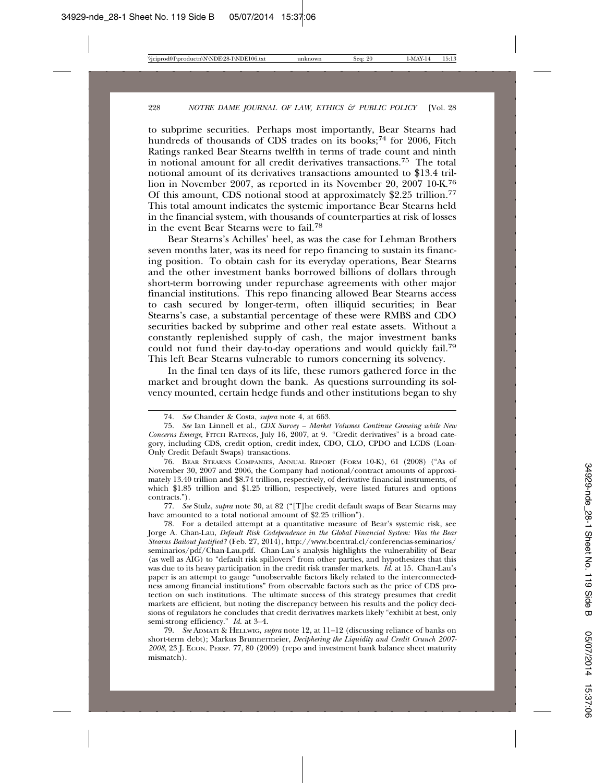to subprime securities. Perhaps most importantly, Bear Stearns had hundreds of thousands of  $CD\overline{S}$  trades on its books;<sup>74</sup> for 2006, Fitch Ratings ranked Bear Stearns twelfth in terms of trade count and ninth in notional amount for all credit derivatives transactions.75 The total notional amount of its derivatives transactions amounted to \$13.4 trillion in November 2007, as reported in its November 20, 2007 10-K.76 Of this amount, CDS notional stood at approximately \$2.25 trillion.77 This total amount indicates the systemic importance Bear Stearns held in the financial system, with thousands of counterparties at risk of losses in the event Bear Stearns were to fail.78

Bear Stearns's Achilles' heel, as was the case for Lehman Brothers seven months later, was its need for repo financing to sustain its financing position. To obtain cash for its everyday operations, Bear Stearns and the other investment banks borrowed billions of dollars through short-term borrowing under repurchase agreements with other major financial institutions. This repo financing allowed Bear Stearns access to cash secured by longer-term, often illiquid securities; in Bear Stearns's case, a substantial percentage of these were RMBS and CDO securities backed by subprime and other real estate assets. Without a constantly replenished supply of cash, the major investment banks could not fund their day-to-day operations and would quickly fail.79 This left Bear Stearns vulnerable to rumors concerning its solvency.

In the final ten days of its life, these rumors gathered force in the market and brought down the bank. As questions surrounding its solvency mounted, certain hedge funds and other institutions began to shy

77. *See* Stulz, *supra* note 30, at 82 ("[T]he credit default swaps of Bear Stearns may have amounted to a total notional amount of \$2.25 trillion").

78. For a detailed attempt at a quantitative measure of Bear's systemic risk, see Jorge A. Chan-Lau, *Default Risk Codependence in the Global Financial System: Was the Bear Stearns Bailout Justified?* (Feb. 27, 2014), http://www.bcentral.cl/conferencias-seminarios/ seminarios/pdf/Chan-Lau.pdf. Chan-Lau's analysis highlights the vulnerability of Bear (as well as AIG) to "default risk spillovers" from other parties, and hypothesizes that this was due to its heavy participation in the credit risk transfer markets. *Id.* at 15. Chan-Lau's paper is an attempt to gauge "unobservable factors likely related to the interconnectedness among financial institutions" from observable factors such as the price of CDS protection on such institutions. The ultimate success of this strategy presumes that credit markets are efficient, but noting the discrepancy between his results and the policy decisions of regulators he concludes that credit derivatives markets likely "exhibit at best, only semi-strong efficiency." *Id.* at 3–4.

79. *See* ADMATI & HELLWIG, *supra* note 12, at 11–12 (discussing reliance of banks on short-term debt); Markus Brunnermeier, *Deciphering the Liquidity and Credit Crunch 2007- 2008*, 23 J. ECON. PERSP. 77, 80 (2009) (repo and investment bank balance sheet maturity mismatch).

<sup>74.</sup> *See* Chander & Costa, *supra* note 4, at 663.

<sup>75.</sup> *See* Ian Linnell et al., *CDX Survey – Market Volumes Continue Growing while New Concerns Emerge*, FITCH RATINGS, July 16, 2007, at 9. "Credit derivatives" is a broad category, including CDS, credit option, credit index, CDO, CLO, CPDO and LCDS (Loan-Only Credit Default Swaps) transactions.

<sup>76.</sup> BEAR STEARNS COMPANIES, ANNUAL REPORT (FORM 10-K), 61 (2008) ("As of November 30, 2007 and 2006, the Company had notional/contract amounts of approximately 13.40 trillion and \$8.74 trillion, respectively, of derivative financial instruments, of which \$1.85 trillion and \$1.25 trillion, respectively, were listed futures and options contracts.").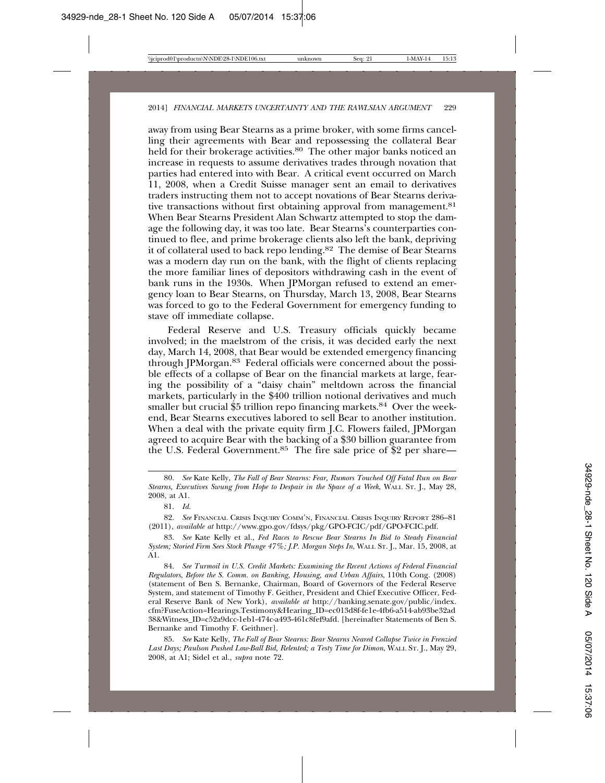away from using Bear Stearns as a prime broker, with some firms cancelling their agreements with Bear and repossessing the collateral Bear held for their brokerage activities.<sup>80</sup> The other major banks noticed an increase in requests to assume derivatives trades through novation that parties had entered into with Bear. A critical event occurred on March 11, 2008, when a Credit Suisse manager sent an email to derivatives traders instructing them not to accept novations of Bear Stearns derivative transactions without first obtaining approval from management.<sup>81</sup> When Bear Stearns President Alan Schwartz attempted to stop the damage the following day, it was too late. Bear Stearns's counterparties continued to flee, and prime brokerage clients also left the bank, depriving it of collateral used to back repo lending.82 The demise of Bear Stearns was a modern day run on the bank, with the flight of clients replacing the more familiar lines of depositors withdrawing cash in the event of bank runs in the 1930s. When JPMorgan refused to extend an emergency loan to Bear Stearns, on Thursday, March 13, 2008, Bear Stearns was forced to go to the Federal Government for emergency funding to stave off immediate collapse.

Federal Reserve and U.S. Treasury officials quickly became involved; in the maelstrom of the crisis, it was decided early the next day, March 14, 2008, that Bear would be extended emergency financing through JPMorgan.83 Federal officials were concerned about the possible effects of a collapse of Bear on the financial markets at large, fearing the possibility of a "daisy chain" meltdown across the financial markets, particularly in the \$400 trillion notional derivatives and much smaller but crucial \$5 trillion repo financing markets.<sup>84</sup> Over the weekend, Bear Stearns executives labored to sell Bear to another institution. When a deal with the private equity firm J.C. Flowers failed, JPMorgan agreed to acquire Bear with the backing of a \$30 billion guarantee from the U.S. Federal Government.85 The fire sale price of \$2 per share—

81. *Id.*

82. *See* FINANCIAL CRISIS INQUIRY COMM'N, FINANCIAL CRISIS INQUIRY REPORT 286–81 (2011), *available at* http://www.gpo.gov/fdsys/pkg/GPO-FCIC/pdf/GPO-FCIC.pdf.

83. *See* Kate Kelly et al., *Fed Races to Rescue Bear Stearns In Bid to Steady Financial System; Storied Firm Sees Stock Plunge 47%; J.P. Morgan Steps In*, WALL ST. J., Mar. 15, 2008, at A1.

84. *See Turmoil in U.S. Credit Markets: Examining the Recent Actions of Federal Financial Regulators*, *Before the S. Comm. on Banking, Housing, and Urban Affairs*, 110th Cong. (2008) (statement of Ben S. Bernanke, Chairman, Board of Governors of the Federal Reserve System, and statement of Timothy F. Geither, President and Chief Executive Officer, Federal Reserve Bank of New York), *available at* http://banking.senate.gov/public/index. cfm?FuseAction=Hearings.Testimony&Hearing\_ID=ec013d8f-fe1e-4fb6-a514-ab93be32ad 38&Witness\_ID=c52a9dcc-1eb1-474c-a493-461c8fef9afd. [hereinafter Statements of Ben S. Bernanke and Timothy F. Geithner].

85. *See* Kate Kelly, *The Fall of Bear Stearns: Bear Stearns Neared Collapse Twice in Frenzied Last Days; Paulson Pushed Low-Ball Bid, Relented; a Testy Time for Dimon*, WALL ST. J., May 29, 2008, at A1; Sidel et al., *supra* note 72.

<sup>80.</sup> *See* Kate Kelly, *The Fall of Bear Stearns: Fear, Rumors Touched Off Fatal Run on Bear Stearns, Executives Swung from Hope to Despair in the Space of a Week*, WALL ST. J., May 28, 2008, at A1.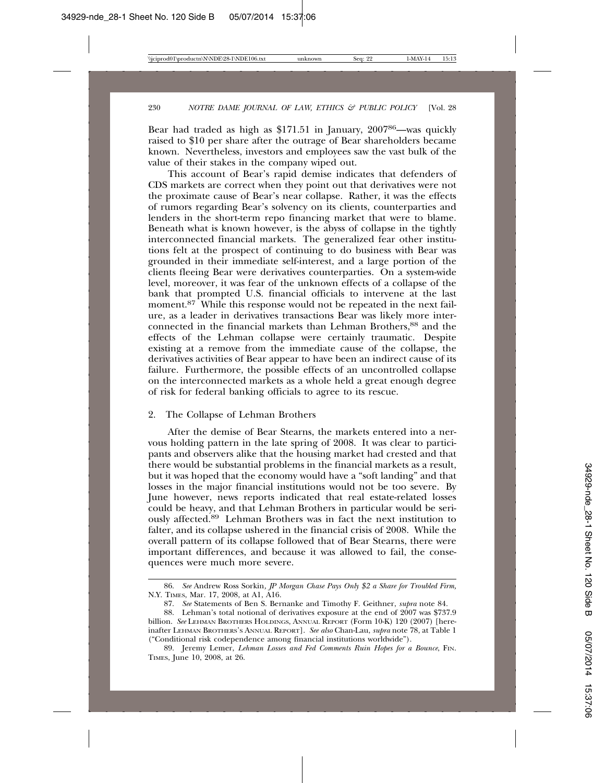Bear had traded as high as \$171.51 in January, 200786—was quickly raised to \$10 per share after the outrage of Bear shareholders became known. Nevertheless, investors and employees saw the vast bulk of the value of their stakes in the company wiped out.

This account of Bear's rapid demise indicates that defenders of CDS markets are correct when they point out that derivatives were not the proximate cause of Bear's near collapse. Rather, it was the effects of rumors regarding Bear's solvency on its clients, counterparties and lenders in the short-term repo financing market that were to blame. Beneath what is known however, is the abyss of collapse in the tightly interconnected financial markets. The generalized fear other institutions felt at the prospect of continuing to do business with Bear was grounded in their immediate self-interest, and a large portion of the clients fleeing Bear were derivatives counterparties. On a system-wide level, moreover, it was fear of the unknown effects of a collapse of the bank that prompted U.S. financial officials to intervene at the last moment.<sup>87</sup> While this response would not be repeated in the next failure, as a leader in derivatives transactions Bear was likely more interconnected in the financial markets than Lehman Brothers,88 and the effects of the Lehman collapse were certainly traumatic. Despite existing at a remove from the immediate cause of the collapse, the derivatives activities of Bear appear to have been an indirect cause of its failure. Furthermore, the possible effects of an uncontrolled collapse on the interconnected markets as a whole held a great enough degree of risk for federal banking officials to agree to its rescue.

### 2. The Collapse of Lehman Brothers

After the demise of Bear Stearns, the markets entered into a nervous holding pattern in the late spring of 2008. It was clear to participants and observers alike that the housing market had crested and that there would be substantial problems in the financial markets as a result, but it was hoped that the economy would have a "soft landing" and that losses in the major financial institutions would not be too severe. By June however, news reports indicated that real estate-related losses could be heavy, and that Lehman Brothers in particular would be seriously affected.89 Lehman Brothers was in fact the next institution to falter, and its collapse ushered in the financial crisis of 2008. While the overall pattern of its collapse followed that of Bear Stearns, there were important differences, and because it was allowed to fail, the consequences were much more severe.

<sup>86.</sup> *See* Andrew Ross Sorkin*, JP Morgan Chase Pays Only \$2 a Share for Troubled Firm,* N.Y. TIMES, Mar. 17, 2008, at A1, A16.

<sup>87.</sup> *See* Statements of Ben S. Bernanke and Timothy F. Geithner, *supra* note 84.

<sup>88.</sup> Lehman's total notional of derivatives exposure at the end of 2007 was \$737.9 billion. *See* LEHMAN BROTHERS HOLDINGS, ANNUAL REPORT (Form 10-K) 120 (2007) [hereinafter LEHMAN BROTHERS'S ANNUAL REPORT]. *See also* Chan-Lau, *supra* note 78, at Table 1 ("Conditional risk codependence among financial institutions worldwide").

<sup>89.</sup> Jeremy Lemer, *Lehman Losses and Fed Comments Ruin Hopes for a Bounce*, FIN. TIMES, June 10, 2008, at 26.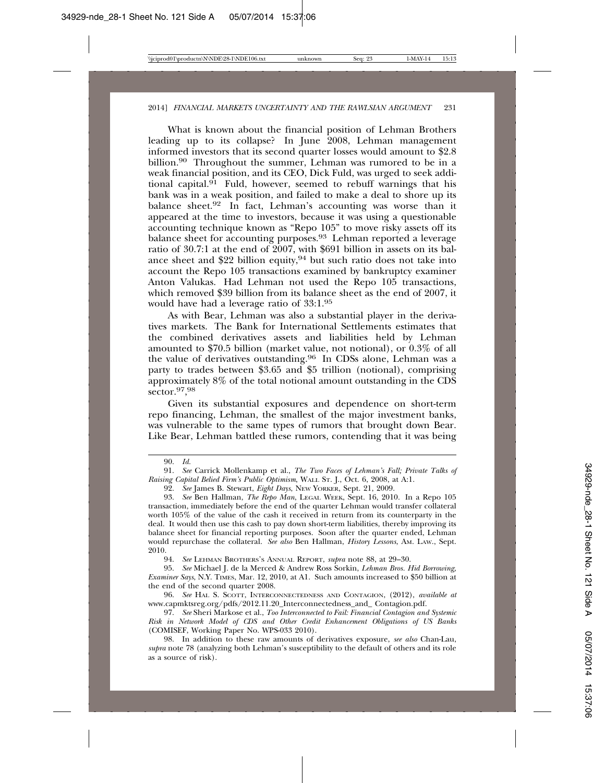What is known about the financial position of Lehman Brothers leading up to its collapse? In June 2008, Lehman management informed investors that its second quarter losses would amount to \$2.8 billion.<sup>90</sup> Throughout the summer, Lehman was rumored to be in a weak financial position, and its CEO, Dick Fuld, was urged to seek additional capital. $9^1$  Fuld, however, seemed to rebuff warnings that his bank was in a weak position, and failed to make a deal to shore up its balance sheet.<sup>92</sup> In fact, Lehman's accounting was worse than it appeared at the time to investors, because it was using a questionable accounting technique known as "Repo 105" to move risky assets off its balance sheet for accounting purposes.<sup>93</sup> Lehman reported a leverage ratio of 30.7:1 at the end of 2007, with \$691 billion in assets on its balance sheet and \$22 billion equity,  $94$  but such ratio does not take into account the Repo 105 transactions examined by bankruptcy examiner Anton Valukas. Had Lehman not used the Repo 105 transactions, which removed \$39 billion from its balance sheet as the end of 2007, it would have had a leverage ratio of 33:1.95

As with Bear, Lehman was also a substantial player in the derivatives markets. The Bank for International Settlements estimates that the combined derivatives assets and liabilities held by Lehman amounted to \$70.5 billion (market value, not notional), or 0.3% of all the value of derivatives outstanding.96 In CDSs alone, Lehman was a party to trades between \$3.65 and \$5 trillion (notional), comprising approximately  $8\%$  of the total notional amount outstanding in the CDS sector.97, 98

Given its substantial exposures and dependence on short-term repo financing, Lehman, the smallest of the major investment banks, was vulnerable to the same types of rumors that brought down Bear. Like Bear, Lehman battled these rumors, contending that it was being

94. *See* LEHMAN BROTHERS'S ANNUAL REPORT, *supra* note 88, at 29–30.

95. *See* Michael J. de la Merced & Andrew Ross Sorkin, *Lehman Bros. Hid Borrowing, Examiner Says*, N.Y. TIMES, Mar. 12, 2010, at A1. Such amounts increased to \$50 billion at the end of the second quarter 2008.

<sup>90.</sup> *Id.*

<sup>91.</sup> *See* Carrick Mollenkamp et al., *The Two Faces of Lehman's Fall; Private Talks of Raising Capital Belied Firm's Public Optimism*, WALL ST. J., Oct. 6, 2008, at A:1.

<sup>92.</sup> *See* James B. Stewart, *Eight Days*, NEW YORKER, Sept. 21, 2009.

<sup>93.</sup> *See* Ben Hallman, *The Repo Man*, LEGAL WEEK, Sept. 16, 2010. In a Repo 105 transaction, immediately before the end of the quarter Lehman would transfer collateral worth 105% of the value of the cash it received in return from its counterparty in the deal. It would then use this cash to pay down short-term liabilities, thereby improving its balance sheet for financial reporting purposes. Soon after the quarter ended, Lehman would repurchase the collateral. *See also* Ben Hallman, *History Lessons*, AM. LAW., Sept. 2010.

<sup>96.</sup> *See* HAL S. SCOTT, INTERCONNECTEDNESS AND CONTAGION, (2012), *available at* www.capmktsreg.org/pdfs/2012.11.20\_Interconnectedness\_and\_ Contagion.pdf.

<sup>97.</sup> *See* Sheri Markose et al., *Too Interconnected to Fail: Financial Contagion and Systemic Risk in Network Model of CDS and Other Credit Enhancement Obligations of US Banks* (COMISEF, Working Paper No. WPS-033 2010).

<sup>98.</sup> In addition to these raw amounts of derivatives exposure, *see also* Chan-Lau, *supra* note 78 (analyzing both Lehman's susceptibility to the default of others and its role as a source of risk).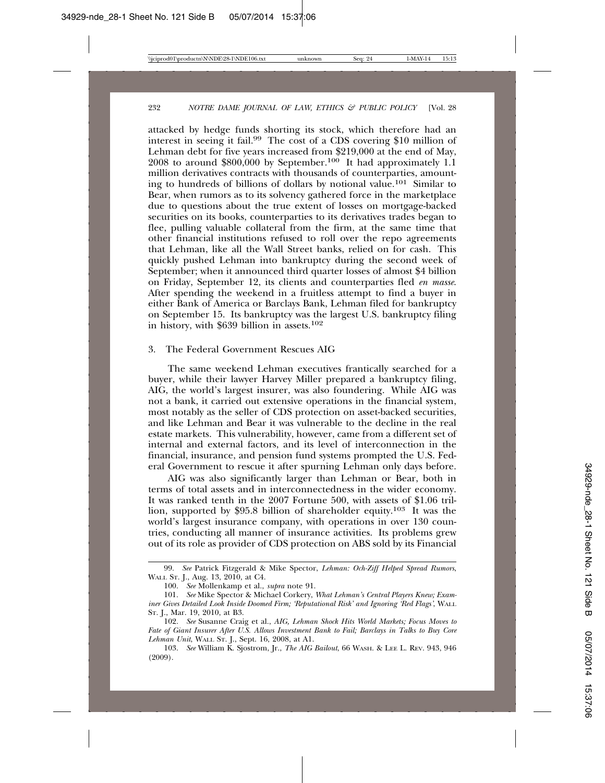attacked by hedge funds shorting its stock, which therefore had an interest in seeing it fail.<sup>99</sup> The cost of a CDS covering \$10 million of Lehman debt for five years increased from \$219,000 at the end of May, 2008 to around \$800,000 by September.<sup>100</sup> It had approximately 1.1 million derivatives contracts with thousands of counterparties, amounting to hundreds of billions of dollars by notional value.101 Similar to Bear, when rumors as to its solvency gathered force in the marketplace due to questions about the true extent of losses on mortgage-backed securities on its books, counterparties to its derivatives trades began to flee, pulling valuable collateral from the firm, at the same time that other financial institutions refused to roll over the repo agreements that Lehman, like all the Wall Street banks, relied on for cash. This quickly pushed Lehman into bankruptcy during the second week of September; when it announced third quarter losses of almost \$4 billion on Friday, September 12, its clients and counterparties fled *en masse*. After spending the weekend in a fruitless attempt to find a buyer in either Bank of America or Barclays Bank, Lehman filed for bankruptcy on September 15. Its bankruptcy was the largest U.S. bankruptcy filing in history, with \$639 billion in assets.102

#### 3. The Federal Government Rescues AIG

The same weekend Lehman executives frantically searched for a buyer, while their lawyer Harvey Miller prepared a bankruptcy filing, AIG, the world's largest insurer, was also foundering. While AIG was not a bank, it carried out extensive operations in the financial system, most notably as the seller of CDS protection on asset-backed securities, and like Lehman and Bear it was vulnerable to the decline in the real estate markets. This vulnerability, however, came from a different set of internal and external factors, and its level of interconnection in the financial, insurance, and pension fund systems prompted the U.S. Federal Government to rescue it after spurning Lehman only days before.

AIG was also significantly larger than Lehman or Bear, both in terms of total assets and in interconnectedness in the wider economy. It was ranked tenth in the 2007 Fortune 500, with assets of \$1.06 trillion, supported by \$95.8 billion of shareholder equity.103 It was the world's largest insurance company, with operations in over 130 countries, conducting all manner of insurance activities. Its problems grew out of its role as provider of CDS protection on ABS sold by its Financial

103. *See* William K. Sjostrom, Jr., *The AIG Bailout*, 66 WASH. & LEE L. REV. 943, 946 (2009).

<sup>99.</sup> *See* Patrick Fitzgerald & Mike Spector, *Lehman: Och-Ziff Helped Spread Rumors*, WALL ST. J., Aug. 13, 2010, at C4.

<sup>100.</sup> *See* Mollenkamp et al., *supra* note 91.

<sup>101.</sup> *See* Mike Spector & Michael Corkery, *What Lehman's Central Players Knew; Examiner Gives Detailed Look Inside Doomed Firm; 'Reputational Risk' and Ignoring 'Red Flags'*, WALL ST. J., Mar. 19, 2010, at B3.

<sup>102.</sup> *See* Susanne Craig et al., *AIG, Lehman Shock Hits World Markets; Focus Moves to Fate of Giant Insurer After U.S. Allows Investment Bank to Fail; Barclays in Talks to Buy Core Lehman Unit*, WALL ST. J., Sept. 16, 2008, at A1.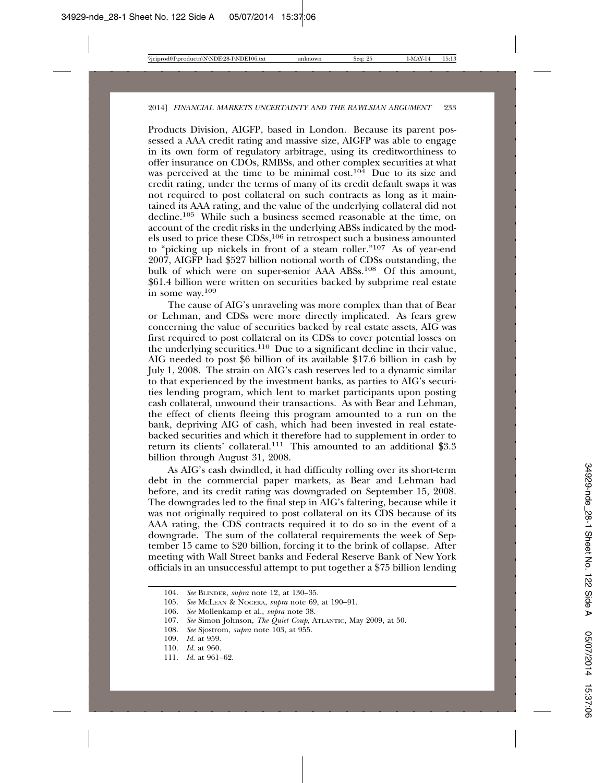Products Division, AIGFP, based in London. Because its parent possessed a AAA credit rating and massive size, AIGFP was able to engage in its own form of regulatory arbitrage, using its creditworthiness to offer insurance on CDOs, RMBSs, and other complex securities at what was perceived at the time to be minimal cost.<sup>104</sup> Due to its size and credit rating, under the terms of many of its credit default swaps it was not required to post collateral on such contracts as long as it maintained its AAA rating, and the value of the underlying collateral did not decline.105 While such a business seemed reasonable at the time, on account of the credit risks in the underlying ABSs indicated by the models used to price these CDSs,106 in retrospect such a business amounted to "picking up nickels in front of a steam roller."107 As of year-end 2007, AIGFP had \$527 billion notional worth of CDSs outstanding, the bulk of which were on super-senior AAA ABSs.<sup>108</sup> Of this amount, \$61.4 billion were written on securities backed by subprime real estate in some way.109

The cause of AIG's unraveling was more complex than that of Bear or Lehman, and CDSs were more directly implicated. As fears grew concerning the value of securities backed by real estate assets, AIG was first required to post collateral on its CDSs to cover potential losses on the underlying securities.110 Due to a significant decline in their value, AIG needed to post \$6 billion of its available \$17.6 billion in cash by July 1, 2008. The strain on AIG's cash reserves led to a dynamic similar to that experienced by the investment banks, as parties to AIG's securities lending program, which lent to market participants upon posting cash collateral, unwound their transactions. As with Bear and Lehman, the effect of clients fleeing this program amounted to a run on the bank, depriving AIG of cash, which had been invested in real estatebacked securities and which it therefore had to supplement in order to return its clients' collateral.111 This amounted to an additional \$3.3 billion through August 31, 2008.

As AIG's cash dwindled, it had difficulty rolling over its short-term debt in the commercial paper markets, as Bear and Lehman had before, and its credit rating was downgraded on September 15, 2008. The downgrades led to the final step in AIG's faltering, because while it was not originally required to post collateral on its CDS because of its AAA rating, the CDS contracts required it to do so in the event of a downgrade. The sum of the collateral requirements the week of September 15 came to \$20 billion, forcing it to the brink of collapse. After meeting with Wall Street banks and Federal Reserve Bank of New York officials in an unsuccessful attempt to put together a \$75 billion lending

<sup>104.</sup> *See* BLINDER, *supra* note 12, at 130–35.

<sup>105.</sup> *See* MCLEAN & NOCERA, *supra* note 69, at 190–91.

<sup>106.</sup> *See* Mollenkamp et al., *supra* note 38.

<sup>107.</sup> *See* Simon Johnson, *The Quiet Coup*, ATLANTIC, May 2009, at 50.

<sup>108.</sup> *See* Sjostrom, *supra* note 103, at 955.

<sup>109.</sup> *Id.* at 959.

<sup>110.</sup> *Id.* at 960.

<sup>111.</sup> *Id.* at 961–62.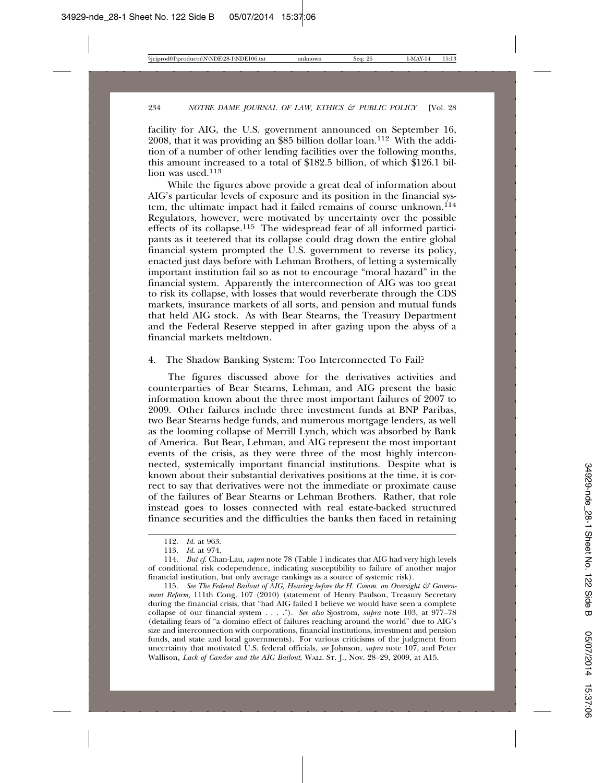facility for AIG, the U.S. government announced on September 16, 2008, that it was providing an \$85 billion dollar loan.112 With the addition of a number of other lending facilities over the following months, this amount increased to a total of \$182.5 billion, of which  $$126.1$  billion was used.<sup>113</sup>

While the figures above provide a great deal of information about AIG's particular levels of exposure and its position in the financial system, the ultimate impact had it failed remains of course unknown.<sup>114</sup> Regulators, however, were motivated by uncertainty over the possible effects of its collapse.115 The widespread fear of all informed participants as it teetered that its collapse could drag down the entire global financial system prompted the U.S. government to reverse its policy, enacted just days before with Lehman Brothers, of letting a systemically important institution fail so as not to encourage "moral hazard" in the financial system. Apparently the interconnection of AIG was too great to risk its collapse, with losses that would reverberate through the CDS markets, insurance markets of all sorts, and pension and mutual funds that held AIG stock. As with Bear Stearns, the Treasury Department and the Federal Reserve stepped in after gazing upon the abyss of a financial markets meltdown.

4. The Shadow Banking System: Too Interconnected To Fail?

The figures discussed above for the derivatives activities and counterparties of Bear Stearns, Lehman, and AIG present the basic information known about the three most important failures of 2007 to 2009. Other failures include three investment funds at BNP Paribas, two Bear Stearns hedge funds, and numerous mortgage lenders, as well as the looming collapse of Merrill Lynch, which was absorbed by Bank of America. But Bear, Lehman, and AIG represent the most important events of the crisis, as they were three of the most highly interconnected, systemically important financial institutions. Despite what is known about their substantial derivatives positions at the time, it is correct to say that derivatives were not the immediate or proximate cause of the failures of Bear Stearns or Lehman Brothers. Rather, that role instead goes to losses connected with real estate-backed structured finance securities and the difficulties the banks then faced in retaining

<sup>112.</sup> *Id.* at 963.

<sup>113.</sup> *Id.* at 974.

<sup>114.</sup> *But cf*. Chan-Lau, *supra* note 78 (Table 1 indicates that AIG had very high levels of conditional risk codependence, indicating susceptibility to failure of another major financial institution, but only average rankings as a source of systemic risk).

<sup>115.</sup> *See The Federal Bailout of AIG, Hearing before the H. Comm. on Oversight & Government Reform,* 111th Cong. 107 (2010) (statement of Henry Paulson, Treasury Secretary during the financial crisis, that "had AIG failed I believe we would have seen a complete collapse of our financial system . . . ."). *See also* Sjostrom, *supra* note 103, at 977–78 (detailing fears of "a domino effect of failures reaching around the world" due to AIG's size and interconnection with corporations, financial institutions, investment and pension funds, and state and local governments). For various criticisms of the judgment from uncertainty that motivated U.S. federal officials, *see* Johnson, *supra* note 107, and Peter Wallison, *Lack of Candor and the AIG Bailout*, WALL ST. J., Nov. 28–29, 2009, at A15.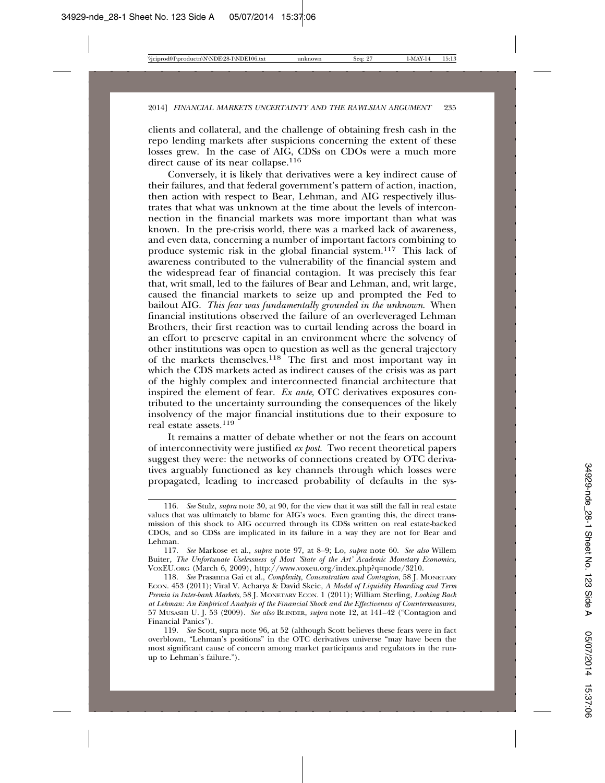clients and collateral, and the challenge of obtaining fresh cash in the repo lending markets after suspicions concerning the extent of these losses grew. In the case of AIG, CDSs on CDOs were a much more direct cause of its near collapse.<sup>116</sup>

Conversely, it is likely that derivatives were a key indirect cause of their failures, and that federal government's pattern of action, inaction, then action with respect to Bear, Lehman, and AIG respectively illustrates that what was unknown at the time about the levels of interconnection in the financial markets was more important than what was known. In the pre-crisis world, there was a marked lack of awareness, and even data, concerning a number of important factors combining to produce systemic risk in the global financial system.117 This lack of awareness contributed to the vulnerability of the financial system and the widespread fear of financial contagion. It was precisely this fear that, writ small, led to the failures of Bear and Lehman, and, writ large, caused the financial markets to seize up and prompted the Fed to bailout AIG. *This fear was fundamentally grounded in the unknown*. When financial institutions observed the failure of an overleveraged Lehman Brothers, their first reaction was to curtail lending across the board in an effort to preserve capital in an environment where the solvency of other institutions was open to question as well as the general trajectory of the markets themselves.118 The first and most important way in which the CDS markets acted as indirect causes of the crisis was as part of the highly complex and interconnected financial architecture that inspired the element of fear. *Ex ante*, OTC derivatives exposures contributed to the uncertainty surrounding the consequences of the likely insolvency of the major financial institutions due to their exposure to real estate assets.119

It remains a matter of debate whether or not the fears on account of interconnectivity were justified *ex post*. Two recent theoretical papers suggest they were: the networks of connections created by OTC derivatives arguably functioned as key channels through which losses were propagated, leading to increased probability of defaults in the sys-

<sup>116.</sup> *See* Stulz, *supra* note 30, at 90, for the view that it was still the fall in real estate values that was ultimately to blame for AIG's woes. Even granting this, the direct transmission of this shock to AIG occurred through its CDSs written on real estate-backed CDOs, and so CDSs are implicated in its failure in a way they are not for Bear and Lehman.

<sup>117.</sup> *See* Markose et al., *supra* note 97, at 8–9; Lo, *supra* note 60. *See also* Willem Buiter*, The Unfortunate Uselessness of Most 'State of the Art' Academic Monetary Economics,* VOXEU.ORG (March 6, 2009), http://www.voxeu.org/index.php?q=node/3210.

<sup>118.</sup> *See* Prasanna Gai et al., *Complexity, Concentration and Contagion*, 58 J. MONETARY ECON. 453 (2011); Viral V. Acharya & David Skeie, *A Model of Liquidity Hoarding and Term Premia in Inter-bank Markets*, 58 J. MONETARY ECON. 1 (2011); William Sterling, *Looking Back at Lehman: An Empirical Analysis of the Financial Shock and the Effectiveness of Countermeasures*, 57 MUSASHI U. J. 53 (2009). *See also* BLINDER, *supra* note 12, at 141–42 ("Contagion and Financial Panics").

<sup>119.</sup> *See* Scott, supra note 96, at 52 (although Scott believes these fears were in fact overblown, "Lehman's positions" in the OTC derivatives universe "may have been the most significant cause of concern among market participants and regulators in the runup to Lehman's failure.").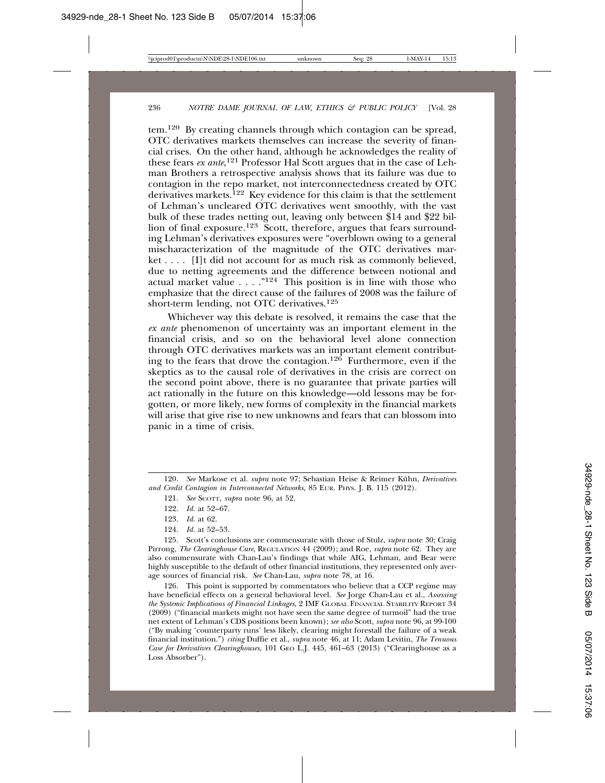tem.120 By creating channels through which contagion can be spread, OTC derivatives markets themselves can increase the severity of financial crises. On the other hand, although he acknowledges the reality of these fears *ex ante*, 121 Professor Hal Scott argues that in the case of Lehman Brothers a retrospective analysis shows that its failure was due to contagion in the repo market, not interconnectedness created by OTC derivatives markets.<sup>122</sup> Key evidence for this claim is that the settlement of Lehman's uncleared OTC derivatives went smoothly, with the vast bulk of these trades netting out, leaving only between \$14 and \$22 billion of final exposure.<sup>123</sup> Scott, therefore, argues that fears surrounding Lehman's derivatives exposures were "overblown owing to a general mischaracterization of the magnitude of the OTC derivatives market . . . . [I]t did not account for as much risk as commonly believed, due to netting agreements and the difference between notional and actual market value  $\dots$ ."<sup>124</sup> This position is in line with those who emphasize that the direct cause of the failures of 2008 was the failure of short-term lending, not OTC derivatives.125

Whichever way this debate is resolved, it remains the case that the *ex ante* phenomenon of uncertainty was an important element in the financial crisis, and so on the behavioral level alone connection through OTC derivatives markets was an important element contributing to the fears that drove the contagion.126 Furthermore, even if the skeptics as to the causal role of derivatives in the crisis are correct on the second point above, there is no guarantee that private parties will act rationally in the future on this knowledge—old lessons may be forgotten, or more likely, new forms of complexity in the financial markets will arise that give rise to new unknowns and fears that can blossom into panic in a time of crisis.

- 122. *Id.* at 52–67.
- 123. *Id.* at 62.
- 124. *Id.* at 52–53.

125. Scott's conclusions are commensurate with those of Stulz, *supra* note 30; Craig Pirrong, *The Clearinghouse Cure*, REGULATION 44 (2009); and Roe, *supra* note 62. They are also commensurate with Chan-Lau's findings that while AIG, Lehman, and Bear were highly susceptible to the default of other financial institutions, they represented only average sources of financial risk. *See* Chan-Lau, *supra* note 78, at 16.

126. This point is supported by commentators who believe that a CCP regime may have beneficial effects on a general behavioral level. *See* Jorge Chan-Lau et al., *Assessing the Systemic Implications of Financial Linkages*, 2 IMF GLOBAL FINANCIAL STABILITY REPORT 34 (2009) ("financial markets might not have seen the same degree of turmoil" had the true net extent of Lehman's CDS positions been known); *see also* Scott, *supra* note 96, at 99-100 ("By making 'counterparty runs' less likely, clearing might forestall the failure of a weak financial institution.") *citing* Duffie et al., *supra* note 46, at 11; Adam Levitin, *The Tenuous Case for Derivatives Clearinghouses*, 101 GEO L.J. 445, 461–63 (2013) ("Clearinghouse as a Loss Absorber").

<sup>120.</sup> *See* Markose et al. *supra* note 97; Sebastian Heise & Reimer Kuhn, *Derivatives and Credit Contagion in Interconnected Networks,* 85 EUR. PHYS. J. B. 115 (2012).

<sup>121.</sup> *See* SCOTT, *supra* note 96, at 52.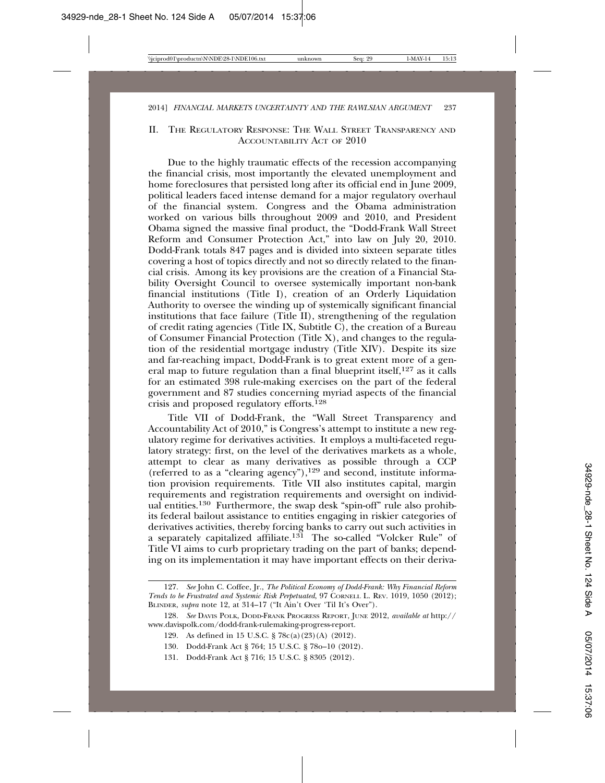# II. THE REGULATORY RESPONSE: THE WALL STREET TRANSPARENCY AND ACCOUNTABILITY ACT OF 2010

Due to the highly traumatic effects of the recession accompanying the financial crisis, most importantly the elevated unemployment and home foreclosures that persisted long after its official end in June 2009, political leaders faced intense demand for a major regulatory overhaul of the financial system. Congress and the Obama administration worked on various bills throughout 2009 and 2010, and President Obama signed the massive final product, the "Dodd-Frank Wall Street Reform and Consumer Protection Act," into law on July 20, 2010. Dodd-Frank totals 847 pages and is divided into sixteen separate titles covering a host of topics directly and not so directly related to the financial crisis. Among its key provisions are the creation of a Financial Stability Oversight Council to oversee systemically important non-bank financial institutions (Title I), creation of an Orderly Liquidation Authority to oversee the winding up of systemically significant financial institutions that face failure (Title II), strengthening of the regulation of credit rating agencies (Title IX, Subtitle  $\overrightarrow{C}$ ), the creation of a Bureau of Consumer Financial Protection (Title X), and changes to the regulation of the residential mortgage industry (Title XIV). Despite its size and far-reaching impact, Dodd-Frank is to great extent more of a general map to future regulation than a final blueprint itself,  $127$  as it calls for an estimated 398 rule-making exercises on the part of the federal government and 87 studies concerning myriad aspects of the financial crisis and proposed regulatory efforts.<sup>128</sup>

Title VII of Dodd-Frank, the "Wall Street Transparency and Accountability Act of 2010," is Congress's attempt to institute a new regulatory regime for derivatives activities. It employs a multi-faceted regulatory strategy: first, on the level of the derivatives markets as a whole, attempt to clear as many derivatives as possible through a CCP (referred to as a "clearing agency"), $129$  and second, institute information provision requirements. Title VII also institutes capital, margin requirements and registration requirements and oversight on individual entities.130 Furthermore, the swap desk "spin-off" rule also prohibits federal bailout assistance to entities engaging in riskier categories of derivatives activities, thereby forcing banks to carry out such activities in a separately capitalized affiliate.131 The so-called "Volcker Rule" of Title VI aims to curb proprietary trading on the part of banks; depending on its implementation it may have important effects on their deriva-

<sup>127.</sup> *See* John C. Coffee, Jr., *The Political Economy of Dodd-Frank: Why Financial Reform Tends to be Frustrated and Systemic Risk Perpetuated*, 97 CORNELL L. REV. 1019, 1050 (2012); BLINDER, *supra* note 12, at 314–17 ("It Ain't Over 'Til It's Over").

<sup>128.</sup> *See* DAVIS POLK, DODD-FRANK PROGRESS REPORT, JUNE 2012, *available at* http:// www.davispolk.com/dodd-frank-rulemaking-progress-report.

<sup>129.</sup> As defined in 15 U.S.C. § 78c(a)(23)(A) (2012).

<sup>130.</sup> Dodd-Frank Act § 764; 15 U.S.C. § 78o–10 (2012).

<sup>131.</sup> Dodd-Frank Act § 716; 15 U.S.C. § 8305 (2012).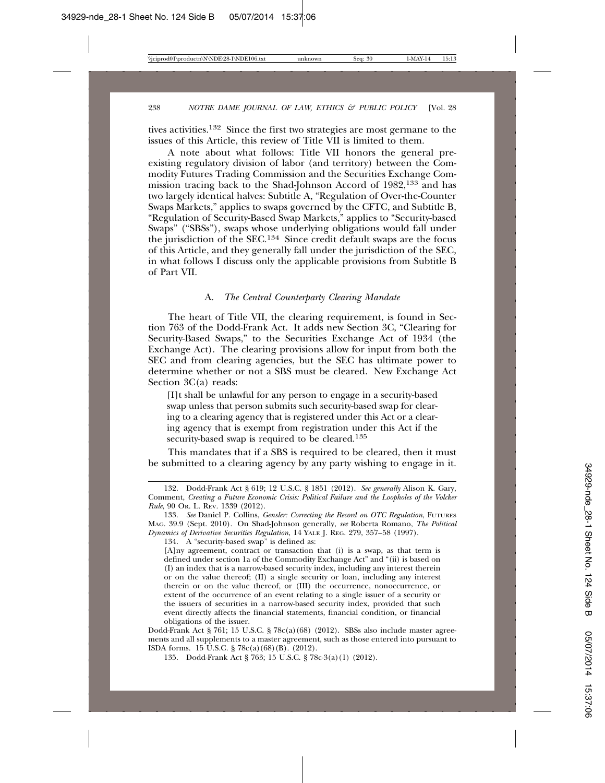tives activities.132 Since the first two strategies are most germane to the issues of this Article, this review of Title VII is limited to them.

A note about what follows: Title VII honors the general preexisting regulatory division of labor (and territory) between the Commodity Futures Trading Commission and the Securities Exchange Commission tracing back to the Shad-Johnson Accord of 1982,133 and has two largely identical halves: Subtitle A, "Regulation of Over-the-Counter Swaps Markets," applies to swaps governed by the CFTC, and Subtitle B, "Regulation of Security-Based Swap Markets," applies to "Security-based Swaps" ("SBSs"), swaps whose underlying obligations would fall under the jurisdiction of the SEC.134 Since credit default swaps are the focus of this Article, and they generally fall under the jurisdiction of the SEC, in what follows I discuss only the applicable provisions from Subtitle B of Part VII.

#### A. *The Central Counterparty Clearing Mandate*

The heart of Title VII, the clearing requirement, is found in Section 763 of the Dodd-Frank Act. It adds new Section 3C, "Clearing for Security-Based Swaps," to the Securities Exchange Act of 1934 (the Exchange Act). The clearing provisions allow for input from both the SEC and from clearing agencies, but the SEC has ultimate power to determine whether or not a SBS must be cleared. New Exchange Act Section 3C(a) reads:

[I]t shall be unlawful for any person to engage in a security-based swap unless that person submits such security-based swap for clearing to a clearing agency that is registered under this Act or a clearing agency that is exempt from registration under this Act if the security-based swap is required to be cleared.135

This mandates that if a SBS is required to be cleared, then it must be submitted to a clearing agency by any party wishing to engage in it.

135. Dodd-Frank Act § 763; 15 U.S.C. § 78c-3(a)(1) (2012).

<sup>132.</sup> Dodd-Frank Act § 619; 12 U.S.C. § 1851 (2012). *See generally* Alison K. Gary, Comment, *Creating a Future Economic Crisis: Political Failure and the Loopholes of the Volcker Rule*, 90 OR. L. REV. 1339 (2012).

<sup>133.</sup> *See* Daniel P. Collins, *Gensler: Correcting the Record on OTC Regulation*, FUTURES MAG. 39.9 (Sept. 2010). On Shad-Johnson generally, *see* Roberta Romano, *The Political Dynamics of Derivative Securities Regulation*, 14 YALE J. REG. 279, 357–58 (1997).

<sup>134.</sup> A "security-based swap" is defined as:

<sup>[</sup>A]ny agreement, contract or transaction that (i) is a swap, as that term is defined under section 1a of the Commodity Exchange Act" and "(ii) is based on (I) an index that is a narrow-based security index, including any interest therein or on the value thereof; (II) a single security or loan, including any interest therein or on the value thereof, or (III) the occurrence, nonoccurrence, or extent of the occurrence of an event relating to a single issuer of a security or the issuers of securities in a narrow-based security index, provided that such event directly affects the financial statements, financial condition, or financial obligations of the issuer.

Dodd-Frank Act § 761; 15 U.S.C. § 78c(a)(68) (2012). SBSs also include master agreements and all supplements to a master agreement, such as those entered into pursuant to ISDA forms. 15 U.S.C. § 78c(a)(68)(B). (2012).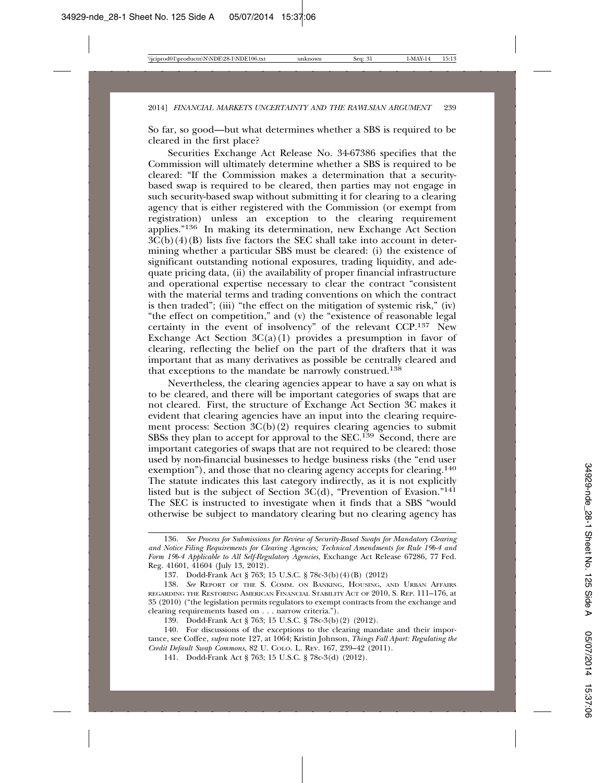So far, so good—but what determines whether a SBS is required to be cleared in the first place?

Securities Exchange Act Release No. 34-67386 specifies that the Commission will ultimately determine whether a SBS is required to be cleared: "If the Commission makes a determination that a securitybased swap is required to be cleared, then parties may not engage in such security-based swap without submitting it for clearing to a clearing agency that is either registered with the Commission (or exempt from registration) unless an exception to the clearing requirement applies."136 In making its determination, new Exchange Act Section  $3\tilde{C}(b)(4)(B)$  lists five factors the SEC shall take into account in determining whether a particular SBS must be cleared: (i) the existence of significant outstanding notional exposures, trading liquidity, and adequate pricing data, (ii) the availability of proper financial infrastructure and operational expertise necessary to clear the contract "consistent with the material terms and trading conventions on which the contract is then traded"; (iii) "the effect on the mitigation of systemic risk," (iv) "the effect on competition," and (v) the "existence of reasonable legal certainty in the event of insolvency" of the relevant CCP.<sup>137</sup> New Exchange Act Section  $3C(a)(1)$  provides a presumption in favor of clearing, reflecting the belief on the part of the drafters that it was important that as many derivatives as possible be centrally cleared and that exceptions to the mandate be narrowly construed.138

Nevertheless, the clearing agencies appear to have a say on what is to be cleared, and there will be important categories of swaps that are not cleared. First, the structure of Exchange Act Section 3C makes it evident that clearing agencies have an input into the clearing requirement process: Section  ${}^3C(b)(2)$  requires clearing agencies to submit SBSs they plan to accept for approval to the SEC.<sup>139</sup> Second, there are important categories of swaps that are not required to be cleared: those used by non-financial businesses to hedge business risks (the "end user exemption"), and those that no clearing agency accepts for clearing.<sup>140</sup> The statute indicates this last category indirectly, as it is not explicitly listed but is the subject of Section  $3C(d)$ , "Prevention of Evasion."<sup>141</sup> The SEC is instructed to investigate when it finds that a SBS "would otherwise be subject to mandatory clearing but no clearing agency has

<sup>136.</sup> *See Process for Submissions for Review of Security-Based Swaps for Mandatory Clearing and Notice Filing Requirements for Clearing Agencies; Technical Amendments for Rule 19b-4 and Form 19b-4 Applicable to All Self-Regulatory Agencies*, Exchange Act Release 67286, 77 Fed. Reg. 41601, 41604 (July 13, 2012).

<sup>137.</sup> Dodd-Frank Act § 763; 15 U.S.C. § 78c-3(b)(4)(B) (2012)

<sup>138.</sup> *See* REPORT OF THE S. COMM. ON BANKING, HOUSING, AND URBAN AFFAIRS REGARDING THE RESTORING AMERICAN FINANCIAL STABILITY ACT OF 2010, S. REP. 111–176, at 35 (2010) ("the legislation permits regulators to exempt contracts from the exchange and clearing requirements based on . . . narrow criteria.").

<sup>139.</sup> Dodd-Frank Act § 763; 15 U.S.C. § 78c-3(b)(2) (2012).

<sup>140.</sup> For discussions of the exceptions to the clearing mandate and their importance, see Coffee, *supra* note 127, at 1064; Kristin Johnson, *Things Fall Apart: Regulating the Credit Default Swap Commons*, 82 U. COLO. L. REV. 167, 239–42 (2011).

<sup>141.</sup> Dodd-Frank Act § 763; 15 U.S.C. § 78c-3(d) (2012).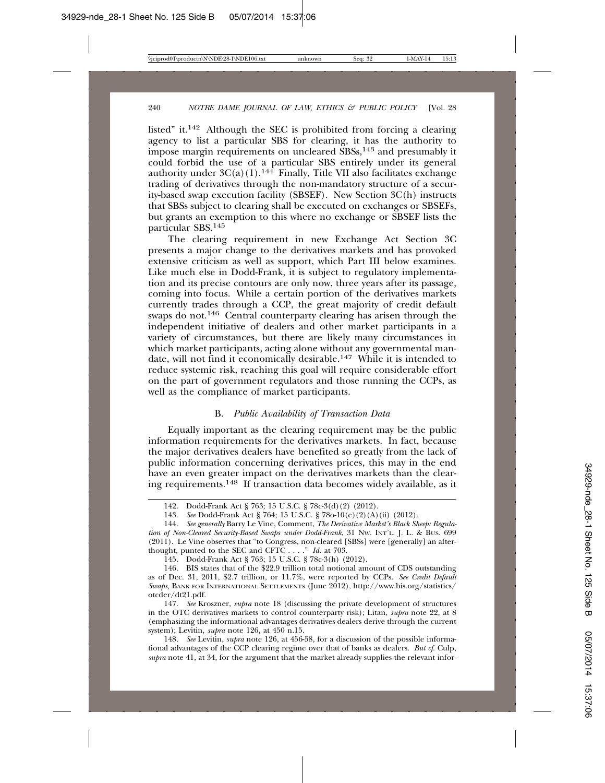listed" it.142 Although the SEC is prohibited from forcing a clearing agency to list a particular SBS for clearing, it has the authority to impose margin requirements on uncleared SBSs,143 and presumably it could forbid the use of a particular SBS entirely under its general authority under  $3C(a)(1)$ .<sup>144</sup> Finally, Title VII also facilitates exchange trading of derivatives through the non-mandatory structure of a security-based swap execution facility (SBSEF). New Section 3C(h) instructs that SBSs subject to clearing shall be executed on exchanges or SBSEFs, but grants an exemption to this where no exchange or SBSEF lists the particular SBS.145

The clearing requirement in new Exchange Act Section 3C presents a major change to the derivatives markets and has provoked extensive criticism as well as support, which Part III below examines. Like much else in Dodd-Frank, it is subject to regulatory implementation and its precise contours are only now, three years after its passage, coming into focus. While a certain portion of the derivatives markets currently trades through a CCP, the great majority of credit default swaps do not.<sup>146</sup> Central counterparty clearing has arisen through the independent initiative of dealers and other market participants in a variety of circumstances, but there are likely many circumstances in which market participants, acting alone without any governmental mandate, will not find it economically desirable.147 While it is intended to reduce systemic risk, reaching this goal will require considerable effort on the part of government regulators and those running the CCPs, as well as the compliance of market participants.

#### B. *Public Availability of Transaction Data*

Equally important as the clearing requirement may be the public information requirements for the derivatives markets. In fact, because the major derivatives dealers have benefited so greatly from the lack of public information concerning derivatives prices, this may in the end have an even greater impact on the derivatives markets than the clearing requirements.148 If transaction data becomes widely available, as it

148. *See* Levitin, *supra* note 126, at 456-58, for a discussion of the possible informational advantages of the CCP clearing regime over that of banks as dealers. *But cf*. Culp, *supra* note 41, at 34, for the argument that the market already supplies the relevant infor-

<sup>142.</sup> Dodd-Frank Act § 763; 15 U.S.C. § 78c-3(d)(2) (2012).

<sup>143.</sup> *See* Dodd-Frank Act § 764; 15 U.S.C. § 78o-10(e)(2)(A)(ii) (2012).

<sup>144.</sup> *See generally* Barry Le Vine, Comment, *The Derivative Market's Black Sheep: Regulation of Non-Cleared Security-Based Swaps under Dodd-Frank*, 31 NW. INT'L. J. L. & BUS. 699 (2011). Le Vine observes that "to Congress, non-cleared [SBSs] were [generally] an afterthought, punted to the SEC and CFTC . . . ." *Id.* at 703.

<sup>145.</sup> Dodd-Frank Act § 763; 15 U.S.C. § 78c-3(h) (2012).

<sup>146.</sup> BIS states that of the \$22.9 trillion total notional amount of CDS outstanding as of Dec. 31, 2011, \$2.7 trillion, or 11.7%, were reported by CCPs. *See Credit Default Swaps,* BANK FOR INTERNATIONAL SETTLEMENTS (June 2012), http://www.bis.org/statistics/ otcder/dt21.pdf.

<sup>147.</sup> *See* Kroszner, *supra* note 18 (discussing the private development of structures in the OTC derivatives markets to control counterparty risk); Litan, *supra* note 22, at 8 (emphasizing the informational advantages derivatives dealers derive through the current system); Levitin, *supra* note 126, at 450 n.15.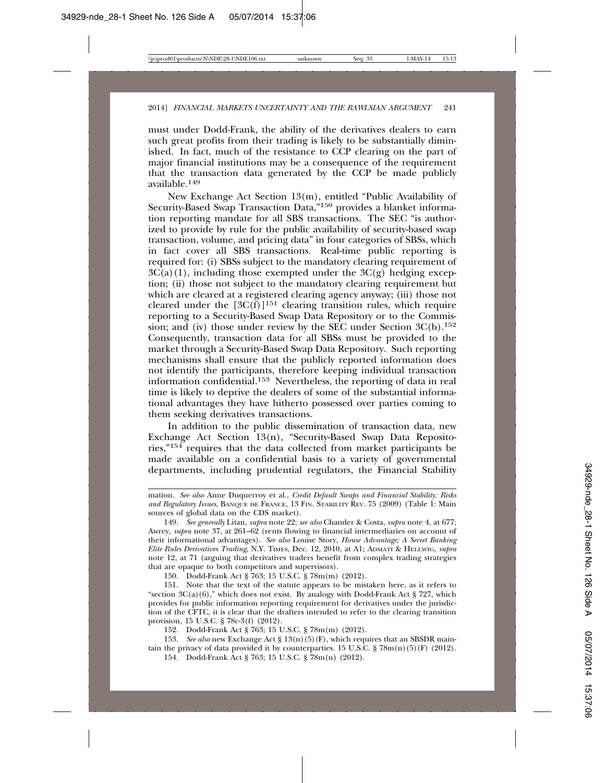must under Dodd-Frank, the ability of the derivatives dealers to earn such great profits from their trading is likely to be substantially diminished. In fact, much of the resistance to CCP clearing on the part of major financial institutions may be a consequence of the requirement that the transaction data generated by the CCP be made publicly available.<sup>149</sup>

New Exchange Act Section 13(m), entitled "Public Availability of Security-Based Swap Transaction Data,"150 provides a blanket information reporting mandate for all SBS transactions. The SEC "is authorized to provide by rule for the public availability of security-based swap transaction, volume, and pricing data" in four categories of SBSs, which in fact cover all SBS transactions. Real-time public reporting is required for: (i) SBSs subject to the mandatory clearing requirement of  $3C(a)(1)$ , including those exempted under the  $3C(g)$  hedging exception; (ii) those not subject to the mandatory clearing requirement but which are cleared at a registered clearing agency anyway; (iii) those not cleared under the  $[3C(\tilde{f})]^{151}$  clearing transition rules, which require reporting to a Security-Based Swap Data Repository or to the Commission; and (iv) those under review by the SEC under Section  $3C(b)$ .<sup>152</sup> Consequently, transaction data for all SBSs must be provided to the market through a Security-Based Swap Data Repository. Such reporting mechanisms shall ensure that the publicly reported information does not identify the participants, therefore keeping individual transaction information confidential.153 Nevertheless, the reporting of data in real time is likely to deprive the dealers of some of the substantial informational advantages they have hitherto possessed over parties coming to them seeking derivatives transactions.

In addition to the public dissemination of transaction data, new Exchange Act Section 13(n), "Security-Based Swap Data Repositories," $154$  requires that the data collected from market participants be made available on a confidential basis to a variety of governmental departments, including prudential regulators, the Financial Stability

150. Dodd-Frank Act § 763; 15 U.S.C. § 78m(m) (2012).

152. Dodd-Frank Act § 763; 15 U.S.C. § 78m(m) (2012).

153. *See also* new Exchange Act § 13(n)(5)(F), which requires that an SBSDR maintain the privacy of data provided it by counterparties. 15 U.S.C. §  $78m(n)(5)(F)$  (2012).

154. Dodd-Frank Act § 763; 15 U.S.C. § 78m(n) (2012).

mation. *See also* Anne Duquerroy et al., *Credit Default Swaps and Financial Stability: Risks and Regulatory Issues*, BANQUE DE FRANCE, 13 FIN. STABILITY REV. 75 (2009) (Table 1: Main sources of global data on the CDS market).

<sup>149.</sup> *See generally* Litan, *supra* note 22; *see also* Chander & Costa, *supra* note 4, at 677; Awrey, *supra* note 37, at 261–62 (rents flowing to financial intermediaries on account of their informational advantages). *See also* Louise Story, *House Advantage; A Secret Banking Elite Rules Derivatives Trading*, N.Y. TIMES, Dec. 12, 2010, at A1; ADMATI & HELLWIG, *supra* note 12, at 71 (arguing that derivatives traders benefit from complex trading strategies that are opaque to both competitors and supervisors).

<sup>151.</sup> Note that the text of the statute appears to be mistaken here, as it refers to "section  $3C(a)(6)$ ," which does not exist. By analogy with Dodd-Frank Act § 727, which provides for public information reporting requirement for derivatives under the jurisdiction of the CFTC, it is clear that the drafters intended to refer to the clearing transition provision, 15 U.S.C. § 78c-3(f) (2012).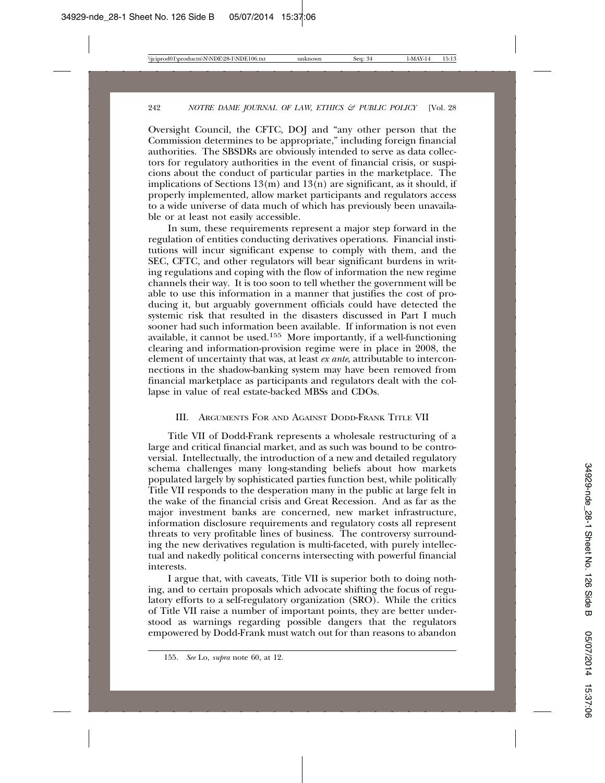Oversight Council, the CFTC, DOJ and "any other person that the Commission determines to be appropriate," including foreign financial authorities. The SBSDRs are obviously intended to serve as data collectors for regulatory authorities in the event of financial crisis, or suspicions about the conduct of particular parties in the marketplace. The implications of Sections  $13(m)$  and  $13(n)$  are significant, as it should, if properly implemented, allow market participants and regulators access to a wide universe of data much of which has previously been unavailable or at least not easily accessible.

In sum, these requirements represent a major step forward in the regulation of entities conducting derivatives operations. Financial institutions will incur significant expense to comply with them, and the SEC, CFTC, and other regulators will bear significant burdens in writing regulations and coping with the flow of information the new regime channels their way. It is too soon to tell whether the government will be able to use this information in a manner that justifies the cost of producing it, but arguably government officials could have detected the systemic risk that resulted in the disasters discussed in Part I much sooner had such information been available. If information is not even available, it cannot be used.155 More importantly, if a well-functioning clearing and information-provision regime were in place in 2008, the element of uncertainty that was, at least *ex ante*, attributable to interconnections in the shadow-banking system may have been removed from financial marketplace as participants and regulators dealt with the collapse in value of real estate-backed MBSs and CDOs.

# III. ARGUMENTS FOR AND AGAINST DODD-FRANK TITLE VII

Title VII of Dodd-Frank represents a wholesale restructuring of a large and critical financial market, and as such was bound to be controversial. Intellectually, the introduction of a new and detailed regulatory schema challenges many long-standing beliefs about how markets populated largely by sophisticated parties function best, while politically Title VII responds to the desperation many in the public at large felt in the wake of the financial crisis and Great Recession. And as far as the major investment banks are concerned, new market infrastructure, information disclosure requirements and regulatory costs all represent threats to very profitable lines of business. The controversy surrounding the new derivatives regulation is multi-faceted, with purely intellectual and nakedly political concerns intersecting with powerful financial interests.

I argue that, with caveats, Title VII is superior both to doing nothing, and to certain proposals which advocate shifting the focus of regulatory efforts to a self-regulatory organization (SRO). While the critics of Title VII raise a number of important points, they are better understood as warnings regarding possible dangers that the regulators empowered by Dodd-Frank must watch out for than reasons to abandon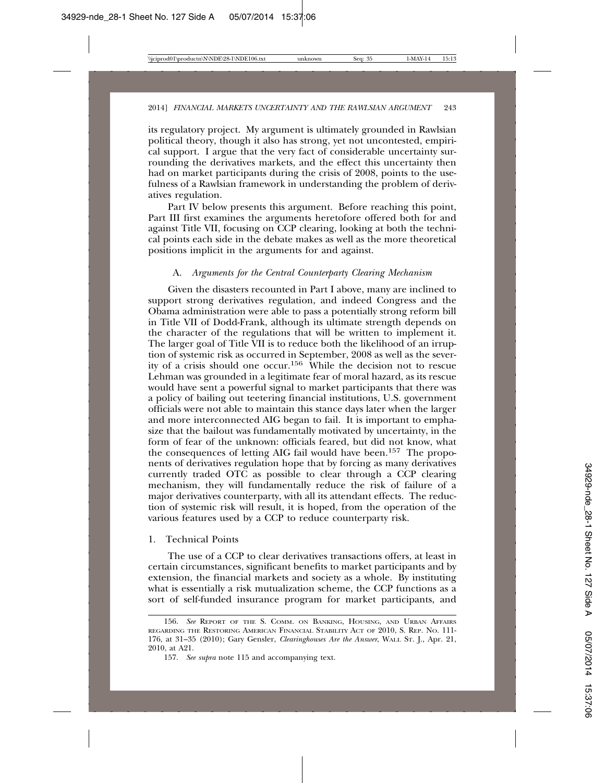its regulatory project. My argument is ultimately grounded in Rawlsian political theory, though it also has strong, yet not uncontested, empirical support. I argue that the very fact of considerable uncertainty surrounding the derivatives markets, and the effect this uncertainty then had on market participants during the crisis of 2008, points to the usefulness of a Rawlsian framework in understanding the problem of derivatives regulation.

Part IV below presents this argument. Before reaching this point, Part III first examines the arguments heretofore offered both for and against Title VII, focusing on CCP clearing, looking at both the technical points each side in the debate makes as well as the more theoretical positions implicit in the arguments for and against.

#### A. *Arguments for the Central Counterparty Clearing Mechanism*

Given the disasters recounted in Part I above, many are inclined to support strong derivatives regulation, and indeed Congress and the Obama administration were able to pass a potentially strong reform bill in Title VII of Dodd-Frank, although its ultimate strength depends on the character of the regulations that will be written to implement it. The larger goal of Title VII is to reduce both the likelihood of an irruption of systemic risk as occurred in September, 2008 as well as the severity of a crisis should one occur.156 While the decision not to rescue Lehman was grounded in a legitimate fear of moral hazard, as its rescue would have sent a powerful signal to market participants that there was a policy of bailing out teetering financial institutions, U.S. government officials were not able to maintain this stance days later when the larger and more interconnected AIG began to fail. It is important to emphasize that the bailout was fundamentally motivated by uncertainty, in the form of fear of the unknown: officials feared, but did not know, what the consequences of letting AIG fail would have been.157 The proponents of derivatives regulation hope that by forcing as many derivatives currently traded OTC as possible to clear through a CCP clearing mechanism, they will fundamentally reduce the risk of failure of a major derivatives counterparty, with all its attendant effects. The reduction of systemic risk will result, it is hoped, from the operation of the various features used by a CCP to reduce counterparty risk.

#### 1. Technical Points

The use of a CCP to clear derivatives transactions offers, at least in certain circumstances, significant benefits to market participants and by extension, the financial markets and society as a whole. By instituting what is essentially a risk mutualization scheme, the CCP functions as a sort of self-funded insurance program for market participants, and

<sup>156.</sup> *See* REPORT OF THE S. COMM. ON BANKING, HOUSING, AND URBAN AFFAIRS REGARDING THE RESTORING AMERICAN FINANCIAL STABILITY ACT OF 2010, S. REP. NO. 111- 176, at 31–35 (2010); Gary Gensler, *Clearinghouses Are the Answer*, WALL ST. J., Apr. 21, 2010, at A21.

<sup>157.</sup> *See supra* note 115 and accompanying text.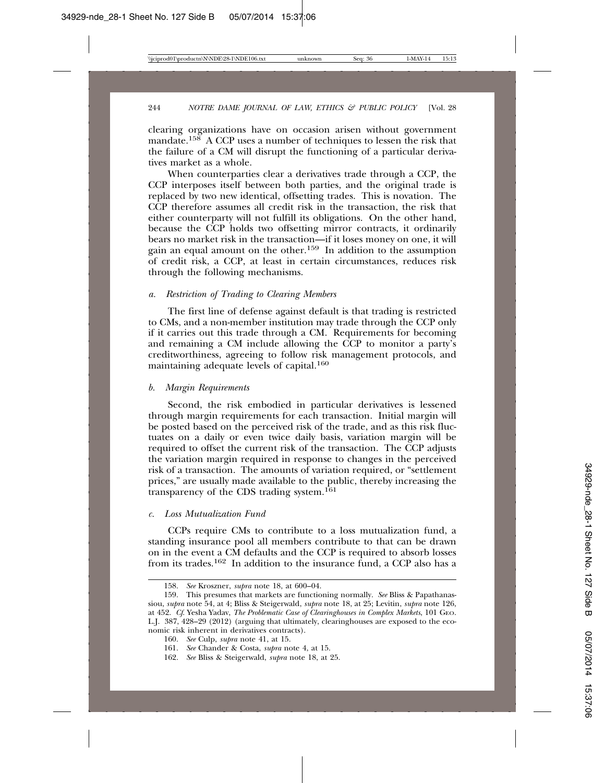clearing organizations have on occasion arisen without government mandate.<sup>158</sup> A CCP uses a number of techniques to lessen the risk that the failure of a CM will disrupt the functioning of a particular derivatives market as a whole.

When counterparties clear a derivatives trade through a CCP, the CCP interposes itself between both parties, and the original trade is replaced by two new identical, offsetting trades. This is novation. The CCP therefore assumes all credit risk in the transaction, the risk that either counterparty will not fulfill its obligations. On the other hand, because the CCP holds two offsetting mirror contracts, it ordinarily bears no market risk in the transaction—if it loses money on one, it will gain an equal amount on the other.<sup>159</sup> In addition to the assumption of credit risk, a CCP, at least in certain circumstances, reduces risk through the following mechanisms.

### *a. Restriction of Trading to Clearing Members*

The first line of defense against default is that trading is restricted to CMs, and a non-member institution may trade through the CCP only if it carries out this trade through a CM. Requirements for becoming and remaining a CM include allowing the CCP to monitor a party's creditworthiness, agreeing to follow risk management protocols, and maintaining adequate levels of capital.160

#### *b. Margin Requirements*

Second, the risk embodied in particular derivatives is lessened through margin requirements for each transaction. Initial margin will be posted based on the perceived risk of the trade, and as this risk fluctuates on a daily or even twice daily basis, variation margin will be required to offset the current risk of the transaction. The CCP adjusts the variation margin required in response to changes in the perceived risk of a transaction. The amounts of variation required, or "settlement prices," are usually made available to the public, thereby increasing the transparency of the CDS trading system.161

#### *c. Loss Mutualization Fund*

CCPs require CMs to contribute to a loss mutualization fund, a standing insurance pool all members contribute to that can be drawn on in the event a CM defaults and the CCP is required to absorb losses from its trades.162 In addition to the insurance fund, a CCP also has a

<sup>158.</sup> *See* Kroszner, *supra* note 18, at 600–04.

<sup>159.</sup> This presumes that markets are functioning normally. *See* Bliss & Papathanassiou, *supra* note 54, at 4; Bliss & Steigerwald, *supra* note 18, at 25; Levitin, *supra* note 126, at 452. *Cf*. Yesha Yadav, *The Problematic Case of Clearinghouses in Complex Markets*, 101 GEO. L.J. 387, 428–29 (2012) (arguing that ultimately, clearinghouses are exposed to the economic risk inherent in derivatives contracts).

<sup>160.</sup> *See* Culp, *supra* note 41, at 15.

<sup>161.</sup> *See* Chander & Costa, *supra* note 4, at 15.

<sup>162.</sup> *See* Bliss & Steigerwald, *supra* note 18, at 25.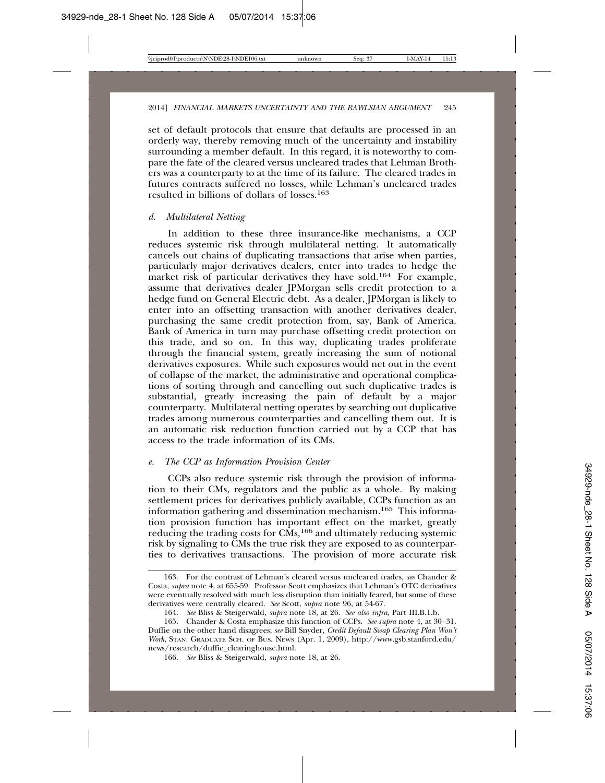set of default protocols that ensure that defaults are processed in an orderly way, thereby removing much of the uncertainty and instability surrounding a member default. In this regard, it is noteworthy to compare the fate of the cleared versus uncleared trades that Lehman Brothers was a counterparty to at the time of its failure. The cleared trades in futures contracts suffered no losses, while Lehman's uncleared trades resulted in billions of dollars of losses.163

### *d. Multilateral Netting*

In addition to these three insurance-like mechanisms, a CCP reduces systemic risk through multilateral netting. It automatically cancels out chains of duplicating transactions that arise when parties, particularly major derivatives dealers, enter into trades to hedge the market risk of particular derivatives they have sold.<sup>164</sup> For example, assume that derivatives dealer JPMorgan sells credit protection to a hedge fund on General Electric debt. As a dealer, JPMorgan is likely to enter into an offsetting transaction with another derivatives dealer, purchasing the same credit protection from, say, Bank of America. Bank of America in turn may purchase offsetting credit protection on this trade, and so on. In this way, duplicating trades proliferate through the financial system, greatly increasing the sum of notional derivatives exposures. While such exposures would net out in the event of collapse of the market, the administrative and operational complications of sorting through and cancelling out such duplicative trades is substantial, greatly increasing the pain of default by a major counterparty. Multilateral netting operates by searching out duplicative trades among numerous counterparties and cancelling them out. It is an automatic risk reduction function carried out by a CCP that has access to the trade information of its CMs.

#### *e. The CCP as Information Provision Center*

CCPs also reduce systemic risk through the provision of information to their CMs, regulators and the public as a whole. By making settlement prices for derivatives publicly available, CCPs function as an information gathering and dissemination mechanism.165 This information provision function has important effect on the market, greatly reducing the trading costs for  $\dot{CMs}$ , <sup>166</sup> and ultimately reducing systemic risk by signaling to CMs the true risk they are exposed to as counterparties to derivatives transactions. The provision of more accurate risk

<sup>163.</sup> For the contrast of Lehman's cleared versus uncleared trades, *see* Chander & Costa, *supra* note 4, at 655-59. Professor Scott emphasizes that Lehman's OTC derivatives were eventually resolved with much less disruption than initially feared, but some of these derivatives were centrally cleared. *See* Scott, *supra* note 96, at 54-67.

<sup>164.</sup> *See* Bliss & Steigerwald, *supra* note 18, at 26. *See also infra*, Part III.B.1.b*.*

<sup>165.</sup> Chander & Costa emphasize this function of CCPs. *See supra* note 4, at 30–31. Duffie on the other hand disagrees; *see* Bill Snyder, *Credit Default Swap Clearing Plan Won't Work*, STAN. GRADUATE SCH. OF BUS. NEWS (Apr. 1, 2009), http://www.gsb.stanford.edu/ news/research/duffie\_clearinghouse.html.

<sup>166.</sup> *See* Bliss & Steigerwald, *supra* note 18, at 26.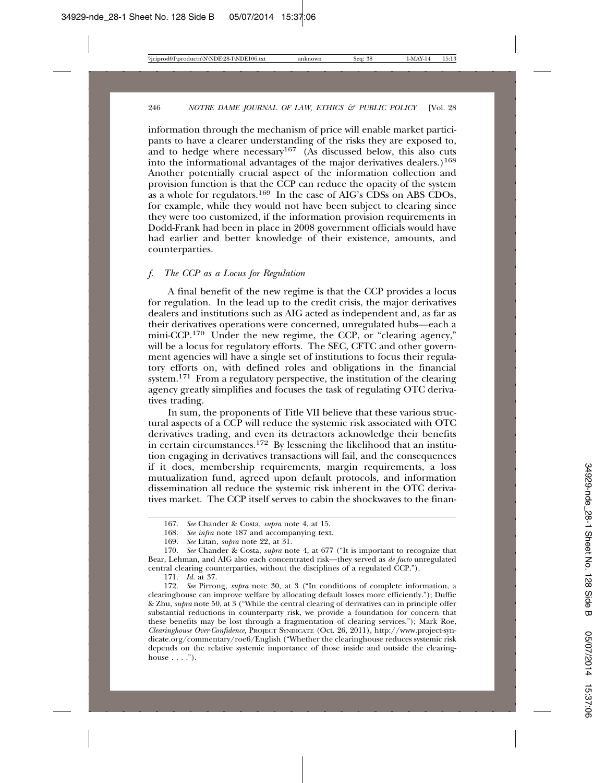information through the mechanism of price will enable market participants to have a clearer understanding of the risks they are exposed to, and to hedge where necessary<sup>167</sup> (As discussed below, this also cuts into the informational advantages of the major derivatives dealers.)168 Another potentially crucial aspect of the information collection and provision function is that the CCP can reduce the opacity of the system as a whole for regulators.<sup>169</sup> In the case of AIG's CDSs on ABS CDOs, for example, while they would not have been subject to clearing since they were too customized, if the information provision requirements in Dodd-Frank had been in place in 2008 government officials would have had earlier and better knowledge of their existence, amounts, and counterparties.

### *f. The CCP as a Locus for Regulation*

A final benefit of the new regime is that the CCP provides a locus for regulation. In the lead up to the credit crisis, the major derivatives dealers and institutions such as AIG acted as independent and, as far as their derivatives operations were concerned, unregulated hubs—each a mini-CCP.170 Under the new regime, the CCP, or "clearing agency," will be a locus for regulatory efforts. The SEC, CFTC and other government agencies will have a single set of institutions to focus their regulatory efforts on, with defined roles and obligations in the financial system.<sup>171</sup> From a regulatory perspective, the institution of the clearing agency greatly simplifies and focuses the task of regulating OTC derivatives trading.

In sum, the proponents of Title VII believe that these various structural aspects of a CCP will reduce the systemic risk associated with OTC derivatives trading, and even its detractors acknowledge their benefits in certain circumstances.172 By lessening the likelihood that an institution engaging in derivatives transactions will fail, and the consequences if it does, membership requirements, margin requirements, a loss mutualization fund, agreed upon default protocols, and information dissemination all reduce the systemic risk inherent in the OTC derivatives market. The CCP itself serves to cabin the shockwaves to the finan-

171. *Id.* at 37.

<sup>167.</sup> *See* Chander & Costa, *supra* note 4, at 15.

<sup>168.</sup> *See infra* note 187 and accompanying text.

<sup>169.</sup> *See* Litan, *supra* note 22, at 31.

<sup>170.</sup> *See* Chander & Costa, *supra* note 4, at 677 ("It is important to recognize that Bear, Lehman, and AIG also each concentrated risk—they served as *de facto* unregulated central clearing counterparties, without the disciplines of a regulated CCP.").

<sup>172.</sup> *See* Pirrong, *supra* note 30, at 3 ("In conditions of complete information, a clearinghouse can improve welfare by allocating default losses more efficiently."); Duffie & Zhu, *supra* note 50, at 3 ("While the central clearing of derivatives can in principle offer substantial reductions in counterparty risk, we provide a foundation for concern that these benefits may be lost through a fragmentation of clearing services."); Mark Roe, *Clearinghouse Over-Confidence*, PROJECT SYNDICATE (Oct. 26, 2011), http://www.project-syndicate.org/commentary/roe6/English ("Whether the clearinghouse reduces systemic risk depends on the relative systemic importance of those inside and outside the clearinghouse  $\ldots$ .").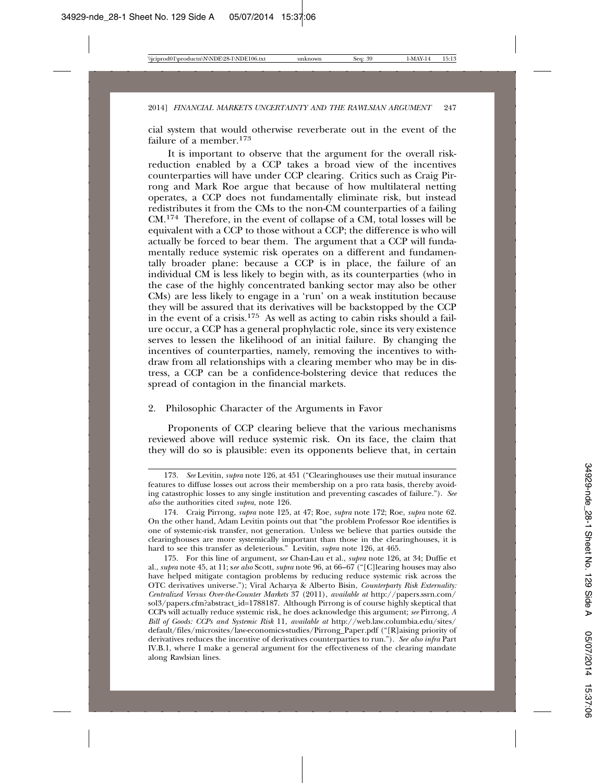cial system that would otherwise reverberate out in the event of the failure of a member.173

It is important to observe that the argument for the overall riskreduction enabled by a CCP takes a broad view of the incentives counterparties will have under CCP clearing. Critics such as Craig Pirrong and Mark Roe argue that because of how multilateral netting operates, a CCP does not fundamentally eliminate risk, but instead redistributes it from the CMs to the non-CM counterparties of a failing CM.174 Therefore, in the event of collapse of a CM, total losses will be equivalent with a CCP to those without a CCP; the difference is who will actually be forced to bear them. The argument that a CCP will fundamentally reduce systemic risk operates on a different and fundamentally broader plane: because a CCP is in place, the failure of an individual CM is less likely to begin with, as its counterparties (who in the case of the highly concentrated banking sector may also be other CMs) are less likely to engage in a 'run' on a weak institution because they will be assured that its derivatives will be backstopped by the CCP in the event of a crisis.175 As well as acting to cabin risks should a failure occur, a CCP has a general prophylactic role, since its very existence serves to lessen the likelihood of an initial failure. By changing the incentives of counterparties, namely, removing the incentives to withdraw from all relationships with a clearing member who may be in distress, a CCP can be a confidence-bolstering device that reduces the spread of contagion in the financial markets.

# 2. Philosophic Character of the Arguments in Favor

Proponents of CCP clearing believe that the various mechanisms reviewed above will reduce systemic risk. On its face, the claim that they will do so is plausible: even its opponents believe that, in certain

<sup>173.</sup> *See* Levitin, *supra* note 126, at 451 ("Clearinghouses use their mutual insurance features to diffuse losses out across their membership on a pro rata basis, thereby avoiding catastrophic losses to any single institution and preventing cascades of failure."). *See also* the authorities cited *supra*, note 126.

<sup>174.</sup> Craig Pirrong, *supra* note 125, at 47; Roe, *supra* note 172; Roe, *supra* note 62. On the other hand, Adam Levitin points out that "the problem Professor Roe identifies is one of systemic-risk transfer, not generation. Unless we believe that parties outside the clearinghouses are more systemically important than those in the clearinghouses, it is hard to see this transfer as deleterious." Levitin, *supra* note 126, at 465.

<sup>175.</sup> For this line of argument, *see* Chan-Lau et al., *supra* note 126, at 34; Duffie et al., *supra* note 45, at 11; s*ee also* Scott, *supra* note 96, at 66–67 ("[C]learing houses may also have helped mitigate contagion problems by reducing reduce systemic risk across the OTC derivatives universe."); Viral Acharya & Alberto Bisin, *Counterparty Risk Externality: Centralized Versus Over-the-Counter Markets* 37 (2011), *available at* http://papers.ssrn.com/ sol3/papers.cfm?abstract\_id=1788187. Although Pirrong is of course highly skeptical that CCPs will actually reduce systemic risk, he does acknowledge this argument; *see* Pirrong, *A Bill of Goods: CCPs and Systemic Risk* 11, *available at* http://web.law.columbia.edu/sites/ default/files/microsites/law-economics-studies/Pirrong\_Paper.pdf ("[R]aising priority of derivatives reduces the incentive of derivatives counterparties to run."). *See also infra* Part IV.B.1, where I make a general argument for the effectiveness of the clearing mandate along Rawlsian lines.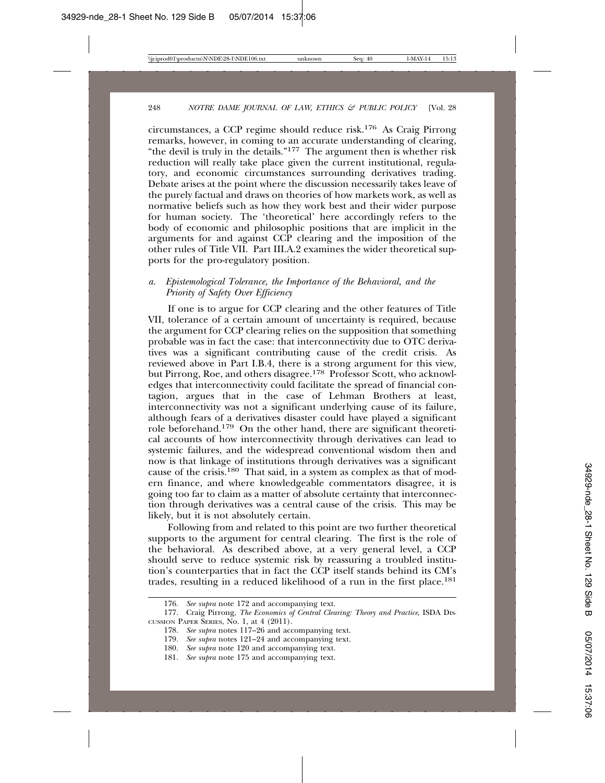circumstances, a CCP regime should reduce risk.176 As Craig Pirrong remarks, however, in coming to an accurate understanding of clearing, "the devil is truly in the details."177 The argument then is whether risk reduction will really take place given the current institutional, regulatory, and economic circumstances surrounding derivatives trading. Debate arises at the point where the discussion necessarily takes leave of the purely factual and draws on theories of how markets work, as well as normative beliefs such as how they work best and their wider purpose for human society. The 'theoretical' here accordingly refers to the body of economic and philosophic positions that are implicit in the arguments for and against CCP clearing and the imposition of the other rules of Title VII. Part III.A.2 examines the wider theoretical supports for the pro-regulatory position.

### *a. Epistemological Tolerance, the Importance of the Behavioral, and the Priority of Safety Over Efficiency*

If one is to argue for CCP clearing and the other features of Title VII, tolerance of a certain amount of uncertainty is required, because the argument for CCP clearing relies on the supposition that something probable was in fact the case: that interconnectivity due to OTC derivatives was a significant contributing cause of the credit crisis. As reviewed above in Part I.B.4, there is a strong argument for this view, but Pirrong, Roe, and others disagree.178 Professor Scott, who acknowledges that interconnectivity could facilitate the spread of financial contagion, argues that in the case of Lehman Brothers at least, interconnectivity was not a significant underlying cause of its failure, although fears of a derivatives disaster could have played a significant role beforehand.179 On the other hand, there are significant theoretical accounts of how interconnectivity through derivatives can lead to systemic failures, and the widespread conventional wisdom then and now is that linkage of institutions through derivatives was a significant cause of the crisis.180 That said, in a system as complex as that of modern finance, and where knowledgeable commentators disagree, it is going too far to claim as a matter of absolute certainty that interconnection through derivatives was a central cause of the crisis. This may be likely, but it is not absolutely certain.

Following from and related to this point are two further theoretical supports to the argument for central clearing. The first is the role of the behavioral. As described above, at a very general level, a CCP should serve to reduce systemic risk by reassuring a troubled institution's counterparties that in fact the CCP itself stands behind its CM's trades, resulting in a reduced likelihood of a run in the first place.181

<sup>176.</sup> *See supra* note 172 and accompanying text.

<sup>177.</sup> Craig Pirrong, *The Economics of Central Clearing: Theory and Practice*, ISDA DIS-CUSSION PAPER SERIES, No. 1, at 4 (2011).

<sup>178.</sup> *See supra* notes 117–26 and accompanying text.

<sup>179.</sup> *See supra* notes 121–24 and accompanying text.

<sup>180.</sup> *See supra* note 120 and accompanying text.

<sup>181.</sup> *See supra* note 175 and accompanying text.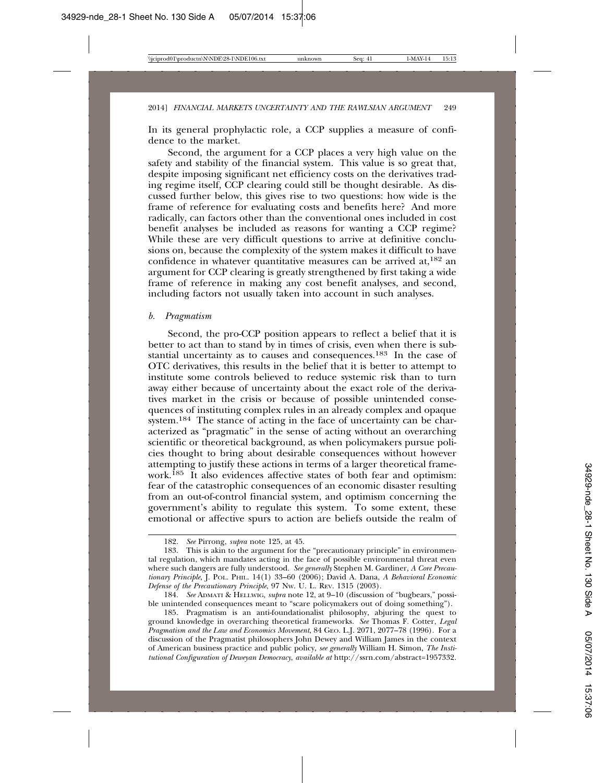In its general prophylactic role, a CCP supplies a measure of confidence to the market.

Second, the argument for a CCP places a very high value on the safety and stability of the financial system. This value is so great that, despite imposing significant net efficiency costs on the derivatives trading regime itself, CCP clearing could still be thought desirable. As discussed further below, this gives rise to two questions: how wide is the frame of reference for evaluating costs and benefits here? And more radically, can factors other than the conventional ones included in cost benefit analyses be included as reasons for wanting a CCP regime? While these are very difficult questions to arrive at definitive conclusions on, because the complexity of the system makes it difficult to have confidence in whatever quantitative measures can be arrived  $at$ ,  $182$  an argument for CCP clearing is greatly strengthened by first taking a wide frame of reference in making any cost benefit analyses, and second, including factors not usually taken into account in such analyses.

#### *b. Pragmatism*

Second, the pro-CCP position appears to reflect a belief that it is better to act than to stand by in times of crisis, even when there is substantial uncertainty as to causes and consequences.183 In the case of OTC derivatives, this results in the belief that it is better to attempt to institute some controls believed to reduce systemic risk than to turn away either because of uncertainty about the exact role of the derivatives market in the crisis or because of possible unintended consequences of instituting complex rules in an already complex and opaque system.<sup>184</sup> The stance of acting in the face of uncertainty can be characterized as "pragmatic" in the sense of acting without an overarching scientific or theoretical background, as when policymakers pursue policies thought to bring about desirable consequences without however attempting to justify these actions in terms of a larger theoretical framework.185 It also evidences affective states of both fear and optimism: fear of the catastrophic consequences of an economic disaster resulting from an out-of-control financial system, and optimism concerning the government's ability to regulate this system. To some extent, these emotional or affective spurs to action are beliefs outside the realm of

<sup>182.</sup> *See* Pirrong, *supra* note 125, at 45.

<sup>183.</sup> This is akin to the argument for the "precautionary principle" in environmental regulation, which mandates acting in the face of possible environmental threat even where such dangers are fully understood. *See generally* Stephen M. Gardiner, *A Core Precautionary Principle*, J. POL. PHIL. 14(1) 33–60 (2006); David A. Dana, *A Behavioral Economic Defense of the Precautionary Principle*, 97 NW. U. L. REV. 1315 (2003).

<sup>184.</sup> *See* ADMATI & HELLWIG, *supra* note 12, at 9–10 (discussion of "bugbears," possible unintended consequences meant to "scare policymakers out of doing something").

<sup>185.</sup> Pragmatism is an anti-foundationalist philosophy, abjuring the quest to ground knowledge in overarching theoretical frameworks. *See* Thomas F. Cotter, *Legal Pragmatism and the Law and Economics Movement*, 84 GEO. L.J. 2071, 2077–78 (1996). For a discussion of the Pragmatist philosophers John Dewey and William James in the context of American business practice and public policy, *see generally* William H. Simon, *The Institutional Configuration of Deweyan Democracy*, *available at* http://ssrn.com/abstract=1957332.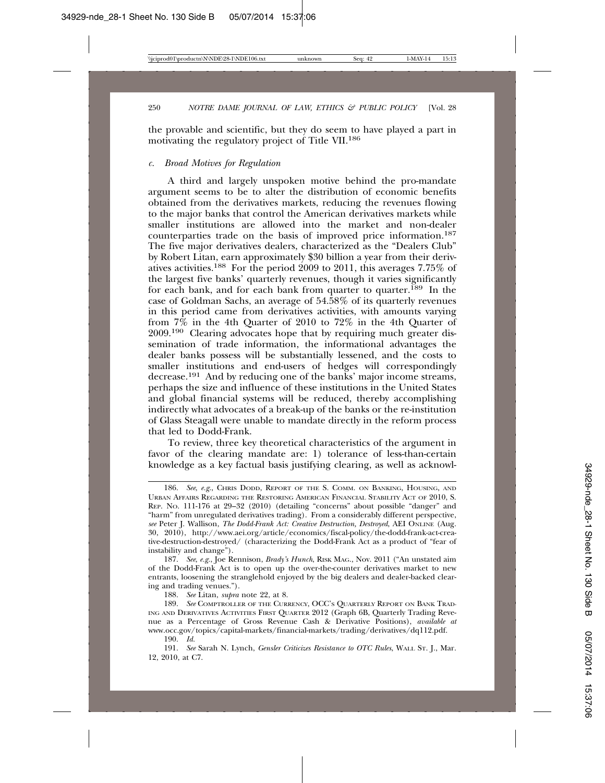the provable and scientific, but they do seem to have played a part in motivating the regulatory project of Title VII.186

#### *c. Broad Motives for Regulation*

A third and largely unspoken motive behind the pro-mandate argument seems to be to alter the distribution of economic benefits obtained from the derivatives markets, reducing the revenues flowing to the major banks that control the American derivatives markets while smaller institutions are allowed into the market and non-dealer counterparties trade on the basis of improved price information.187 The five major derivatives dealers, characterized as the "Dealers Club" by Robert Litan, earn approximately \$30 billion a year from their derivatives activities.188 For the period 2009 to 2011, this averages 7.75% of the largest five banks' quarterly revenues, though it varies significantly for each bank, and for each bank from quarter to quarter.<sup>189</sup> In the case of Goldman Sachs, an average of 54.58% of its quarterly revenues in this period came from derivatives activities, with amounts varying from 7% in the 4th Quarter of 2010 to 72% in the 4th Quarter of 2009.190 Clearing advocates hope that by requiring much greater dissemination of trade information, the informational advantages the dealer banks possess will be substantially lessened, and the costs to smaller institutions and end-users of hedges will correspondingly decrease.191 And by reducing one of the banks' major income streams, perhaps the size and influence of these institutions in the United States and global financial systems will be reduced, thereby accomplishing indirectly what advocates of a break-up of the banks or the re-institution of Glass Steagall were unable to mandate directly in the reform process that led to Dodd-Frank.

To review, three key theoretical characteristics of the argument in favor of the clearing mandate are: 1) tolerance of less-than-certain knowledge as a key factual basis justifying clearing, as well as acknowl-

187. *See*, *e.g.*, Joe Rennison, *Brady's Hunch*, RISK MAG., Nov. 2011 ("An unstated aim of the Dodd-Frank Act is to open up the over-the-counter derivatives market to new entrants, loosening the stranglehold enjoyed by the big dealers and dealer-backed clearing and trading venues.").

188. *See* Litan, *supra* note 22, at 8.

<sup>186.</sup> *See*, *e.g*., CHRIS DODD, REPORT OF THE S. COMM. ON BANKING, HOUSING, AND URBAN AFFAIRS REGARDING THE RESTORING AMERICAN FINANCIAL STABILITY ACT OF 2010, S. REP. NO. 111-176 at 29–32 (2010) (detailing "concerns" about possible "danger" and "harm" from unregulated derivatives trading). From a considerably different perspective, *see* Peter J. Wallison, *The Dodd-Frank Act: Creative Destruction, Destroyed*, AEI ONLINE (Aug. 30, 2010), http://www.aei.org/article/economics/fiscal-policy/the-dodd-frank-act-creative-destruction-destroyed/ (characterizing the Dodd-Frank Act as a product of "fear of instability and change").

<sup>189.</sup> *See* COMPTROLLER OF THE CURRENCY, OCC'S QUARTERLY REPORT ON BANK TRAD-ING AND DERIVATIVES ACTIVITIES FIRST QUARTER 2012 (Graph 6B, Quarterly Trading Revenue as a Percentage of Gross Revenue Cash & Derivative Positions), *available at* www.occ.gov/topics/capital-markets/financial-markets/trading/derivatives/dq112.pdf.

<sup>190.</sup> *Id.*

<sup>191.</sup> *See* Sarah N. Lynch, *Gensler Criticizes Resistance to OTC Rules*, WALL ST. J., Mar. 12, 2010, at C7.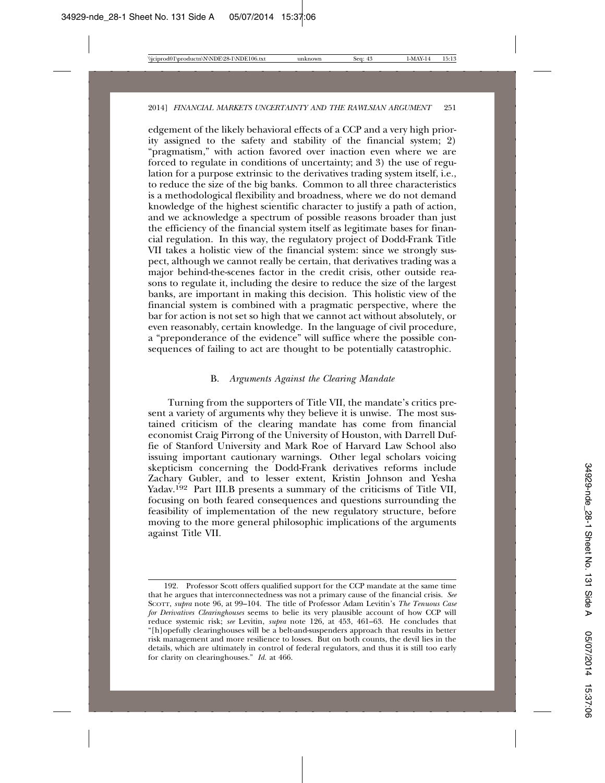edgement of the likely behavioral effects of a CCP and a very high priority assigned to the safety and stability of the financial system; 2) "pragmatism," with action favored over inaction even where we are forced to regulate in conditions of uncertainty; and 3) the use of regulation for a purpose extrinsic to the derivatives trading system itself, i.e., to reduce the size of the big banks. Common to all three characteristics is a methodological flexibility and broadness, where we do not demand knowledge of the highest scientific character to justify a path of action, and we acknowledge a spectrum of possible reasons broader than just the efficiency of the financial system itself as legitimate bases for financial regulation. In this way, the regulatory project of Dodd-Frank Title VII takes a holistic view of the financial system: since we strongly suspect, although we cannot really be certain, that derivatives trading was a major behind-the-scenes factor in the credit crisis, other outside reasons to regulate it, including the desire to reduce the size of the largest banks, are important in making this decision. This holistic view of the financial system is combined with a pragmatic perspective, where the bar for action is not set so high that we cannot act without absolutely, or even reasonably, certain knowledge. In the language of civil procedure, a "preponderance of the evidence" will suffice where the possible consequences of failing to act are thought to be potentially catastrophic.

### B. *Arguments Against the Clearing Mandate*

Turning from the supporters of Title VII, the mandate's critics present a variety of arguments why they believe it is unwise. The most sustained criticism of the clearing mandate has come from financial economist Craig Pirrong of the University of Houston, with Darrell Duffie of Stanford University and Mark Roe of Harvard Law School also issuing important cautionary warnings. Other legal scholars voicing skepticism concerning the Dodd-Frank derivatives reforms include Zachary Gubler, and to lesser extent, Kristin Johnson and Yesha Yadav.192 Part III.B presents a summary of the criticisms of Title VII, focusing on both feared consequences and questions surrounding the feasibility of implementation of the new regulatory structure, before moving to the more general philosophic implications of the arguments against Title VII.

<sup>192.</sup> Professor Scott offers qualified support for the CCP mandate at the same time that he argues that interconnectedness was not a primary cause of the financial crisis. *See* SCOTT, *supra* note 96, at 99–104. The title of Professor Adam Levitin's *The Tenuous Case for Derivatives Clearinghouses* seems to belie its very plausible account of how CCP will reduce systemic risk; *see* Levitin, *supra* note 126, at 453, 461–63. He concludes that "[h]opefully clearinghouses will be a belt-and-suspenders approach that results in better risk management and more resilience to losses. But on both counts, the devil lies in the details, which are ultimately in control of federal regulators, and thus it is still too early for clarity on clearinghouses." *Id.* at 466.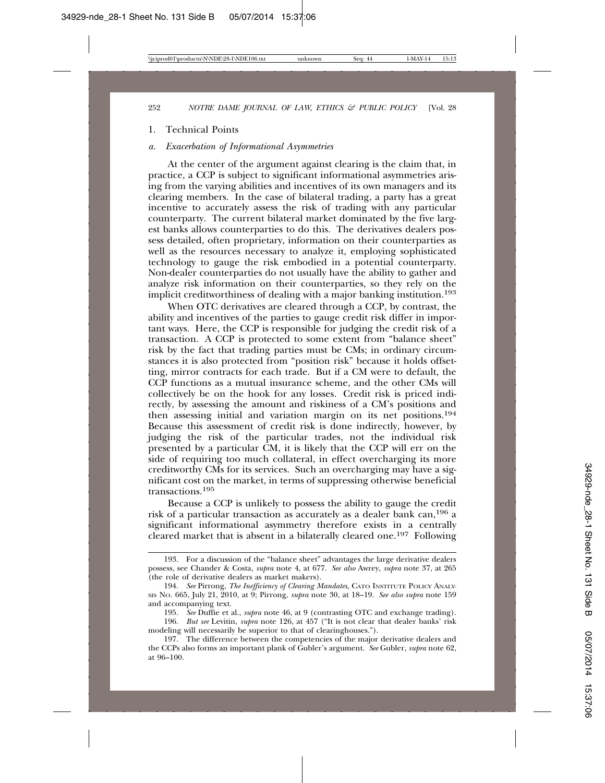#### 1. Technical Points

## *a. Exacerbation of Informational Asymmetries*

At the center of the argument against clearing is the claim that, in practice, a CCP is subject to significant informational asymmetries arising from the varying abilities and incentives of its own managers and its clearing members. In the case of bilateral trading, a party has a great incentive to accurately assess the risk of trading with any particular counterparty. The current bilateral market dominated by the five largest banks allows counterparties to do this. The derivatives dealers possess detailed, often proprietary, information on their counterparties as well as the resources necessary to analyze it, employing sophisticated technology to gauge the risk embodied in a potential counterparty. Non-dealer counterparties do not usually have the ability to gather and analyze risk information on their counterparties, so they rely on the implicit creditworthiness of dealing with a major banking institution.193

When OTC derivatives are cleared through a CCP, by contrast, the ability and incentives of the parties to gauge credit risk differ in important ways. Here, the CCP is responsible for judging the credit risk of a transaction. A CCP is protected to some extent from "balance sheet" risk by the fact that trading parties must be CMs; in ordinary circumstances it is also protected from "position risk" because it holds offsetting, mirror contracts for each trade. But if a CM were to default, the CCP functions as a mutual insurance scheme, and the other CMs will collectively be on the hook for any losses. Credit risk is priced indirectly, by assessing the amount and riskiness of a CM's positions and then assessing initial and variation margin on its net positions.194 Because this assessment of credit risk is done indirectly, however, by judging the risk of the particular trades, not the individual risk presented by a particular CM, it is likely that the CCP will err on the side of requiring too much collateral, in effect overcharging its more creditworthy CMs for its services. Such an overcharging may have a significant cost on the market, in terms of suppressing otherwise beneficial transactions.<sup>195</sup>

Because a CCP is unlikely to possess the ability to gauge the credit risk of a particular transaction as accurately as a dealer bank can,196 a significant informational asymmetry therefore exists in a centrally cleared market that is absent in a bilaterally cleared one.197 Following

<sup>193.</sup> For a discussion of the "balance sheet" advantages the large derivative dealers possess, see Chander & Costa, *supra* note 4, at 677. *See also* Awrey, *supra* note 37, at 265 (the role of derivative dealers as market makers).

<sup>194.</sup> *See* Pirrong, *The Inefficiency of Clearing Mandates*, CATO INSTITUTE POLICY ANALY-SIS NO. 665, July 21, 2010, at 9; Pirrong, *supra* note 30, at 18–19. *See also supra* note 159 and accompanying text.

<sup>195.</sup> *See* Duffie et al., *supra* note 46, at 9 (contrasting OTC and exchange trading).

<sup>196.</sup> *But see* Levitin, *supra* note 126, at 457 ("It is not clear that dealer banks' risk modeling will necessarily be superior to that of clearinghouses.").

<sup>197.</sup> The difference between the competencies of the major derivative dealers and the CCPs also forms an important plank of Gubler's argument. *See* Gubler, *supra* note 62, at 96–100.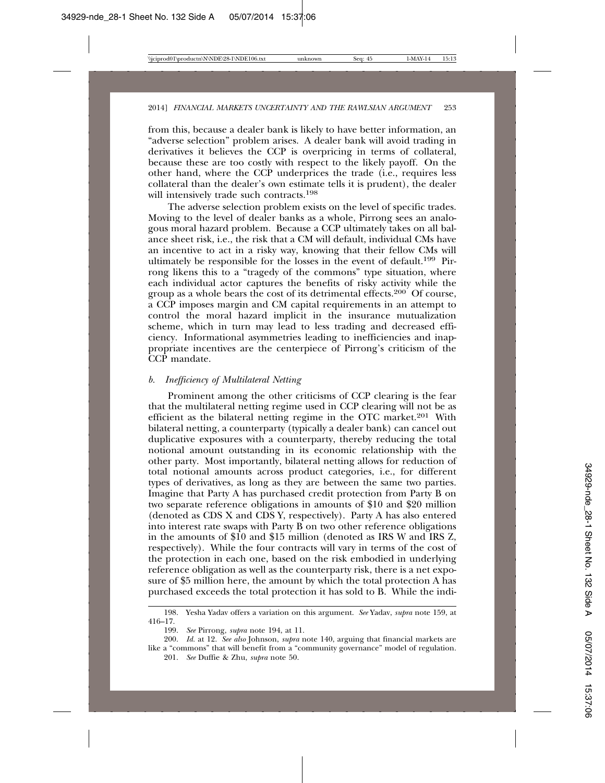from this, because a dealer bank is likely to have better information, an "adverse selection" problem arises. A dealer bank will avoid trading in derivatives it believes the CCP is overpricing in terms of collateral, because these are too costly with respect to the likely payoff. On the other hand, where the CCP underprices the trade (i.e., requires less collateral than the dealer's own estimate tells it is prudent), the dealer will intensively trade such contracts.<sup>198</sup>

The adverse selection problem exists on the level of specific trades. Moving to the level of dealer banks as a whole, Pirrong sees an analogous moral hazard problem. Because a CCP ultimately takes on all balance sheet risk, i.e., the risk that a CM will default, individual CMs have an incentive to act in a risky way, knowing that their fellow CMs will ultimately be responsible for the losses in the event of default.199 Pirrong likens this to a "tragedy of the commons" type situation, where each individual actor captures the benefits of risky activity while the group as a whole bears the cost of its detrimental effects.<sup>200</sup> Of course, a CCP imposes margin and CM capital requirements in an attempt to control the moral hazard implicit in the insurance mutualization scheme, which in turn may lead to less trading and decreased efficiency. Informational asymmetries leading to inefficiencies and inappropriate incentives are the centerpiece of Pirrong's criticism of the CCP mandate.

### *b. Inefficiency of Multilateral Netting*

Prominent among the other criticisms of CCP clearing is the fear that the multilateral netting regime used in CCP clearing will not be as efficient as the bilateral netting regime in the OTC market. $201$  With bilateral netting, a counterparty (typically a dealer bank) can cancel out duplicative exposures with a counterparty, thereby reducing the total notional amount outstanding in its economic relationship with the other party. Most importantly, bilateral netting allows for reduction of total notional amounts across product categories, i.e., for different types of derivatives, as long as they are between the same two parties. Imagine that Party A has purchased credit protection from Party B on two separate reference obligations in amounts of \$10 and \$20 million (denoted as CDS X and CDS Y, respectively). Party A has also entered into interest rate swaps with Party B on two other reference obligations in the amounts of \$10 and \$15 million (denoted as IRS W and IRS Z, respectively). While the four contracts will vary in terms of the cost of the protection in each one, based on the risk embodied in underlying reference obligation as well as the counterparty risk, there is a net exposure of \$5 million here, the amount by which the total protection A has purchased exceeds the total protection it has sold to B. While the indi-

<sup>198.</sup> Yesha Yadav offers a variation on this argument. *See* Yadav, *supra* note 159, at 416–17.

<sup>199.</sup> *See* Pirrong, *supra* note 194, at 11.

<sup>200.</sup> *Id.* at 12. *See also* Johnson, *supra* note 140, arguing that financial markets are like a "commons" that will benefit from a "community governance" model of regulation. 201. *See* Duffie & Zhu, *supra* note 50.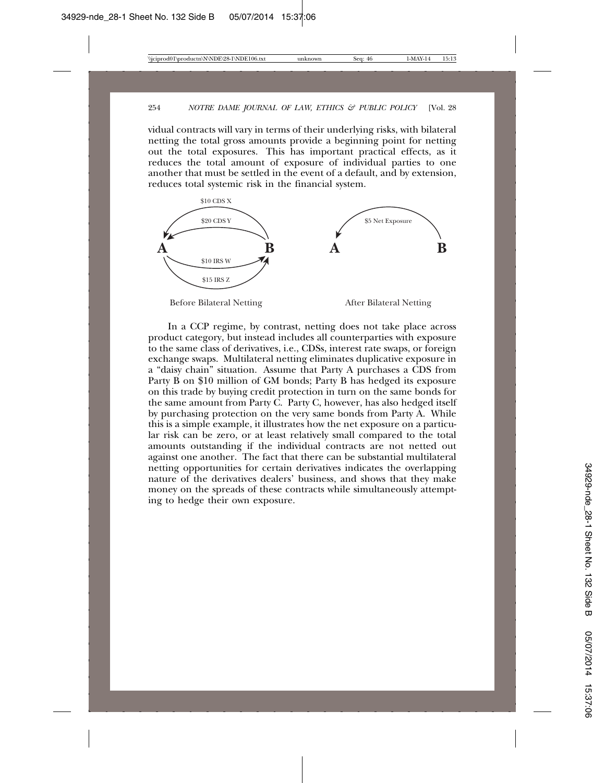vidual contracts will vary in terms of their underlying risks, with bilateral netting the total gross amounts provide a beginning point for netting out the total exposures. This has important practical effects, as it reduces the total amount of exposure of individual parties to one another that must be settled in the event of a default, and by extension, reduces total systemic risk in the financial system.



In a CCP regime, by contrast, netting does not take place across product category, but instead includes all counterparties with exposure to the same class of derivatives, i.e., CDSs, interest rate swaps, or foreign exchange swaps. Multilateral netting eliminates duplicative exposure in a "daisy chain" situation. Assume that Party A purchases a CDS from Party B on \$10 million of GM bonds; Party B has hedged its exposure on this trade by buying credit protection in turn on the same bonds for the same amount from Party C. Party C, however, has also hedged itself by purchasing protection on the very same bonds from Party A. While this is a simple example, it illustrates how the net exposure on a particular risk can be zero, or at least relatively small compared to the total amounts outstanding if the individual contracts are not netted out against one another. The fact that there can be substantial multilateral netting opportunities for certain derivatives indicates the overlapping nature of the derivatives dealers' business, and shows that they make money on the spreads of these contracts while simultaneously attempting to hedge their own exposure.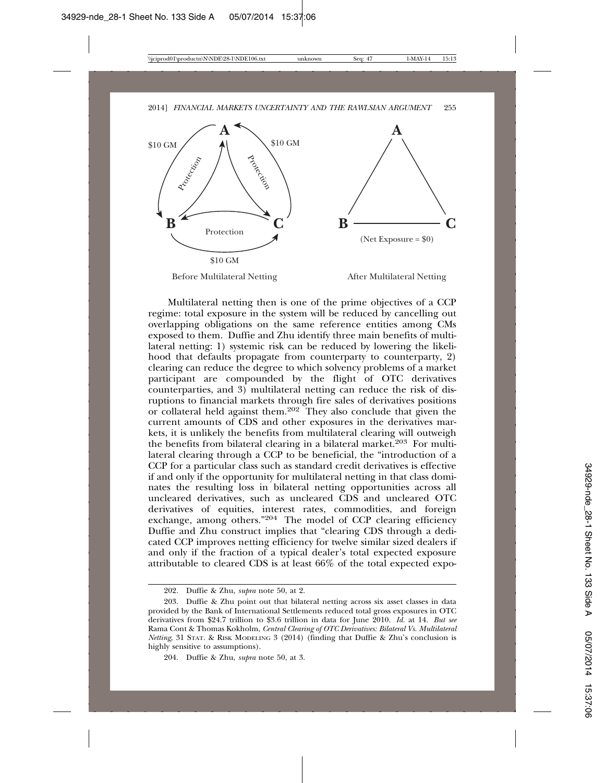

Before Multilateral Netting After Multilateral Netting

Multilateral netting then is one of the prime objectives of a CCP regime: total exposure in the system will be reduced by cancelling out overlapping obligations on the same reference entities among CMs exposed to them. Duffie and Zhu identify three main benefits of multilateral netting: 1) systemic risk can be reduced by lowering the likelihood that defaults propagate from counterparty to counterparty, 2) clearing can reduce the degree to which solvency problems of a market participant are compounded by the flight of OTC derivatives counterparties, and 3) multilateral netting can reduce the risk of disruptions to financial markets through fire sales of derivatives positions or collateral held against them.202 They also conclude that given the current amounts of CDS and other exposures in the derivatives markets, it is unlikely the benefits from multilateral clearing will outweigh the benefits from bilateral clearing in a bilateral market.<sup>203</sup> For multilateral clearing through a CCP to be beneficial, the "introduction of a CCP for a particular class such as standard credit derivatives is effective if and only if the opportunity for multilateral netting in that class dominates the resulting loss in bilateral netting opportunities across all uncleared derivatives, such as uncleared CDS and uncleared OTC derivatives of equities, interest rates, commodities, and foreign exchange, among others."204 The model of CCP clearing efficiency Duffie and Zhu construct implies that "clearing CDS through a dedicated CCP improves netting efficiency for twelve similar sized dealers if and only if the fraction of a typical dealer's total expected exposure attributable to cleared CDS is at least 66% of the total expected expo-

<sup>202.</sup> Duffie & Zhu, *supra* note 50, at 2.

<sup>203.</sup> Duffie & Zhu point out that bilateral netting across six asset classes in data provided by the Bank of International Settlements reduced total gross exposures in OTC derivatives from \$24.7 trillion to \$3.6 trillion in data for June 2010. *Id.* at 14. *But see* Rama Cont & Thomas Kokholm, *Central Clearing of OTC Derivatives: Bilateral Vs. Multilateral Netting*, 31 STAT. & RISK MODELING 3 (2014) (finding that Duffie & Zhu's conclusion is highly sensitive to assumptions).

<sup>204.</sup> Duffie & Zhu, *supra* note 50, at 3.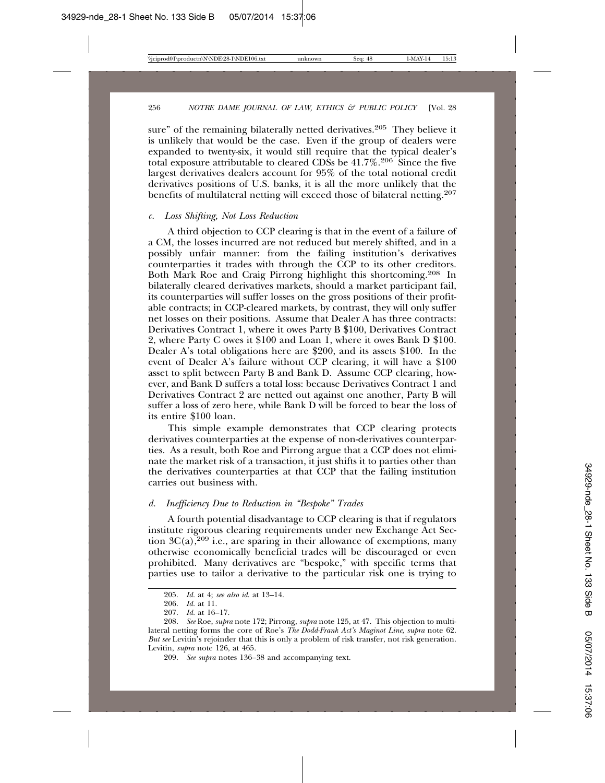sure" of the remaining bilaterally netted derivatives.<sup>205</sup> They believe it is unlikely that would be the case. Even if the group of dealers were expanded to twenty-six, it would still require that the typical dealer's total exposure attributable to cleared CDSs be  $41.7\%$ <sup>206</sup> Since the five largest derivatives dealers account for 95% of the total notional credit derivatives positions of U.S. banks, it is all the more unlikely that the benefits of multilateral netting will exceed those of bilateral netting.207

#### *c. Loss Shifting, Not Loss Reduction*

A third objection to CCP clearing is that in the event of a failure of a CM, the losses incurred are not reduced but merely shifted, and in a possibly unfair manner: from the failing institution's derivatives counterparties it trades with through the CCP to its other creditors. Both Mark Roe and Craig Pirrong highlight this shortcoming.208 In bilaterally cleared derivatives markets, should a market participant fail, its counterparties will suffer losses on the gross positions of their profitable contracts; in CCP-cleared markets, by contrast, they will only suffer net losses on their positions. Assume that Dealer A has three contracts: Derivatives Contract 1, where it owes Party B \$100, Derivatives Contract 2, where Party C owes it \$100 and Loan 1, where it owes Bank D \$100. Dealer A's total obligations here are \$200, and its assets \$100. In the event of Dealer A's failure without CCP clearing, it will have a \$100 asset to split between Party B and Bank D. Assume CCP clearing, however, and Bank D suffers a total loss: because Derivatives Contract 1 and Derivatives Contract 2 are netted out against one another, Party B will suffer a loss of zero here, while Bank D will be forced to bear the loss of its entire \$100 loan.

This simple example demonstrates that CCP clearing protects derivatives counterparties at the expense of non-derivatives counterparties. As a result, both Roe and Pirrong argue that a CCP does not eliminate the market risk of a transaction, it just shifts it to parties other than the derivatives counterparties at that CCP that the failing institution carries out business with.

### *d. Inefficiency Due to Reduction in "Bespoke" Trades*

A fourth potential disadvantage to CCP clearing is that if regulators institute rigorous clearing requirements under new Exchange Act Section  $3C(a)$ ,  $209$  i.e., are sparing in their allowance of exemptions, many otherwise economically beneficial trades will be discouraged or even prohibited. Many derivatives are "bespoke," with specific terms that parties use to tailor a derivative to the particular risk one is trying to

<sup>205.</sup> *Id.* at 4; *see also id*. at 13–14.

<sup>206.</sup> *Id.* at 11.

<sup>207.</sup> *Id.* at 16–17.

<sup>208.</sup> *See* Roe, *supra* note 172; Pirrong, *supra* note 125, at 47. This objection to multilateral netting forms the core of Roe's *The Dodd-Frank Act's Maginot Line*, *supra* note 62. *But see* Levitin's rejoinder that this is only a problem of risk transfer, not risk generation. Levitin, *supra* note 126, at 465.

<sup>209.</sup> *See supra* notes 136–38 and accompanying text.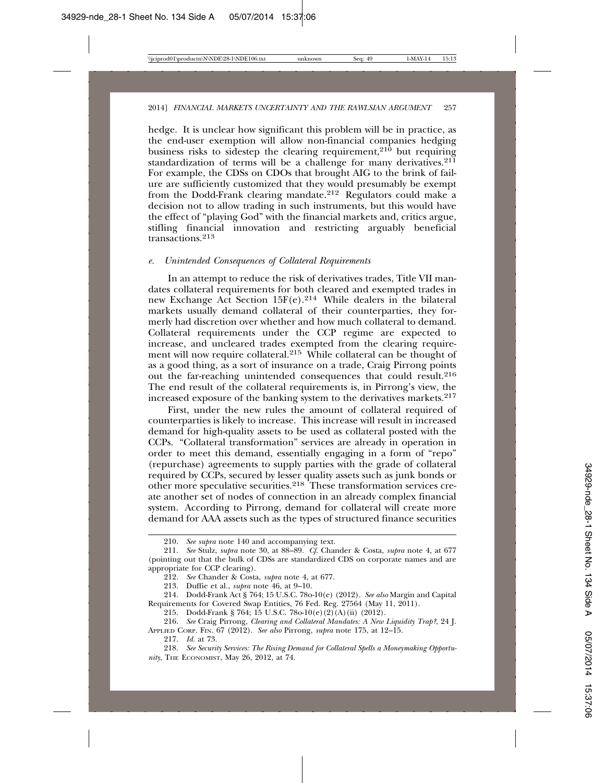hedge. It is unclear how significant this problem will be in practice, as the end-user exemption will allow non-financial companies hedging business risks to sidestep the clearing requirement,<sup>210</sup> but requiring standardization of terms will be a challenge for many derivatives.<sup>211</sup> For example, the CDSs on CDOs that brought AIG to the brink of failure are sufficiently customized that they would presumably be exempt from the Dodd-Frank clearing mandate.212 Regulators could make a decision not to allow trading in such instruments, but this would have the effect of "playing God" with the financial markets and, critics argue, stifling financial innovation and restricting arguably beneficial transactions.<sup>213</sup>

#### *e. Unintended Consequences of Collateral Requirements*

In an attempt to reduce the risk of derivatives trades, Title VII mandates collateral requirements for both cleared and exempted trades in new Exchange Act Section 15F(e).214 While dealers in the bilateral markets usually demand collateral of their counterparties, they formerly had discretion over whether and how much collateral to demand. Collateral requirements under the CCP regime are expected to increase, and uncleared trades exempted from the clearing requirement will now require collateral.215 While collateral can be thought of as a good thing, as a sort of insurance on a trade, Craig Pirrong points out the far-reaching unintended consequences that could result.216 The end result of the collateral requirements is, in Pirrong's view, the increased exposure of the banking system to the derivatives markets.<sup>217</sup>

First, under the new rules the amount of collateral required of counterparties is likely to increase. This increase will result in increased demand for high-quality assets to be used as collateral posted with the CCPs. "Collateral transformation" services are already in operation in order to meet this demand, essentially engaging in a form of "repo" (repurchase) agreements to supply parties with the grade of collateral required by CCPs, secured by lesser quality assets such as junk bonds or other more speculative securities.218 These transformation services create another set of nodes of connection in an already complex financial system. According to Pirrong, demand for collateral will create more demand for AAA assets such as the types of structured finance securities

<sup>210.</sup> *See supra* note 140 and accompanying text.

<sup>211.</sup> *See* Stulz, *supra* note 30, at 88–89. *Cf*. Chander & Costa, *supra* note 4, at 677 (pointing out that the bulk of CDSs are standardized CDS on corporate names and are appropriate for CCP clearing).

<sup>212.</sup> *See* Chander & Costa, *supra* note 4, at 677.

<sup>213.</sup> Duffie et al., *supra* note 46, at 9–10.

<sup>214.</sup> Dodd-Frank Act § 764; 15 U.S.C. 78o-10(e) (2012). *See also* Margin and Capital Requirements for Covered Swap Entities, 76 Fed. Reg. 27564 (May 11, 2011).

<sup>215.</sup> Dodd-Frank § 764; 15 U.S.C. 78o-10(e)(2)(A)(ii) (2012).

<sup>216.</sup> *See* Craig Pirrong, *Clearing and Collateral Mandates: A New Liquidity Trap?*, 24 J. APPLIED CORP. FIN. 67 (2012). *See also* Pirrong, *supra* note 175, at 12–15.

<sup>217.</sup> *Id.* at 73.

<sup>218.</sup> *See Security Services: The Rising Demand for Collateral Spells a Moneymaking Opportunity*, THE ECONOMIST, May 26, 2012, at 74.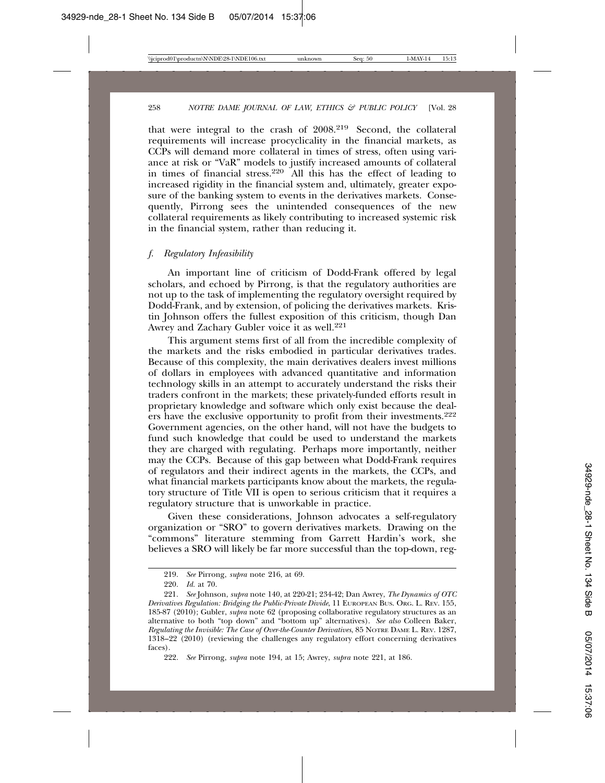that were integral to the crash of 2008.219 Second, the collateral requirements will increase procyclicality in the financial markets, as CCPs will demand more collateral in times of stress, often using variance at risk or "VaR" models to justify increased amounts of collateral in times of financial stress.220 All this has the effect of leading to increased rigidity in the financial system and, ultimately, greater exposure of the banking system to events in the derivatives markets. Consequently, Pirrong sees the unintended consequences of the new collateral requirements as likely contributing to increased systemic risk in the financial system, rather than reducing it.

### *f. Regulatory Infeasibility*

An important line of criticism of Dodd-Frank offered by legal scholars, and echoed by Pirrong, is that the regulatory authorities are not up to the task of implementing the regulatory oversight required by Dodd-Frank, and by extension, of policing the derivatives markets. Kristin Johnson offers the fullest exposition of this criticism, though Dan Awrey and Zachary Gubler voice it as well.<sup>221</sup>

This argument stems first of all from the incredible complexity of the markets and the risks embodied in particular derivatives trades. Because of this complexity, the main derivatives dealers invest millions of dollars in employees with advanced quantitative and information technology skills in an attempt to accurately understand the risks their traders confront in the markets; these privately-funded efforts result in proprietary knowledge and software which only exist because the dealers have the exclusive opportunity to profit from their investments.<sup>222</sup> Government agencies, on the other hand, will not have the budgets to fund such knowledge that could be used to understand the markets they are charged with regulating. Perhaps more importantly, neither may the CCPs. Because of this gap between what Dodd-Frank requires of regulators and their indirect agents in the markets, the CCPs, and what financial markets participants know about the markets, the regulatory structure of Title VII is open to serious criticism that it requires a regulatory structure that is unworkable in practice.

Given these considerations, Johnson advocates a self-regulatory organization or "SRO" to govern derivatives markets. Drawing on the "commons" literature stemming from Garrett Hardin's work, she believes a SRO will likely be far more successful than the top-down, reg-

<sup>219.</sup> *See* Pirrong, *supra* note 216, at 69.

<sup>220.</sup> *Id.* at 70.

<sup>221.</sup> *See* Johnson, *supra* note 140, at 220-21; 234-42; Dan Awrey, *The Dynamics of OTC Derivatives Regulation: Bridging the Public-Private Divide*, 11 EUROPEAN BUS. ORG. L. REV. 155, 185-87 (2010); Gubler, *supra* note 62 (proposing collaborative regulatory structures as an alternative to both "top down" and "bottom up" alternatives). *See also* Colleen Baker, *Regulating the Invisible: The Case of Over-the-Counter Derivatives*, 85 NOTRE DAME L. REV. 1287, 1318–22 (2010) (reviewing the challenges any regulatory effort concerning derivatives faces).

<sup>222.</sup> *See* Pirrong, *supra* note 194, at 15; Awrey, *supra* note 221, at 186.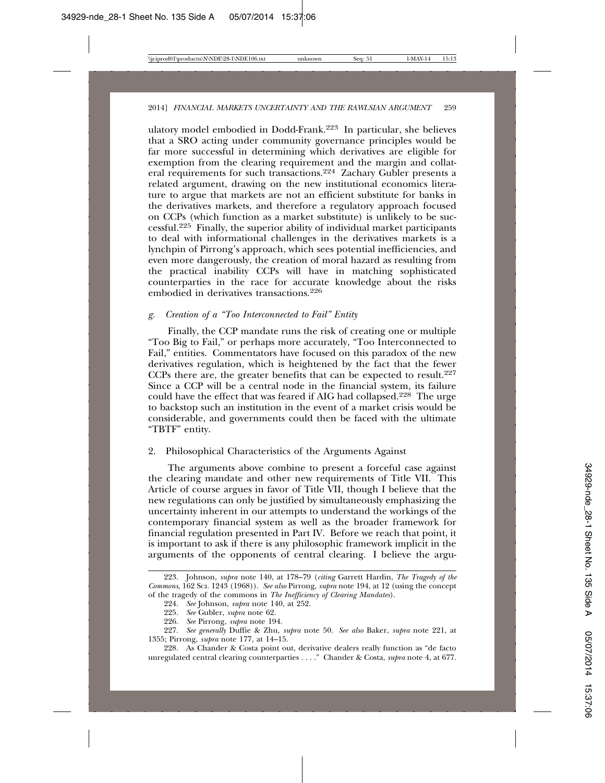ulatory model embodied in Dodd-Frank.223 In particular, she believes that a SRO acting under community governance principles would be far more successful in determining which derivatives are eligible for exemption from the clearing requirement and the margin and collateral requirements for such transactions.224 Zachary Gubler presents a related argument, drawing on the new institutional economics literature to argue that markets are not an efficient substitute for banks in the derivatives markets, and therefore a regulatory approach focused on CCPs (which function as a market substitute) is unlikely to be successful.225 Finally, the superior ability of individual market participants to deal with informational challenges in the derivatives markets is a lynchpin of Pirrong's approach, which sees potential inefficiencies, and even more dangerously, the creation of moral hazard as resulting from the practical inability CCPs will have in matching sophisticated counterparties in the race for accurate knowledge about the risks embodied in derivatives transactions.226

## *g. Creation of a "Too Interconnected to Fail" Entity*

Finally, the CCP mandate runs the risk of creating one or multiple "Too Big to Fail," or perhaps more accurately, "Too Interconnected to Fail," entities. Commentators have focused on this paradox of the new derivatives regulation, which is heightened by the fact that the fewer CCPs there are, the greater benefits that can be expected to result.<sup>227</sup> Since a CCP will be a central node in the financial system, its failure could have the effect that was feared if AIG had collapsed.228 The urge to backstop such an institution in the event of a market crisis would be considerable, and governments could then be faced with the ultimate "TBTF" entity.

#### 2. Philosophical Characteristics of the Arguments Against

The arguments above combine to present a forceful case against the clearing mandate and other new requirements of Title VII. This Article of course argues in favor of Title VII, though I believe that the new regulations can only be justified by simultaneously emphasizing the uncertainty inherent in our attempts to understand the workings of the contemporary financial system as well as the broader framework for financial regulation presented in Part IV. Before we reach that point, it is important to ask if there is any philosophic framework implicit in the arguments of the opponents of central clearing. I believe the argu-

<sup>223.</sup> Johnson, *supra* note 140, at 178–79 (*citing* Garrett Hardin, *The Tragedy of the Commons*, 162 SCI. 1243 (1968)). *See also* Pirrong, *supra* note 194, at 12 (using the concept of the tragedy of the commons in *The Inefficiency of Clearing Mandates*).

<sup>224.</sup> *See* Johnson, *supra* note 140, at 252.

<sup>225.</sup> *See* Gubler, *supra* note 62.

<sup>226.</sup> *See* Pirrong, *supra* note 194.

<sup>227.</sup> *See generally* Duffie & Zhu, *supra* note 50. *See also* Baker, *supra* note 221, at 1355; Pirrong, *supra* note 177, at 14–15.

<sup>228.</sup> As Chander & Costa point out, derivative dealers really function as "de facto unregulated central clearing counterparties . . . ." Chander & Costa, *supra* note 4, at 677.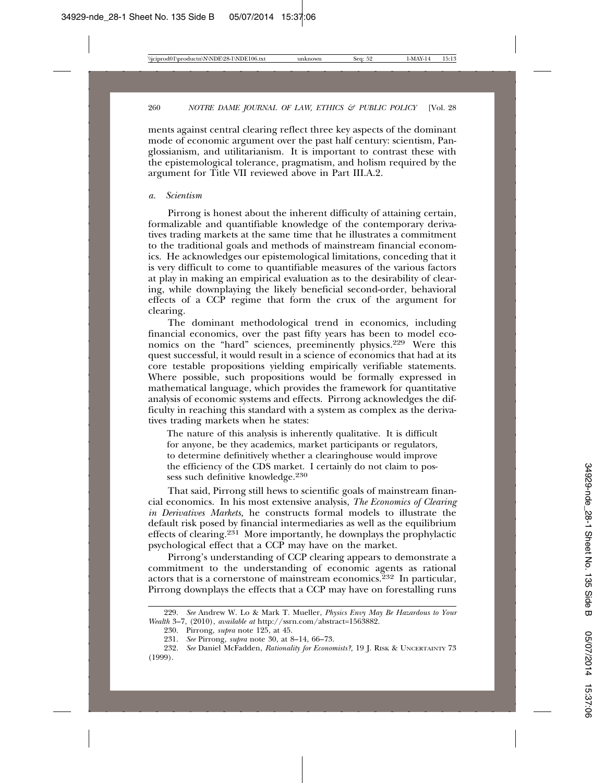ments against central clearing reflect three key aspects of the dominant mode of economic argument over the past half century: scientism, Panglossianism, and utilitarianism. It is important to contrast these with the epistemological tolerance, pragmatism, and holism required by the argument for Title VII reviewed above in Part III.A.2.

#### *a. Scientism*

Pirrong is honest about the inherent difficulty of attaining certain, formalizable and quantifiable knowledge of the contemporary derivatives trading markets at the same time that he illustrates a commitment to the traditional goals and methods of mainstream financial economics. He acknowledges our epistemological limitations, conceding that it is very difficult to come to quantifiable measures of the various factors at play in making an empirical evaluation as to the desirability of clearing, while downplaying the likely beneficial second-order, behavioral effects of a CCP regime that form the crux of the argument for clearing.

The dominant methodological trend in economics, including financial economics, over the past fifty years has been to model economics on the "hard" sciences, preeminently physics.229 Were this quest successful, it would result in a science of economics that had at its core testable propositions yielding empirically verifiable statements. Where possible, such propositions would be formally expressed in mathematical language, which provides the framework for quantitative analysis of economic systems and effects. Pirrong acknowledges the difficulty in reaching this standard with a system as complex as the derivatives trading markets when he states:

The nature of this analysis is inherently qualitative. It is difficult for anyone, be they academics, market participants or regulators, to determine definitively whether a clearinghouse would improve the efficiency of the CDS market. I certainly do not claim to possess such definitive knowledge.<sup>230</sup>

That said, Pirrong still hews to scientific goals of mainstream financial economics. In his most extensive analysis, *The Economics of Clearing in Derivatives Markets,* he constructs formal models to illustrate the default risk posed by financial intermediaries as well as the equilibrium effects of clearing.231 More importantly, he downplays the prophylactic psychological effect that a CCP may have on the market.

Pirrong's understanding of CCP clearing appears to demonstrate a commitment to the understanding of economic agents as rational actors that is a cornerstone of mainstream economics.<sup>232</sup> In particular, Pirrong downplays the effects that a CCP may have on forestalling runs

<sup>229.</sup> *See* Andrew W. Lo & Mark T. Mueller, *Physics Envy May Be Hazardous to Your Wealth* 3–7, (2010), *available at* http://ssrn.com/abstract=1563882.

<sup>230.</sup> Pirrong, *supra* note 125, at 45.

<sup>231.</sup> *See* Pirrong, *supra* note 30, at 8–14, 66–73.

<sup>232.</sup> *See* Daniel McFadden, *Rationality for Economists?,* 19 J. RISK & UNCERTAINTY 73 (1999).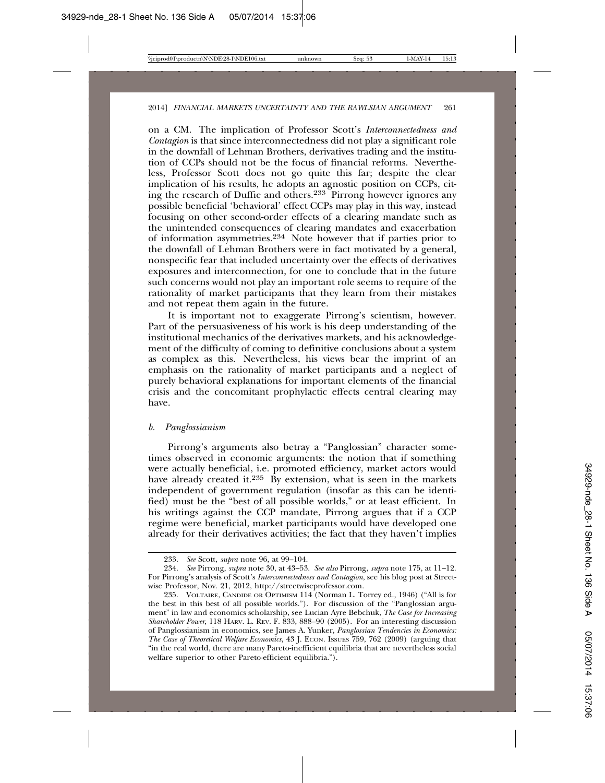on a CM. The implication of Professor Scott's *Interconnectedness and Contagion* is that since interconnectedness did not play a significant role in the downfall of Lehman Brothers, derivatives trading and the institution of CCPs should not be the focus of financial reforms. Nevertheless, Professor Scott does not go quite this far; despite the clear implication of his results, he adopts an agnostic position on CCPs, citing the research of Duffie and others.233 Pirrong however ignores any possible beneficial 'behavioral' effect CCPs may play in this way, instead focusing on other second-order effects of a clearing mandate such as the unintended consequences of clearing mandates and exacerbation of information asymmetries.234 Note however that if parties prior to the downfall of Lehman Brothers were in fact motivated by a general, nonspecific fear that included uncertainty over the effects of derivatives exposures and interconnection, for one to conclude that in the future such concerns would not play an important role seems to require of the rationality of market participants that they learn from their mistakes and not repeat them again in the future.

It is important not to exaggerate Pirrong's scientism, however. Part of the persuasiveness of his work is his deep understanding of the institutional mechanics of the derivatives markets, and his acknowledgement of the difficulty of coming to definitive conclusions about a system as complex as this. Nevertheless, his views bear the imprint of an emphasis on the rationality of market participants and a neglect of purely behavioral explanations for important elements of the financial crisis and the concomitant prophylactic effects central clearing may have.

#### *b. Panglossianism*

Pirrong's arguments also betray a "Panglossian" character sometimes observed in economic arguments: the notion that if something were actually beneficial, i.e. promoted efficiency, market actors would have already created it.<sup>235</sup> By extension, what is seen in the markets independent of government regulation (insofar as this can be identified) must be the "best of all possible worlds," or at least efficient. In his writings against the CCP mandate, Pirrong argues that if a CCP regime were beneficial, market participants would have developed one already for their derivatives activities; the fact that they haven't implies

<sup>233.</sup> *See* Scott, *supra* note 96, at 99–104.

<sup>234.</sup> *See* Pirrong, *supra* note 30, at 43–53. *See also* Pirrong, *supra* note 175, at 11–12. For Pirrong's analysis of Scott's *Interconnectedness and Contagion*, see his blog post at Streetwise Professor, Nov. 21, 2012, http://streetwiseprofessor.com.

<sup>235.</sup> VOLTAIRE, CANDIDE OR OPTIMISM 114 (Norman L. Torrey ed., 1946) ("All is for the best in this best of all possible worlds."). For discussion of the "Panglossian argument" in law and economics scholarship, see Lucian Ayre Bebchuk, *The Case for Increasing Shareholder Power*, 118 HARV. L. REV. F. 833, 888–90 (2005). For an interesting discussion of Panglossianism in economics, see James A. Yunker, *Panglossian Tendencies in Economics: The Case of Theoretical Welfare Economics*, 43 J. ECON. ISSUES 759, 762 (2009) (arguing that "in the real world, there are many Pareto-inefficient equilibria that are nevertheless social welfare superior to other Pareto-efficient equilibria.").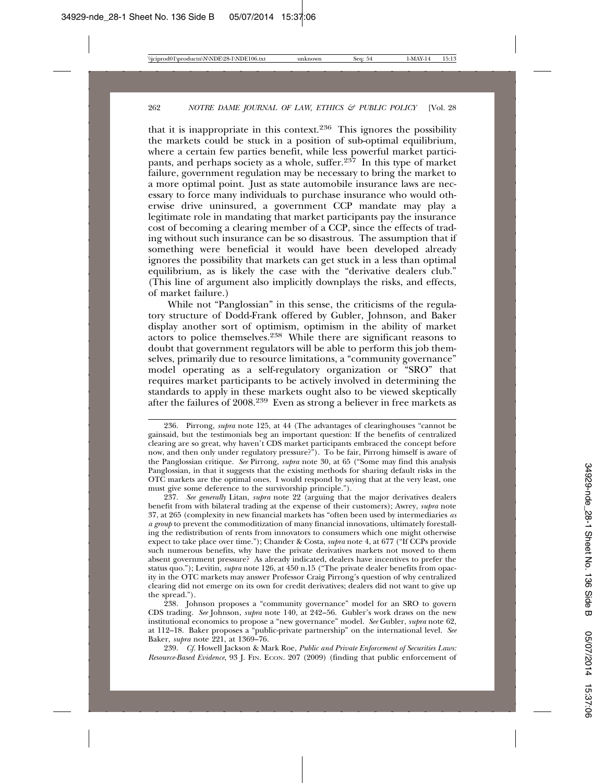that it is inappropriate in this context.<sup>236</sup> This ignores the possibility the markets could be stuck in a position of sub-optimal equilibrium, where a certain few parties benefit, while less powerful market participants, and perhaps society as a whole, suffer.<sup>237</sup> In this type of market failure, government regulation may be necessary to bring the market to a more optimal point. Just as state automobile insurance laws are necessary to force many individuals to purchase insurance who would otherwise drive uninsured, a government CCP mandate may play a legitimate role in mandating that market participants pay the insurance cost of becoming a clearing member of a CCP, since the effects of trading without such insurance can be so disastrous. The assumption that if something were beneficial it would have been developed already ignores the possibility that markets can get stuck in a less than optimal equilibrium, as is likely the case with the "derivative dealers club." (This line of argument also implicitly downplays the risks, and effects, of market failure.)

While not "Panglossian" in this sense, the criticisms of the regulatory structure of Dodd-Frank offered by Gubler, Johnson, and Baker display another sort of optimism, optimism in the ability of market actors to police themselves.238 While there are significant reasons to doubt that government regulators will be able to perform this job themselves, primarily due to resource limitations, a "community governance" model operating as a self-regulatory organization or "SRO" that requires market participants to be actively involved in determining the standards to apply in these markets ought also to be viewed skeptically after the failures of 2008.239 Even as strong a believer in free markets as

237. *See generally* Litan, *supra* note 22 (arguing that the major derivatives dealers benefit from with bilateral trading at the expense of their customers); Awrey, *supra* note 37, at 265 (complexity in new financial markets has "often been used by intermediaries *as a group* to prevent the commoditization of many financial innovations, ultimately forestalling the redistribution of rents from innovators to consumers which one might otherwise expect to take place over time."); Chander & Costa, *supra* note 4, at 677 ("If CCPs provide such numerous benefits, why have the private derivatives markets not moved to them absent government pressure? As already indicated, dealers have incentives to prefer the status quo."); Levitin*, supra* note 126, at 450 n.15 ("The private dealer benefits from opacity in the OTC markets may answer Professor Craig Pirrong's question of why centralized clearing did not emerge on its own for credit derivatives; dealers did not want to give up the spread.").

238. Johnson proposes a "community governance" model for an SRO to govern CDS trading. *See* Johnson, *supra* note 140, at 242–56. Gubler's work draws on the new institutional economics to propose a "new governance" model. *See* Gubler, *supra* note 62, at 112–18. Baker proposes a "public-private partnership" on the international level. *See* Baker, *supra* note 221, at 1369–76.

239. *Cf.* Howell Jackson & Mark Roe, *Public and Private Enforcement of Securities Laws: Resource-Based Evidence*, 93 J. FIN. ECON. 207 (2009) (finding that public enforcement of

<sup>236.</sup> Pirrong, *supra* note 125, at 44 (The advantages of clearinghouses "cannot be gainsaid, but the testimonials beg an important question: If the benefits of centralized clearing are so great, why haven't CDS market participants embraced the concept before now, and then only under regulatory pressure?"). To be fair, Pirrong himself is aware of the Panglossian critique. *See* Pirrong, *supra* note 30, at 65 ("Some may find this analysis Panglossian, in that it suggests that the existing methods for sharing default risks in the OTC markets are the optimal ones. I would respond by saying that at the very least, one must give some deference to the survivorship principle.").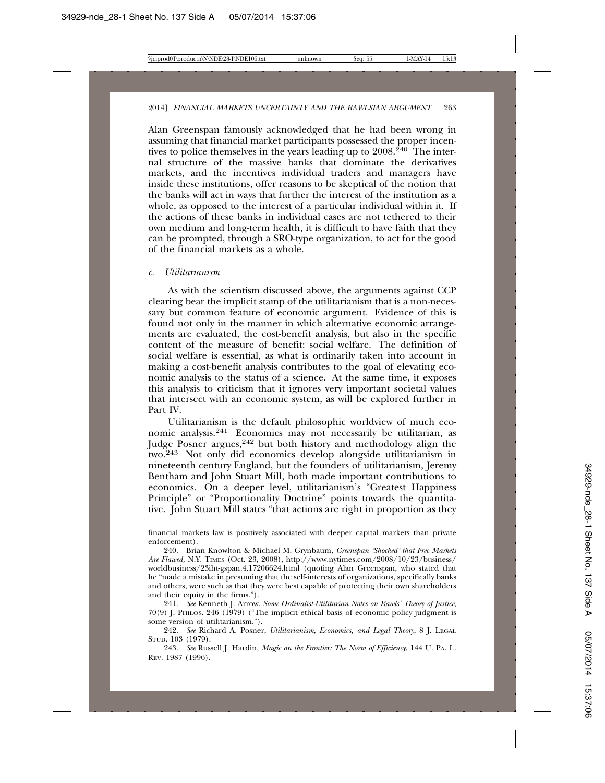Alan Greenspan famously acknowledged that he had been wrong in assuming that financial market participants possessed the proper incentives to police themselves in the years leading up to  $2008.<sup>240</sup>$  The internal structure of the massive banks that dominate the derivatives markets, and the incentives individual traders and managers have inside these institutions, offer reasons to be skeptical of the notion that the banks will act in ways that further the interest of the institution as a whole, as opposed to the interest of a particular individual within it. If the actions of these banks in individual cases are not tethered to their own medium and long-term health, it is difficult to have faith that they can be prompted, through a SRO-type organization, to act for the good of the financial markets as a whole.

#### *c. Utilitarianism*

As with the scientism discussed above, the arguments against CCP clearing bear the implicit stamp of the utilitarianism that is a non-necessary but common feature of economic argument. Evidence of this is found not only in the manner in which alternative economic arrangements are evaluated, the cost-benefit analysis, but also in the specific content of the measure of benefit: social welfare. The definition of social welfare is essential, as what is ordinarily taken into account in making a cost-benefit analysis contributes to the goal of elevating economic analysis to the status of a science. At the same time, it exposes this analysis to criticism that it ignores very important societal values that intersect with an economic system, as will be explored further in Part IV.

Utilitarianism is the default philosophic worldview of much economic analysis.241 Economics may not necessarily be utilitarian, as Judge Posner argues,242 but both history and methodology align the two.243 Not only did economics develop alongside utilitarianism in nineteenth century England, but the founders of utilitarianism, Jeremy Bentham and John Stuart Mill, both made important contributions to economics. On a deeper level, utilitarianism's "Greatest Happiness Principle" or "Proportionality Doctrine" points towards the quantitative. John Stuart Mill states "that actions are right in proportion as they

financial markets law is positively associated with deeper capital markets than private enforcement).

<sup>240.</sup> Brian Knowlton & Michael M. Grynbaum, *Greenspan 'Shocked' that Free Markets Are Flawed,* N.Y. TIMES (Oct. 23, 2008), http://www.nytimes.com/2008/10/23/business/ worldbusiness/23iht-gspan.4.17206624.html (quoting Alan Greenspan, who stated that he "made a mistake in presuming that the self-interests of organizations, specifically banks and others, were such as that they were best capable of protecting their own shareholders and their equity in the firms.").

<sup>241.</sup> *See* Kenneth J. Arrow, *Some Ordinalist-Utilitarian Notes on Rawls' Theory of Justice*, 70(9) J. PHILOS. 246 (1979) ("The implicit ethical basis of economic policy judgment is some version of utilitarianism.").

<sup>242.</sup> *See* Richard A. Posner, *Utilitarianism, Economics, and Legal Theory*, 8 J. LEGAL STUD. 103 (1979).

<sup>243.</sup> *See* Russell J. Hardin, *Magic on the Frontier: The Norm of Efficiency*, 144 U. PA. L. REV. 1987 (1996).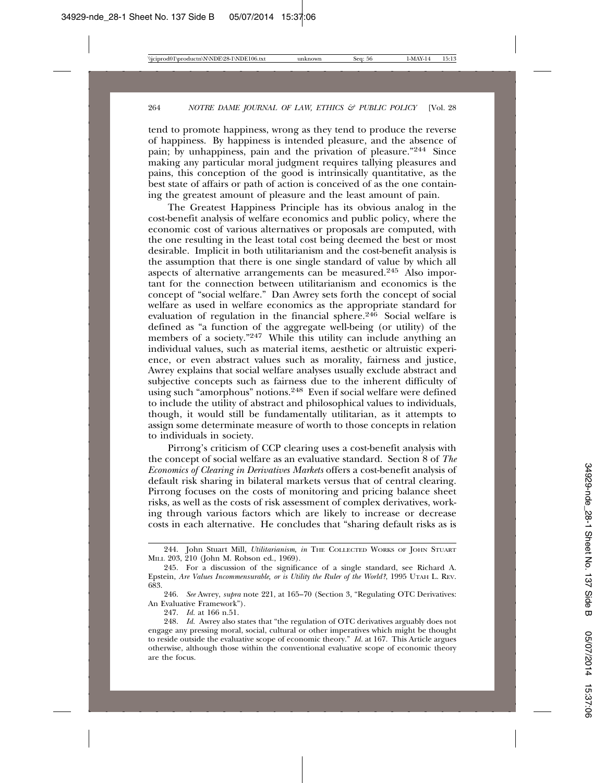tend to promote happiness, wrong as they tend to produce the reverse of happiness. By happiness is intended pleasure, and the absence of pain; by unhappiness, pain and the privation of pleasure."244 Since making any particular moral judgment requires tallying pleasures and pains, this conception of the good is intrinsically quantitative, as the best state of affairs or path of action is conceived of as the one containing the greatest amount of pleasure and the least amount of pain.

The Greatest Happiness Principle has its obvious analog in the cost-benefit analysis of welfare economics and public policy, where the economic cost of various alternatives or proposals are computed, with the one resulting in the least total cost being deemed the best or most desirable. Implicit in both utilitarianism and the cost-benefit analysis is the assumption that there is one single standard of value by which all aspects of alternative arrangements can be measured.245 Also important for the connection between utilitarianism and economics is the concept of "social welfare." Dan Awrey sets forth the concept of social welfare as used in welfare economics as the appropriate standard for evaluation of regulation in the financial sphere.<sup>246</sup> Social welfare is defined as "a function of the aggregate well-being (or utility) of the members of a society."<sup>247</sup> While this utility can include anything an individual values, such as material items, aesthetic or altruistic experience, or even abstract values such as morality, fairness and justice, Awrey explains that social welfare analyses usually exclude abstract and subjective concepts such as fairness due to the inherent difficulty of using such "amorphous" notions.248 Even if social welfare were defined to include the utility of abstract and philosophical values to individuals, though, it would still be fundamentally utilitarian, as it attempts to assign some determinate measure of worth to those concepts in relation to individuals in society.

Pirrong's criticism of CCP clearing uses a cost-benefit analysis with the concept of social welfare as an evaluative standard. Section 8 of *The Economics of Clearing in Derivatives Markets* offers a cost-benefit analysis of default risk sharing in bilateral markets versus that of central clearing. Pirrong focuses on the costs of monitoring and pricing balance sheet risks, as well as the costs of risk assessment of complex derivatives, working through various factors which are likely to increase or decrease costs in each alternative. He concludes that "sharing default risks as is

247. *Id.* at 166 n.51.

<sup>244.</sup> John Stuart Mill, *Utilitarianism*, *in* THE COLLECTED WORKS OF JOHN STUART MILL 203, 210 (John M. Robson ed., 1969).

<sup>245.</sup> For a discussion of the significance of a single standard, see Richard A. Epstein, *Are Values Incommensurable, or is Utility the Ruler of the World?*, 1995 UTAH L. REV. 683.

<sup>246.</sup> *See* Awrey, *supra* note 221, at 165–70 (Section 3, "Regulating OTC Derivatives: An Evaluative Framework").

<sup>248.</sup> *Id.* Awrey also states that "the regulation of OTC derivatives arguably does not engage any pressing moral, social, cultural or other imperatives which might be thought to reside outside the evaluative scope of economic theory." *Id.* at 167. This Article argues otherwise, although those within the conventional evaluative scope of economic theory are the focus.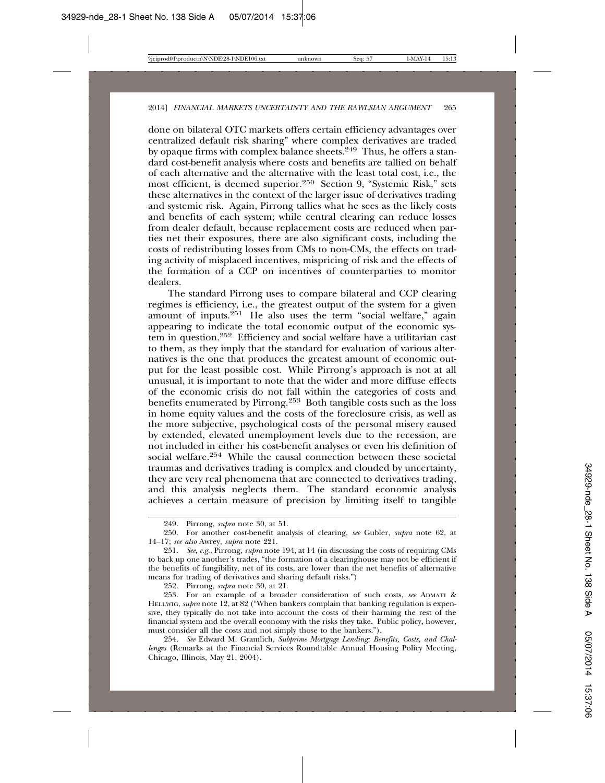done on bilateral OTC markets offers certain efficiency advantages over centralized default risk sharing" where complex derivatives are traded by opaque firms with complex balance sheets.249 Thus, he offers a standard cost-benefit analysis where costs and benefits are tallied on behalf of each alternative and the alternative with the least total cost, i.e., the most efficient, is deemed superior.250 Section 9, "Systemic Risk," sets these alternatives in the context of the larger issue of derivatives trading and systemic risk. Again, Pirrong tallies what he sees as the likely costs and benefits of each system; while central clearing can reduce losses from dealer default, because replacement costs are reduced when parties net their exposures, there are also significant costs, including the costs of redistributing losses from CMs to non-CMs, the effects on trading activity of misplaced incentives, mispricing of risk and the effects of the formation of a CCP on incentives of counterparties to monitor dealers.

The standard Pirrong uses to compare bilateral and CCP clearing regimes is efficiency, i.e., the greatest output of the system for a given amount of inputs.<sup>251</sup> He also uses the term "social welfare," again appearing to indicate the total economic output of the economic system in question.252 Efficiency and social welfare have a utilitarian cast to them, as they imply that the standard for evaluation of various alternatives is the one that produces the greatest amount of economic output for the least possible cost. While Pirrong's approach is not at all unusual, it is important to note that the wider and more diffuse effects of the economic crisis do not fall within the categories of costs and benefits enumerated by Pirrong.253 Both tangible costs such as the loss in home equity values and the costs of the foreclosure crisis, as well as the more subjective, psychological costs of the personal misery caused by extended, elevated unemployment levels due to the recession, are not included in either his cost-benefit analyses or even his definition of social welfare.254 While the causal connection between these societal traumas and derivatives trading is complex and clouded by uncertainty, they are very real phenomena that are connected to derivatives trading, and this analysis neglects them. The standard economic analysis achieves a certain measure of precision by limiting itself to tangible

252. Pirrong, *supra* note 30, at 21.

<sup>249.</sup> Pirrong, *supra* note 30, at 51.

<sup>250.</sup> For another cost-benefit analysis of clearing, *see* Gubler, *supra* note 62, at 14–17; *see also* Awrey, *supra* note 221.

<sup>251.</sup> *See*, *e.g.*, Pirrong, *supra* note 194, at 14 (in discussing the costs of requiring CMs to back up one another's trades, "the formation of a clearinghouse may not be efficient if the benefits of fungibility, net of its costs, are lower than the net benefits of alternative means for trading of derivatives and sharing default risks.")

<sup>253.</sup> For an example of a broader consideration of such costs, *see* ADMATI & HELLWIG, *supra* note 12, at 82 ("When bankers complain that banking regulation is expensive, they typically do not take into account the costs of their harming the rest of the financial system and the overall economy with the risks they take. Public policy, however, must consider all the costs and not simply those to the bankers.").

<sup>254.</sup> *See* Edward M. Gramlich, *Subprime Mortgage Lending: Benefits, Costs, and Challenges* (Remarks at the Financial Services Roundtable Annual Housing Policy Meeting, Chicago, Illinois, May 21, 2004).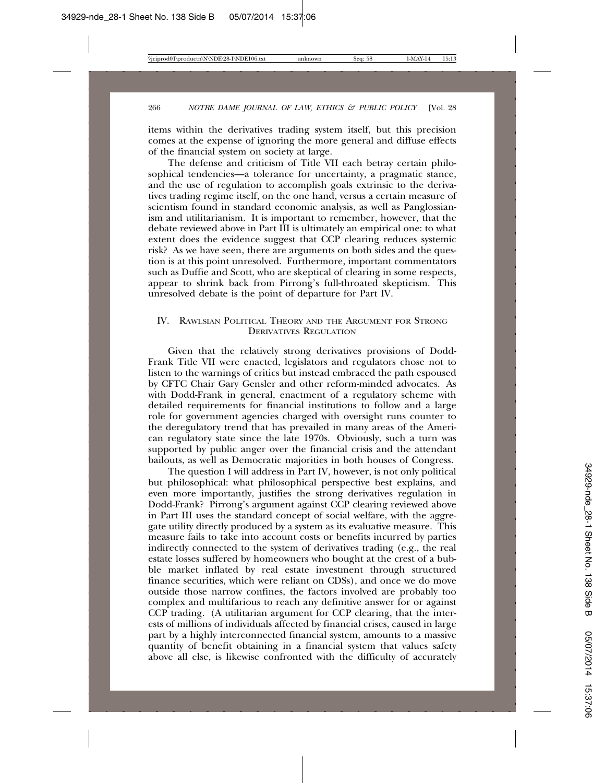items within the derivatives trading system itself, but this precision comes at the expense of ignoring the more general and diffuse effects of the financial system on society at large.

The defense and criticism of Title VII each betray certain philosophical tendencies—a tolerance for uncertainty, a pragmatic stance, and the use of regulation to accomplish goals extrinsic to the derivatives trading regime itself, on the one hand, versus a certain measure of scientism found in standard economic analysis, as well as Panglossianism and utilitarianism. It is important to remember, however, that the debate reviewed above in Part III is ultimately an empirical one: to what extent does the evidence suggest that CCP clearing reduces systemic risk? As we have seen, there are arguments on both sides and the question is at this point unresolved. Furthermore, important commentators such as Duffie and Scott, who are skeptical of clearing in some respects, appear to shrink back from Pirrong's full-throated skepticism. This unresolved debate is the point of departure for Part IV.

## IV. RAWLSIAN POLITICAL THEORY AND THE ARGUMENT FOR STRONG DERIVATIVES REGULATION

Given that the relatively strong derivatives provisions of Dodd-Frank Title VII were enacted, legislators and regulators chose not to listen to the warnings of critics but instead embraced the path espoused by CFTC Chair Gary Gensler and other reform-minded advocates. As with Dodd-Frank in general, enactment of a regulatory scheme with detailed requirements for financial institutions to follow and a large role for government agencies charged with oversight runs counter to the deregulatory trend that has prevailed in many areas of the American regulatory state since the late 1970s. Obviously, such a turn was supported by public anger over the financial crisis and the attendant bailouts, as well as Democratic majorities in both houses of Congress.

The question I will address in Part IV, however, is not only political but philosophical: what philosophical perspective best explains, and even more importantly, justifies the strong derivatives regulation in Dodd-Frank? Pirrong's argument against CCP clearing reviewed above in Part III uses the standard concept of social welfare, with the aggregate utility directly produced by a system as its evaluative measure. This measure fails to take into account costs or benefits incurred by parties indirectly connected to the system of derivatives trading (e.g., the real estate losses suffered by homeowners who bought at the crest of a bubble market inflated by real estate investment through structured finance securities, which were reliant on CDSs), and once we do move outside those narrow confines, the factors involved are probably too complex and multifarious to reach any definitive answer for or against CCP trading. (A utilitarian argument for CCP clearing, that the interests of millions of individuals affected by financial crises, caused in large part by a highly interconnected financial system, amounts to a massive quantity of benefit obtaining in a financial system that values safety above all else, is likewise confronted with the difficulty of accurately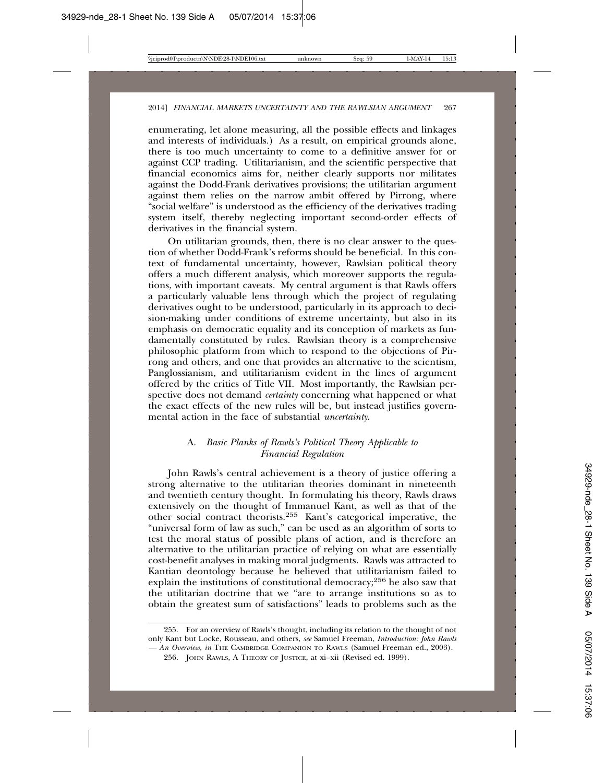enumerating, let alone measuring, all the possible effects and linkages and interests of individuals.) As a result, on empirical grounds alone, there is too much uncertainty to come to a definitive answer for or against CCP trading. Utilitarianism, and the scientific perspective that financial economics aims for, neither clearly supports nor militates against the Dodd-Frank derivatives provisions; the utilitarian argument against them relies on the narrow ambit offered by Pirrong, where "social welfare" is understood as the efficiency of the derivatives trading system itself, thereby neglecting important second-order effects of derivatives in the financial system.

On utilitarian grounds, then, there is no clear answer to the question of whether Dodd-Frank's reforms should be beneficial. In this context of fundamental uncertainty, however, Rawlsian political theory offers a much different analysis, which moreover supports the regulations, with important caveats. My central argument is that Rawls offers a particularly valuable lens through which the project of regulating derivatives ought to be understood, particularly in its approach to decision-making under conditions of extreme uncertainty, but also in its emphasis on democratic equality and its conception of markets as fundamentally constituted by rules. Rawlsian theory is a comprehensive philosophic platform from which to respond to the objections of Pirrong and others, and one that provides an alternative to the scientism, Panglossianism, and utilitarianism evident in the lines of argument offered by the critics of Title VII. Most importantly, the Rawlsian perspective does not demand *certainty* concerning what happened or what the exact effects of the new rules will be, but instead justifies governmental action in the face of substantial *uncertainty*.

## A. *Basic Planks of Rawls's Political Theory Applicable to Financial Regulation*

John Rawls's central achievement is a theory of justice offering a strong alternative to the utilitarian theories dominant in nineteenth and twentieth century thought. In formulating his theory, Rawls draws extensively on the thought of Immanuel Kant, as well as that of the other social contract theorists.255 Kant's categorical imperative, the "universal form of law as such," can be used as an algorithm of sorts to test the moral status of possible plans of action, and is therefore an alternative to the utilitarian practice of relying on what are essentially cost-benefit analyses in making moral judgments. Rawls was attracted to Kantian deontology because he believed that utilitarianism failed to explain the institutions of constitutional democracy;256 he also saw that the utilitarian doctrine that we "are to arrange institutions so as to obtain the greatest sum of satisfactions" leads to problems such as the

<sup>255.</sup> For an overview of Rawls's thought, including its relation to the thought of not only Kant but Locke, Rousseau, and others, *see* Samuel Freeman, *Introduction: John Rawls — An Overview*, *in* THE CAMBRIDGE COMPANION TO RAWLS (Samuel Freeman ed., 2003).

<sup>256.</sup> JOHN RAWLS, A THEORY OF JUSTICE, at xi–xii (Revised ed. 1999).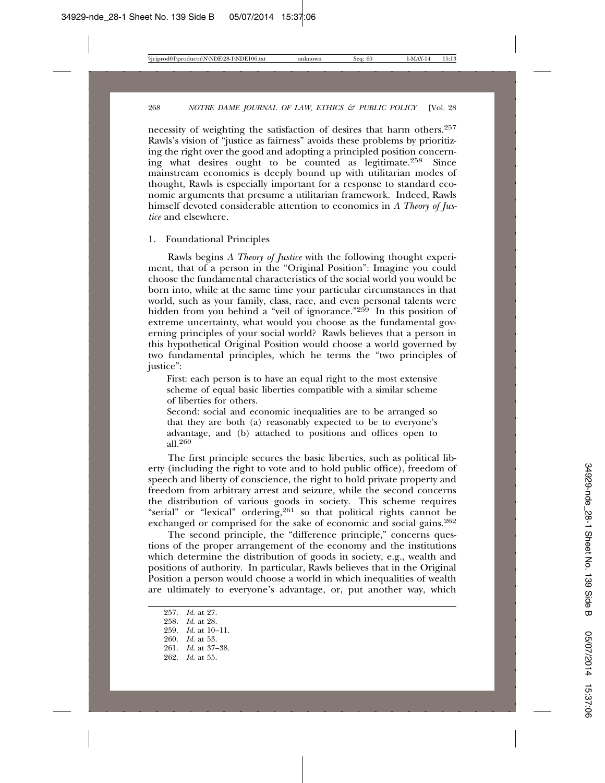necessity of weighting the satisfaction of desires that harm others.<sup>257</sup> Rawls's vision of "justice as fairness" avoids these problems by prioritizing the right over the good and adopting a principled position concerning what desires ought to be counted as legitimate.258 Since mainstream economics is deeply bound up with utilitarian modes of thought, Rawls is especially important for a response to standard economic arguments that presume a utilitarian framework. Indeed, Rawls himself devoted considerable attention to economics in *A Theory of Justice* and elsewhere.

1. Foundational Principles

Rawls begins *A Theory of Justice* with the following thought experiment, that of a person in the "Original Position": Imagine you could choose the fundamental characteristics of the social world you would be born into, while at the same time your particular circumstances in that world, such as your family, class, race, and even personal talents were hidden from you behind a "veil of ignorance."<sup>259</sup> In this position of extreme uncertainty, what would you choose as the fundamental governing principles of your social world? Rawls believes that a person in this hypothetical Original Position would choose a world governed by two fundamental principles, which he terms the "two principles of justice":

First: each person is to have an equal right to the most extensive scheme of equal basic liberties compatible with a similar scheme of liberties for others.

Second: social and economic inequalities are to be arranged so that they are both (a) reasonably expected to be to everyone's advantage, and (b) attached to positions and offices open to all.<sup>260</sup>

The first principle secures the basic liberties, such as political liberty (including the right to vote and to hold public office), freedom of speech and liberty of conscience, the right to hold private property and freedom from arbitrary arrest and seizure, while the second concerns the distribution of various goods in society. This scheme requires "serial" or "lexical" ordering,<sup>261</sup> so that political rights cannot be exchanged or comprised for the sake of economic and social gains.<sup>262</sup>

The second principle, the "difference principle," concerns questions of the proper arrangement of the economy and the institutions which determine the distribution of goods in society, e.g., wealth and positions of authority. In particular, Rawls believes that in the Original Position a person would choose a world in which inequalities of wealth are ultimately to everyone's advantage, or, put another way, which

<sup>257.</sup> *Id.* at 27. 258. *Id.* at 28. 259. *Id.* at 10–11. 260. *Id.* at 53. 261. *Id.* at 37–38. 262. *Id.* at 55.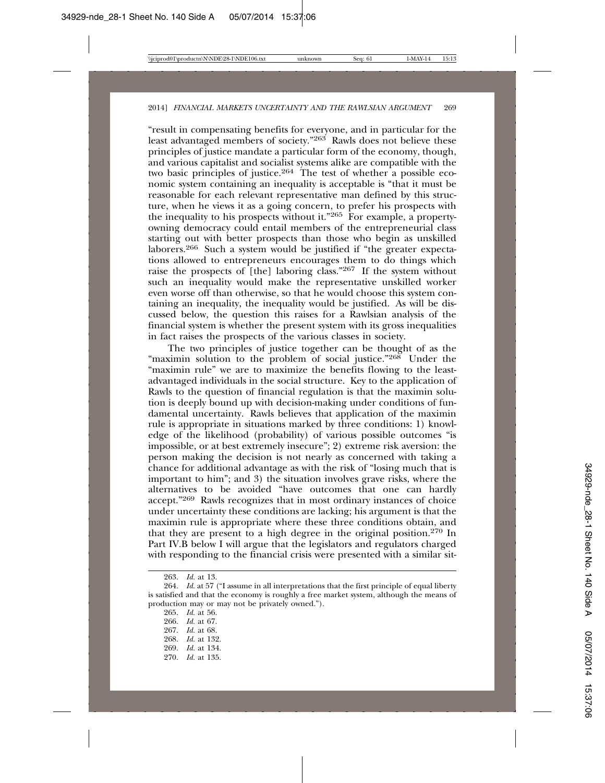"result in compensating benefits for everyone, and in particular for the least advantaged members of society."<sup>263</sup> Rawls does not believe these principles of justice mandate a particular form of the economy, though, and various capitalist and socialist systems alike are compatible with the two basic principles of justice.<sup>264</sup> The test of whether a possible economic system containing an inequality is acceptable is "that it must be reasonable for each relevant representative man defined by this structure, when he views it as a going concern, to prefer his prospects with the inequality to his prospects without it."265 For example, a propertyowning democracy could entail members of the entrepreneurial class starting out with better prospects than those who begin as unskilled laborers.266 Such a system would be justified if "the greater expectations allowed to entrepreneurs encourages them to do things which raise the prospects of [the] laboring class."267 If the system without such an inequality would make the representative unskilled worker even worse off than otherwise, so that he would choose this system containing an inequality, the inequality would be justified. As will be discussed below, the question this raises for a Rawlsian analysis of the financial system is whether the present system with its gross inequalities in fact raises the prospects of the various classes in society.

The two principles of justice together can be thought of as the "maximin solution to the problem of social justice."<sup>268</sup> Under the "maximin rule" we are to maximize the benefits flowing to the leastadvantaged individuals in the social structure. Key to the application of Rawls to the question of financial regulation is that the maximin solution is deeply bound up with decision-making under conditions of fundamental uncertainty. Rawls believes that application of the maximin rule is appropriate in situations marked by three conditions: 1) knowledge of the likelihood (probability) of various possible outcomes "is impossible, or at best extremely insecure"; 2) extreme risk aversion: the person making the decision is not nearly as concerned with taking a chance for additional advantage as with the risk of "losing much that is important to him"; and 3) the situation involves grave risks, where the alternatives to be avoided "have outcomes that one can hardly accept."269 Rawls recognizes that in most ordinary instances of choice under uncertainty these conditions are lacking; his argument is that the maximin rule is appropriate where these three conditions obtain, and that they are present to a high degree in the original position.270 In Part IV.B below I will argue that the legislators and regulators charged with responding to the financial crisis were presented with a similar sit-

265. *Id.* at 56. 266. *Id.* at 67. 267. *Id.* at 68. 268. *Id.* at 132. 269. *Id.* at 134. 270. *Id.* at 135.

<sup>263.</sup> *Id.* at 13.

<sup>264.</sup> *Id.* at 57 ("I assume in all interpretations that the first principle of equal liberty is satisfied and that the economy is roughly a free market system, although the means of production may or may not be privately owned.").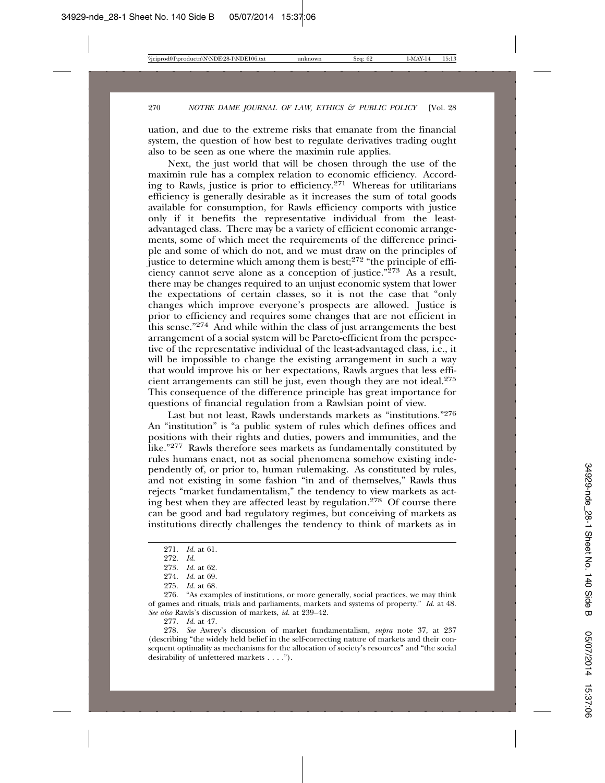uation, and due to the extreme risks that emanate from the financial system, the question of how best to regulate derivatives trading ought also to be seen as one where the maximin rule applies.

Next, the just world that will be chosen through the use of the maximin rule has a complex relation to economic efficiency. According to Rawls, justice is prior to efficiency.271 Whereas for utilitarians efficiency is generally desirable as it increases the sum of total goods available for consumption, for Rawls efficiency comports with justice only if it benefits the representative individual from the leastadvantaged class. There may be a variety of efficient economic arrangements, some of which meet the requirements of the difference principle and some of which do not, and we must draw on the principles of justice to determine which among them is best;<sup>272</sup> "the principle of efficiency cannot serve alone as a conception of justice." $273$  As a result, there may be changes required to an unjust economic system that lower the expectations of certain classes, so it is not the case that "only changes which improve everyone's prospects are allowed. Justice is prior to efficiency and requires some changes that are not efficient in this sense."274 And while within the class of just arrangements the best arrangement of a social system will be Pareto-efficient from the perspective of the representative individual of the least-advantaged class, i.e., it will be impossible to change the existing arrangement in such a way that would improve his or her expectations, Rawls argues that less efficient arrangements can still be just, even though they are not ideal.275 This consequence of the difference principle has great importance for questions of financial regulation from a Rawlsian point of view.

Last but not least, Rawls understands markets as "institutions."276 An "institution" is "a public system of rules which defines offices and positions with their rights and duties, powers and immunities, and the like."277 Rawls therefore sees markets as fundamentally constituted by rules humans enact, not as social phenomena somehow existing independently of, or prior to, human rulemaking. As constituted by rules, and not existing in some fashion "in and of themselves," Rawls thus rejects "market fundamentalism," the tendency to view markets as acting best when they are affected least by regulation.278 Of course there can be good and bad regulatory regimes, but conceiving of markets as institutions directly challenges the tendency to think of markets as in

277. *Id.* at 47.

<sup>271.</sup> *Id.* at 61.

<sup>272.</sup> *Id.*

<sup>273.</sup> *Id.* at 62.

<sup>274.</sup> *Id.* at 69.

<sup>275.</sup> *Id.* at 68.

<sup>276. &</sup>quot;As examples of institutions, or more generally, social practices, we may think of games and rituals, trials and parliaments, markets and systems of property." *Id.* at 48. *See also* Rawls's discussion of markets, *id.* at 239–42.

<sup>278.</sup> *See* Awrey's discussion of market fundamentalism, *supra* note 37, at 237 (describing "the widely held belief in the self-correcting nature of markets and their consequent optimality as mechanisms for the allocation of society's resources" and "the social desirability of unfettered markets . . . .").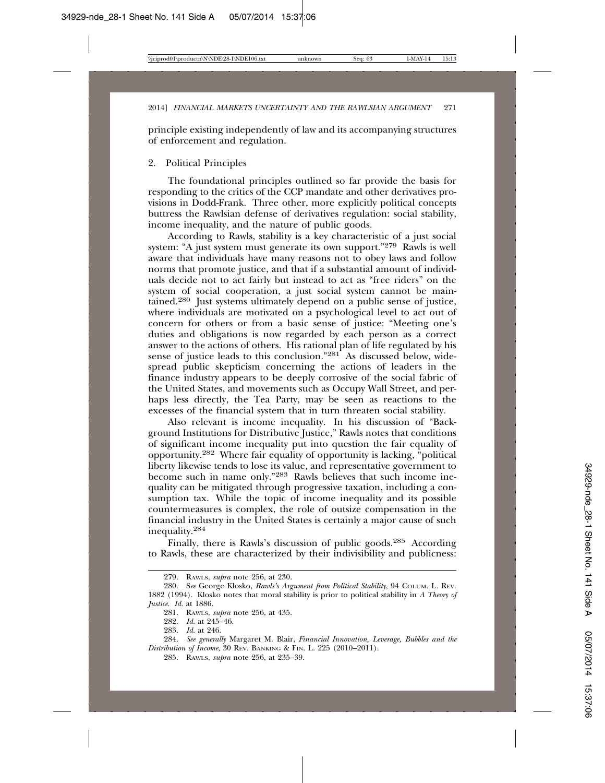principle existing independently of law and its accompanying structures of enforcement and regulation.

### 2. Political Principles

The foundational principles outlined so far provide the basis for responding to the critics of the CCP mandate and other derivatives provisions in Dodd-Frank. Three other, more explicitly political concepts buttress the Rawlsian defense of derivatives regulation: social stability, income inequality, and the nature of public goods.

According to Rawls, stability is a key characteristic of a just social system: "A just system must generate its own support."<sup>279</sup> Rawls is well aware that individuals have many reasons not to obey laws and follow norms that promote justice, and that if a substantial amount of individuals decide not to act fairly but instead to act as "free riders" on the system of social cooperation, a just social system cannot be maintained.280 Just systems ultimately depend on a public sense of justice, where individuals are motivated on a psychological level to act out of concern for others or from a basic sense of justice: "Meeting one's duties and obligations is now regarded by each person as a correct answer to the actions of others. His rational plan of life regulated by his sense of justice leads to this conclusion."<sup>281</sup> As discussed below, widespread public skepticism concerning the actions of leaders in the finance industry appears to be deeply corrosive of the social fabric of the United States, and movements such as Occupy Wall Street, and perhaps less directly, the Tea Party, may be seen as reactions to the excesses of the financial system that in turn threaten social stability.

Also relevant is income inequality. In his discussion of "Background Institutions for Distributive Justice," Rawls notes that conditions of significant income inequality put into question the fair equality of opportunity.282 Where fair equality of opportunity is lacking, "political liberty likewise tends to lose its value, and representative government to become such in name only."283 Rawls believes that such income inequality can be mitigated through progressive taxation, including a consumption tax. While the topic of income inequality and its possible countermeasures is complex, the role of outsize compensation in the financial industry in the United States is certainly a major cause of such inequality.<sup>284</sup>

Finally, there is Rawls's discussion of public goods.285 According to Rawls, these are characterized by their indivisibility and publicness:

<sup>279.</sup> RAWLS, *supra* note 256, at 230.

<sup>280.</sup> S*ee* George Klosko, *Rawls's Argument from Political Stability*, 94 COLUM. L. REV. 1882 (1994). Klosko notes that moral stability is prior to political stability in *A Theory of Justice*. *Id.* at 1886.

<sup>281.</sup> RAWLS, *supra* note 256, at 435.

<sup>282.</sup> *Id.* at 245–46.

<sup>283.</sup> *Id.* at 246.

<sup>284.</sup> *See generally* Margaret M. Blair, *Financial Innovation, Leverage, Bubbles and the Distribution of Income*, 30 REV. BANKING & FIN. L. 225 (2010–2011).

<sup>285.</sup> RAWLS, *supra* note 256, at 235–39.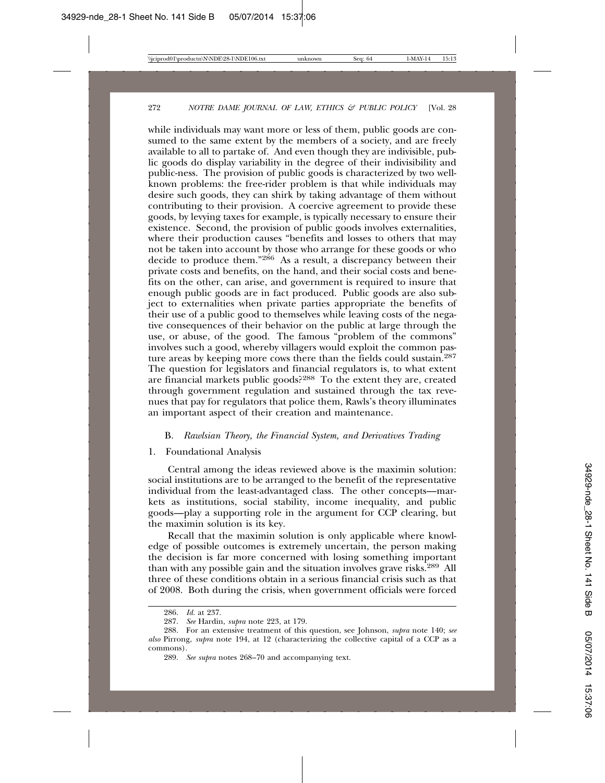while individuals may want more or less of them, public goods are consumed to the same extent by the members of a society, and are freely available to all to partake of. And even though they are indivisible, public goods do display variability in the degree of their indivisibility and public-ness. The provision of public goods is characterized by two wellknown problems: the free-rider problem is that while individuals may desire such goods, they can shirk by taking advantage of them without contributing to their provision. A coercive agreement to provide these goods, by levying taxes for example, is typically necessary to ensure their existence. Second, the provision of public goods involves externalities, where their production causes "benefits and losses to others that may not be taken into account by those who arrange for these goods or who decide to produce them."286 As a result, a discrepancy between their private costs and benefits, on the hand, and their social costs and benefits on the other, can arise, and government is required to insure that enough public goods are in fact produced. Public goods are also subject to externalities when private parties appropriate the benefits of their use of a public good to themselves while leaving costs of the negative consequences of their behavior on the public at large through the use, or abuse, of the good. The famous "problem of the commons" involves such a good, whereby villagers would exploit the common pasture areas by keeping more cows there than the fields could sustain.<sup>287</sup> The question for legislators and financial regulators is, to what extent are financial markets public goods?288 To the extent they are, created through government regulation and sustained through the tax revenues that pay for regulators that police them, Rawls's theory illuminates an important aspect of their creation and maintenance.

#### B. *Rawlsian Theory, the Financial System, and Derivatives Trading*

1. Foundational Analysis

Central among the ideas reviewed above is the maximin solution: social institutions are to be arranged to the benefit of the representative individual from the least-advantaged class. The other concepts—markets as institutions, social stability, income inequality, and public goods—play a supporting role in the argument for CCP clearing, but the maximin solution is its key.

Recall that the maximin solution is only applicable where knowledge of possible outcomes is extremely uncertain, the person making the decision is far more concerned with losing something important than with any possible gain and the situation involves grave risks.<sup>289</sup> All three of these conditions obtain in a serious financial crisis such as that of 2008. Both during the crisis, when government officials were forced

<sup>286.</sup> *Id.* at 237.

<sup>287.</sup> *See* Hardin, *supra* note 223, at 179.

<sup>288.</sup> For an extensive treatment of this question, see Johnson, *supra* note 140; *see also* Pirrong, *supra* note 194, at 12 (characterizing the collective capital of a CCP as a commons).

<sup>289.</sup> *See supra* notes 268–70 and accompanying text.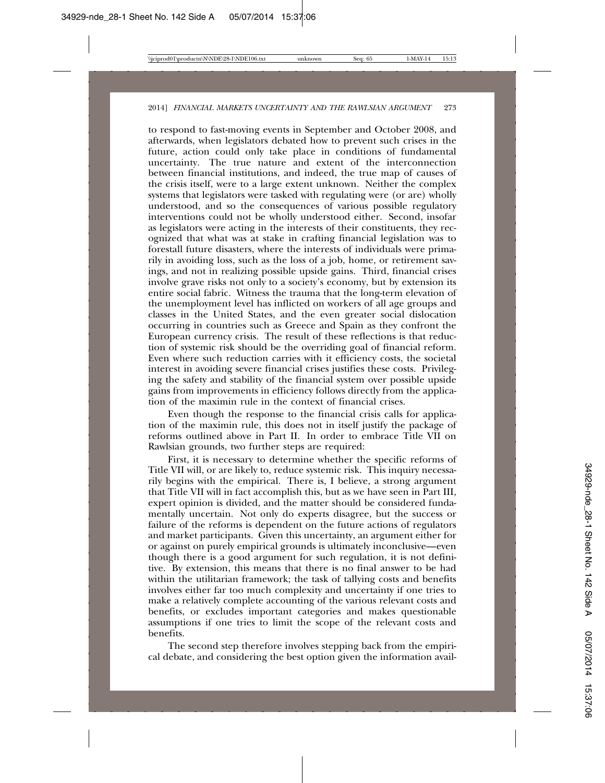to respond to fast-moving events in September and October 2008, and afterwards, when legislators debated how to prevent such crises in the future, action could only take place in conditions of fundamental uncertainty. The true nature and extent of the interconnection between financial institutions, and indeed, the true map of causes of the crisis itself, were to a large extent unknown. Neither the complex systems that legislators were tasked with regulating were (or are) wholly understood, and so the consequences of various possible regulatory interventions could not be wholly understood either. Second, insofar as legislators were acting in the interests of their constituents, they recognized that what was at stake in crafting financial legislation was to forestall future disasters, where the interests of individuals were primarily in avoiding loss, such as the loss of a job, home, or retirement savings, and not in realizing possible upside gains. Third, financial crises involve grave risks not only to a society's economy, but by extension its entire social fabric. Witness the trauma that the long-term elevation of the unemployment level has inflicted on workers of all age groups and classes in the United States, and the even greater social dislocation occurring in countries such as Greece and Spain as they confront the European currency crisis. The result of these reflections is that reduction of systemic risk should be the overriding goal of financial reform. Even where such reduction carries with it efficiency costs, the societal interest in avoiding severe financial crises justifies these costs. Privileging the safety and stability of the financial system over possible upside gains from improvements in efficiency follows directly from the application of the maximin rule in the context of financial crises.

Even though the response to the financial crisis calls for application of the maximin rule, this does not in itself justify the package of reforms outlined above in Part II. In order to embrace Title VII on Rawlsian grounds, two further steps are required:

First, it is necessary to determine whether the specific reforms of Title VII will, or are likely to, reduce systemic risk. This inquiry necessarily begins with the empirical. There is, I believe, a strong argument that Title VII will in fact accomplish this, but as we have seen in Part III, expert opinion is divided, and the matter should be considered fundamentally uncertain. Not only do experts disagree, but the success or failure of the reforms is dependent on the future actions of regulators and market participants. Given this uncertainty, an argument either for or against on purely empirical grounds is ultimately inconclusive—even though there is a good argument for such regulation, it is not definitive. By extension, this means that there is no final answer to be had within the utilitarian framework; the task of tallying costs and benefits involves either far too much complexity and uncertainty if one tries to make a relatively complete accounting of the various relevant costs and benefits, or excludes important categories and makes questionable assumptions if one tries to limit the scope of the relevant costs and benefits.

The second step therefore involves stepping back from the empirical debate, and considering the best option given the information avail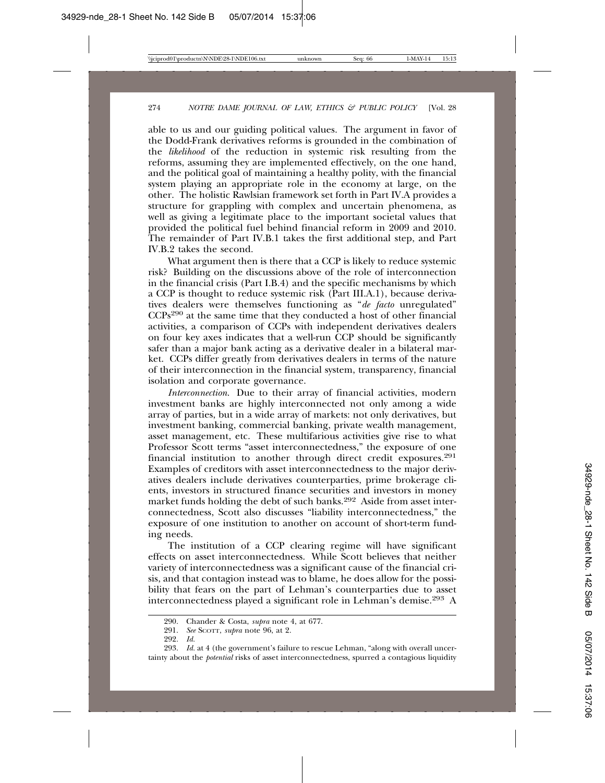able to us and our guiding political values. The argument in favor of the Dodd-Frank derivatives reforms is grounded in the combination of the *likelihood* of the reduction in systemic risk resulting from the reforms, assuming they are implemented effectively, on the one hand, and the political goal of maintaining a healthy polity, with the financial system playing an appropriate role in the economy at large, on the other. The holistic Rawlsian framework set forth in Part IV.A provides a structure for grappling with complex and uncertain phenomena, as well as giving a legitimate place to the important societal values that provided the political fuel behind financial reform in 2009 and 2010. The remainder of Part IV.B.1 takes the first additional step, and Part IV.B.2 takes the second.

What argument then is there that a CCP is likely to reduce systemic risk? Building on the discussions above of the role of interconnection in the financial crisis (Part I.B.4) and the specific mechanisms by which a CCP is thought to reduce systemic risk (Part III.A.1), because derivatives dealers were themselves functioning as "*de facto* unregulated" CCPs290 at the same time that they conducted a host of other financial activities, a comparison of CCPs with independent derivatives dealers on four key axes indicates that a well-run CCP should be significantly safer than a major bank acting as a derivative dealer in a bilateral market. CCPs differ greatly from derivatives dealers in terms of the nature of their interconnection in the financial system, transparency, financial isolation and corporate governance.

*Interconnection*. Due to their array of financial activities, modern investment banks are highly interconnected not only among a wide array of parties, but in a wide array of markets: not only derivatives, but investment banking, commercial banking, private wealth management, asset management, etc. These multifarious activities give rise to what Professor Scott terms "asset interconnectedness," the exposure of one financial institution to another through direct credit exposures.<sup>291</sup> Examples of creditors with asset interconnectedness to the major derivatives dealers include derivatives counterparties, prime brokerage clients, investors in structured finance securities and investors in money market funds holding the debt of such banks.292 Aside from asset interconnectedness, Scott also discusses "liability interconnectedness," the exposure of one institution to another on account of short-term funding needs.

The institution of a CCP clearing regime will have significant effects on asset interconnectedness. While Scott believes that neither variety of interconnectedness was a significant cause of the financial crisis, and that contagion instead was to blame, he does allow for the possibility that fears on the part of Lehman's counterparties due to asset interconnectedness played a significant role in Lehman's demise.293 A

<sup>290.</sup> Chander & Costa, *supra* note 4, at 677.

<sup>291.</sup> *See* SCOTT, *supra* note 96, at 2.

<sup>292.</sup> *Id.*

<sup>293.</sup> *Id.* at 4 (the government's failure to rescue Lehman, "along with overall uncertainty about the *potential* risks of asset interconnectedness, spurred a contagious liquidity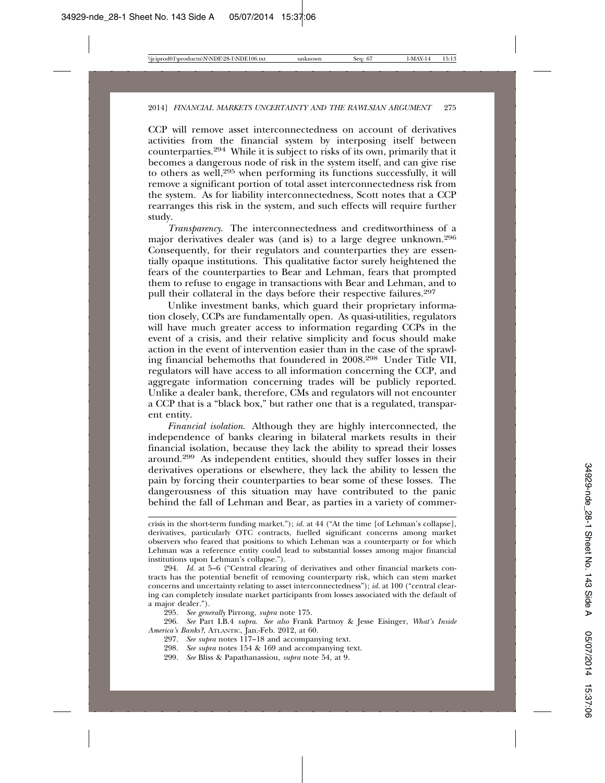CCP will remove asset interconnectedness on account of derivatives activities from the financial system by interposing itself between counterparties.294 While it is subject to risks of its own, primarily that it becomes a dangerous node of risk in the system itself, and can give rise to others as well,295 when performing its functions successfully, it will remove a significant portion of total asset interconnectedness risk from the system. As for liability interconnectedness, Scott notes that a CCP rearranges this risk in the system, and such effects will require further study.

*Transparency*. The interconnectedness and creditworthiness of a major derivatives dealer was (and is) to a large degree unknown.296 Consequently, for their regulators and counterparties they are essentially opaque institutions. This qualitative factor surely heightened the fears of the counterparties to Bear and Lehman, fears that prompted them to refuse to engage in transactions with Bear and Lehman, and to pull their collateral in the days before their respective failures.<sup>297</sup>

Unlike investment banks, which guard their proprietary information closely, CCPs are fundamentally open. As quasi-utilities, regulators will have much greater access to information regarding CCPs in the event of a crisis, and their relative simplicity and focus should make action in the event of intervention easier than in the case of the sprawling financial behemoths that foundered in 2008.298 Under Title VII, regulators will have access to all information concerning the CCP, and aggregate information concerning trades will be publicly reported. Unlike a dealer bank, therefore, CMs and regulators will not encounter a CCP that is a "black box," but rather one that is a regulated, transparent entity.

*Financial isolation*. Although they are highly interconnected, the independence of banks clearing in bilateral markets results in their financial isolation, because they lack the ability to spread their losses around.299 As independent entities, should they suffer losses in their derivatives operations or elsewhere, they lack the ability to lessen the pain by forcing their counterparties to bear some of these losses. The dangerousness of this situation may have contributed to the panic behind the fall of Lehman and Bear, as parties in a variety of commer-

crisis in the short-term funding market."); *id.* at 44 ("At the time [of Lehman's collapse], derivatives, particularly OTC contracts, fuelled significant concerns among market observers who feared that positions to which Lehman was a counterparty or for which Lehman was a reference entity could lead to substantial losses among major financial institutions upon Lehman's collapse.").

294. *Id.* at 5–6 ("Central clearing of derivatives and other financial markets contracts has the potential benefit of removing counterparty risk, which can stem market concerns and uncertainty relating to asset interconnectedness"); *id.* at 100 ("central clearing can completely insulate market participants from losses associated with the default of a major dealer.").

295. *See generally* Pirrong, *supra* note 175.

296. *See* Part I.B.4 *supra*. *See also* Frank Partnoy & Jesse Eisinger, *What's Inside America's Banks?*, ATLANTIC, Jan.-Feb. 2012, at 60.

297. *See supra* notes 117–18 and accompanying text.

298. *See supra* notes 154 & 169 and accompanying text.

299. *See* Bliss & Papathanassiou, *supra* note 54, at 9.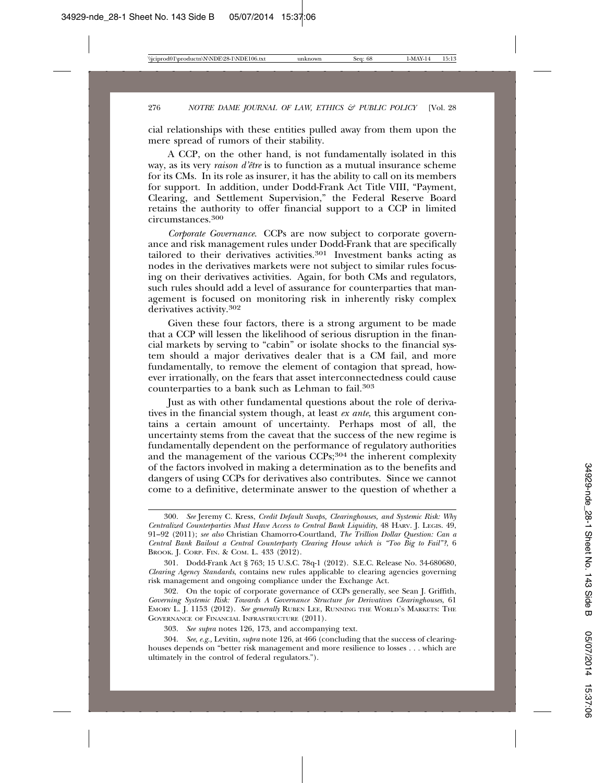cial relationships with these entities pulled away from them upon the mere spread of rumors of their stability.

A CCP, on the other hand, is not fundamentally isolated in this way, as its very *raison d'être* is to function as a mutual insurance scheme for its CMs. In its role as insurer, it has the ability to call on its members for support. In addition, under Dodd-Frank Act Title VIII, "Payment, Clearing, and Settlement Supervision," the Federal Reserve Board retains the authority to offer financial support to a CCP in limited circumstances.<sup>300</sup>

*Corporate Governance*. CCPs are now subject to corporate governance and risk management rules under Dodd-Frank that are specifically tailored to their derivatives activities.<sup>301</sup> Investment banks acting as nodes in the derivatives markets were not subject to similar rules focusing on their derivatives activities. Again, for both CMs and regulators, such rules should add a level of assurance for counterparties that management is focused on monitoring risk in inherently risky complex derivatives activity.302

Given these four factors, there is a strong argument to be made that a CCP will lessen the likelihood of serious disruption in the financial markets by serving to "cabin" or isolate shocks to the financial system should a major derivatives dealer that is a CM fail, and more fundamentally, to remove the element of contagion that spread, however irrationally, on the fears that asset interconnectedness could cause counterparties to a bank such as Lehman to fail.303

Just as with other fundamental questions about the role of derivatives in the financial system though, at least *ex ante*, this argument contains a certain amount of uncertainty. Perhaps most of all, the uncertainty stems from the caveat that the success of the new regime is fundamentally dependent on the performance of regulatory authorities and the management of the various CCPs;<sup>304</sup> the inherent complexity of the factors involved in making a determination as to the benefits and dangers of using CCPs for derivatives also contributes. Since we cannot come to a definitive, determinate answer to the question of whether a

<sup>300.</sup> *See* Jeremy C. Kress, *Credit Default Swaps, Clearinghouses, and Systemic Risk: Why Centralized Counterparties Must Have Access to Central Bank Liquidity*, 48 HARV. J. LEGIS. 49, 91–92 (2011); *see also* Christian Chamorro-Courtland, *The Trillion Dollar Question: Can a Central Bank Bailout a Central Counterparty Clearing House which is "Too Big to Fail"?*, 6 BROOK. J. CORP. FIN. & COM. L. 433 (2012).

<sup>301.</sup> Dodd-Frank Act § 763; 15 U.S.C. 78q-1 (2012). S.E.C. Release No. 34-680680, *Clearing Agency Standards*, contains new rules applicable to clearing agencies governing risk management and ongoing compliance under the Exchange Act.

<sup>302.</sup> On the topic of corporate governance of CCPs generally, see Sean J. Griffith, *Governing Systemic Risk: Towards A Governance Structure for Derivatives Clearinghouses*, 61 EMORY L. J. 1153 (2012). *See generally* RUBEN LEE, RUNNING THE WORLD'S MARKETS: THE GOVERNANCE OF FINANCIAL INFRASTRUCTURE (2011).

<sup>303.</sup> *See supra* notes 126, 173, and accompanying text.

<sup>304.</sup> *See*, *e.g.,* Levitin, *supra* note 126, at 466 (concluding that the success of clearinghouses depends on "better risk management and more resilience to losses . . . which are ultimately in the control of federal regulators.").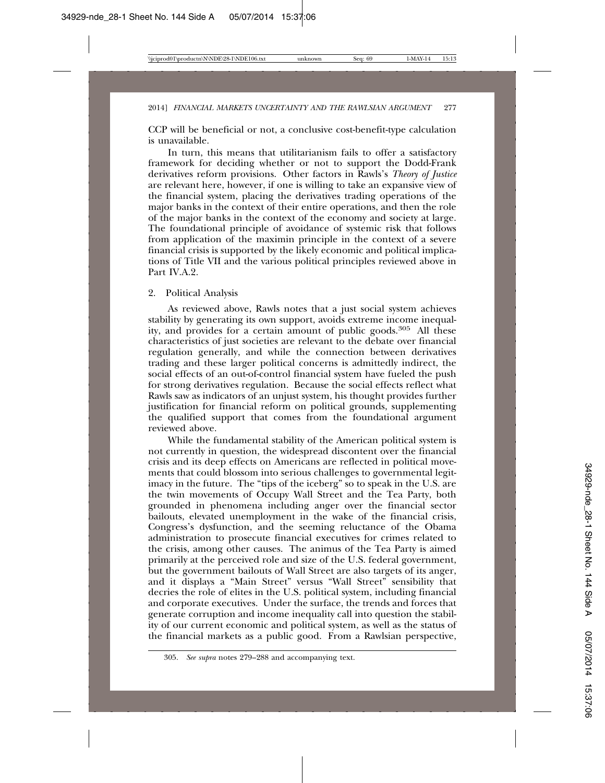CCP will be beneficial or not, a conclusive cost-benefit-type calculation is unavailable.

In turn, this means that utilitarianism fails to offer a satisfactory framework for deciding whether or not to support the Dodd-Frank derivatives reform provisions. Other factors in Rawls's *Theory of Justice* are relevant here, however, if one is willing to take an expansive view of the financial system, placing the derivatives trading operations of the major banks in the context of their entire operations, and then the role of the major banks in the context of the economy and society at large. The foundational principle of avoidance of systemic risk that follows from application of the maximin principle in the context of a severe financial crisis is supported by the likely economic and political implications of Title VII and the various political principles reviewed above in Part IV.A.2.

# 2. Political Analysis

As reviewed above, Rawls notes that a just social system achieves stability by generating its own support, avoids extreme income inequality, and provides for a certain amount of public goods.305 All these characteristics of just societies are relevant to the debate over financial regulation generally, and while the connection between derivatives trading and these larger political concerns is admittedly indirect, the social effects of an out-of-control financial system have fueled the push for strong derivatives regulation. Because the social effects reflect what Rawls saw as indicators of an unjust system, his thought provides further justification for financial reform on political grounds, supplementing the qualified support that comes from the foundational argument reviewed above.

While the fundamental stability of the American political system is not currently in question, the widespread discontent over the financial crisis and its deep effects on Americans are reflected in political movements that could blossom into serious challenges to governmental legitimacy in the future. The "tips of the iceberg" so to speak in the U.S. are the twin movements of Occupy Wall Street and the Tea Party, both grounded in phenomena including anger over the financial sector bailouts, elevated unemployment in the wake of the financial crisis, Congress's dysfunction, and the seeming reluctance of the Obama administration to prosecute financial executives for crimes related to the crisis, among other causes. The animus of the Tea Party is aimed primarily at the perceived role and size of the U.S. federal government, but the government bailouts of Wall Street are also targets of its anger, and it displays a "Main Street" versus "Wall Street" sensibility that decries the role of elites in the U.S. political system, including financial and corporate executives. Under the surface, the trends and forces that generate corruption and income inequality call into question the stability of our current economic and political system, as well as the status of the financial markets as a public good. From a Rawlsian perspective,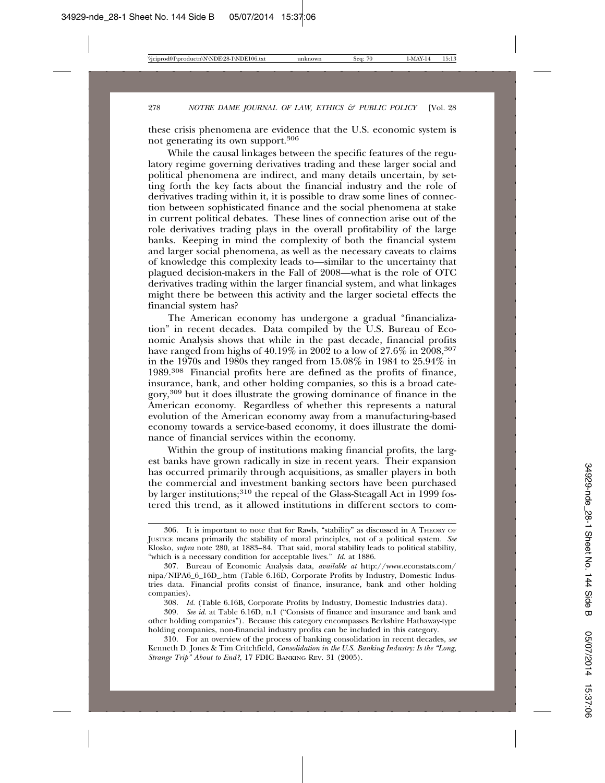these crisis phenomena are evidence that the U.S. economic system is not generating its own support.306

While the causal linkages between the specific features of the regulatory regime governing derivatives trading and these larger social and political phenomena are indirect, and many details uncertain, by setting forth the key facts about the financial industry and the role of derivatives trading within it, it is possible to draw some lines of connection between sophisticated finance and the social phenomena at stake in current political debates. These lines of connection arise out of the role derivatives trading plays in the overall profitability of the large banks. Keeping in mind the complexity of both the financial system and larger social phenomena, as well as the necessary caveats to claims of knowledge this complexity leads to—similar to the uncertainty that plagued decision-makers in the Fall of 2008—what is the role of OTC derivatives trading within the larger financial system, and what linkages might there be between this activity and the larger societal effects the financial system has?

The American economy has undergone a gradual "financialization" in recent decades. Data compiled by the U.S. Bureau of Economic Analysis shows that while in the past decade, financial profits have ranged from highs of  $40.19\%$  in  $200\overline{2}$  to a low of  $27.6\%$  in  $2008$ <sup>307</sup> in the 1970s and 1980s they ranged from 15.08% in 1984 to 25.94% in 1989.308 Financial profits here are defined as the profits of finance, insurance, bank, and other holding companies, so this is a broad category,309 but it does illustrate the growing dominance of finance in the American economy. Regardless of whether this represents a natural evolution of the American economy away from a manufacturing-based economy towards a service-based economy, it does illustrate the dominance of financial services within the economy.

Within the group of institutions making financial profits, the largest banks have grown radically in size in recent years. Their expansion has occurred primarily through acquisitions, as smaller players in both the commercial and investment banking sectors have been purchased by larger institutions;<sup>310</sup> the repeal of the Glass-Steagall Act in 1999 fostered this trend, as it allowed institutions in different sectors to com-

<sup>306.</sup> It is important to note that for Rawls, "stability" as discussed in A THEORY OF JUSTICE means primarily the stability of moral principles, not of a political system. *See* Klosko, *supra* note 280, at 1883–84. That said, moral stability leads to political stability, "which is a necessary condition for acceptable lives." *Id.* at 1886.

<sup>307.</sup> Bureau of Economic Analysis data, *available at* http://www.econstats.com/ nipa/NIPA6\_6\_16D\_.htm (Table 6.16D, Corporate Profits by Industry, Domestic Industries data. Financial profits consist of finance, insurance, bank and other holding companies).

<sup>308.</sup> *Id.* (Table 6.16B, Corporate Profits by Industry, Domestic Industries data).

<sup>309.</sup> *See id*. at Table 6.16D, n.1 ("Consists of finance and insurance and bank and other holding companies"). Because this category encompasses Berkshire Hathaway-type holding companies, non-financial industry profits can be included in this category.

<sup>310.</sup> For an overview of the process of banking consolidation in recent decades, *see* Kenneth D. Jones & Tim Critchfield, *Consolidation in the U.S. Banking Industry: Is the "Long, Strange Trip" About to End?*, 17 FDIC BANKING REV. 31 (2005).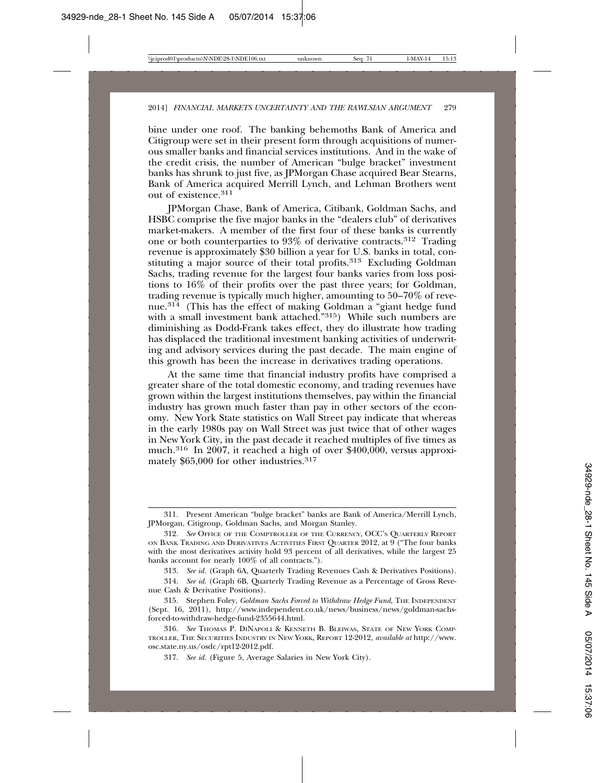bine under one roof. The banking behemoths Bank of America and Citigroup were set in their present form through acquisitions of numerous smaller banks and financial services institutions. And in the wake of the credit crisis, the number of American "bulge bracket" investment banks has shrunk to just five, as JPMorgan Chase acquired Bear Stearns, Bank of America acquired Merrill Lynch, and Lehman Brothers went out of existence.311

JPMorgan Chase, Bank of America, Citibank, Goldman Sachs, and HSBC comprise the five major banks in the "dealers club" of derivatives market-makers. A member of the first four of these banks is currently one or both counterparties to 93% of derivative contracts.312 Trading revenue is approximately \$30 billion a year for U.S. banks in total, constituting a major source of their total profits.<sup>313</sup> Excluding Goldman Sachs, trading revenue for the largest four banks varies from loss positions to 16% of their profits over the past three years; for Goldman, trading revenue is typically much higher, amounting to 50–70% of revenue.314 (This has the effect of making Goldman a "giant hedge fund with a small investment bank attached."<sup>315</sup>) While such numbers are diminishing as Dodd-Frank takes effect, they do illustrate how trading has displaced the traditional investment banking activities of underwriting and advisory services during the past decade. The main engine of this growth has been the increase in derivatives trading operations.

At the same time that financial industry profits have comprised a greater share of the total domestic economy, and trading revenues have grown within the largest institutions themselves, pay within the financial industry has grown much faster than pay in other sectors of the economy. New York State statistics on Wall Street pay indicate that whereas in the early 1980s pay on Wall Street was just twice that of other wages in New York City, in the past decade it reached multiples of five times as much.<sup>316</sup> In 2007, it reached a high of over \$400,000, versus approximately \$65,000 for other industries.317

<sup>311.</sup> Present American "bulge bracket" banks are Bank of America/Merrill Lynch, JPMorgan, Citigroup, Goldman Sachs, and Morgan Stanley.

<sup>312.</sup> *See* OFFICE OF THE COMPTROLLER OF THE CURRENCY, OCC'S QUARTERLY REPORT ON BANK TRADING AND DERIVATIVES ACTIVITIES FIRST QUARTER 2012, at 9 ("The four banks with the most derivatives activity hold 93 percent of all derivatives, while the largest 25 banks account for nearly 100% of all contracts.").

<sup>313.</sup> *See id.* (Graph 6A, Quarterly Trading Revenues Cash & Derivatives Positions).

<sup>314.</sup> *See id.* (Graph 6B, Quarterly Trading Revenue as a Percentage of Gross Revenue Cash & Derivative Positions).

<sup>315.</sup> Stephen Foley, *Goldman Sachs Forced to Withdraw Hedge Fund*, THE INDEPENDENT (Sept. 16, 2011), http://www.independent.co.uk/news/business/news/goldman-sachsforced-to-withdraw-hedge-fund-2355644.html.

<sup>316.</sup> *See* THOMAS P. DINAPOLI & KENNETH B. BLEIWAS, STATE OF NEW YORK COMP-TROLLER, THE SECURITIES INDUSTRY IN NEW YORK, REPORT 12-2012, *available at* http://www. osc.state.ny.us/osdc/rpt12-2012.pdf.

<sup>317.</sup> *See id.* (Figure 5, Average Salaries in New York City).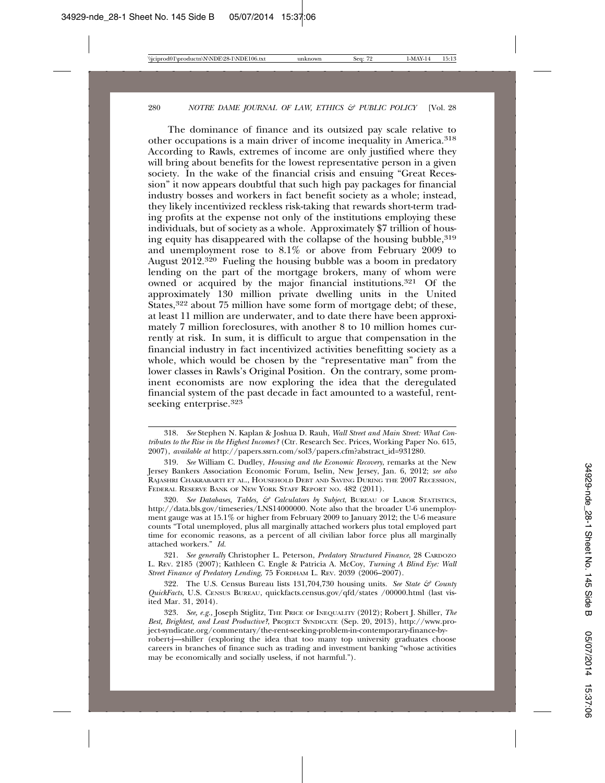The dominance of finance and its outsized pay scale relative to other occupations is a main driver of income inequality in America.318 According to Rawls, extremes of income are only justified where they will bring about benefits for the lowest representative person in a given society. In the wake of the financial crisis and ensuing "Great Recession" it now appears doubtful that such high pay packages for financial industry bosses and workers in fact benefit society as a whole; instead, they likely incentivized reckless risk-taking that rewards short-term trading profits at the expense not only of the institutions employing these individuals, but of society as a whole. Approximately \$7 trillion of housing equity has disappeared with the collapse of the housing bubble,  $319$ and unemployment rose to 8.1% or above from February 2009 to August  $2012^{320}$  Fueling the housing bubble was a boom in predatory lending on the part of the mortgage brokers, many of whom were owned or acquired by the major financial institutions.<sup>321</sup> Of the approximately 130 million private dwelling units in the United States,<sup>322</sup> about 75 million have some form of mortgage debt; of these, at least 11 million are underwater, and to date there have been approximately 7 million foreclosures, with another 8 to 10 million homes currently at risk. In sum, it is difficult to argue that compensation in the financial industry in fact incentivized activities benefitting society as a whole, which would be chosen by the "representative man" from the lower classes in Rawls's Original Position. On the contrary, some prominent economists are now exploring the idea that the deregulated financial system of the past decade in fact amounted to a wasteful, rentseeking enterprise.323

320. *See Databases, Tables, & Calculators by Subject*, BUREAU OF LABOR STATISTICS, http://data.bls.gov/timeseries/LNS14000000. Note also that the broader U-6 unemployment gauge was at 15.1% or higher from February 2009 to January 2012; the U-6 measure counts "Total unemployed, plus all marginally attached workers plus total employed part time for economic reasons, as a percent of all civilian labor force plus all marginally attached workers." *Id.*

321. *See generally* Christopher L. Peterson, *Predatory Structured Finance*, 28 CARDOZO L. REV. 2185 (2007); Kathleen C. Engle & Patricia A. McCoy, *Turning A Blind Eye: Wall Street Finance of Predatory Lending*, 75 FORDHAM L. REV. 2039 (2006–2007).

322. The U.S. Census Bureau lists 131,704,730 housing units. *See State & County QuickFacts*, U.S. CENSUS BUREAU, quickfacts.census.gov/qfd/states /00000.html (last visited Mar. 31, 2014).

323. *See, e.g.,* Joseph Stiglitz, THE PRICE OF INEQUALITY (2012); Robert J. Shiller, *The Best, Brightest, and Least Productive?*, PROJECT SYNDICATE (Sep. 20, 2013), http://www.project-syndicate.org/commentary/the-rent-seeking-problem-in-contemporary-finance-byrobert-j—shiller (exploring the idea that too many top university graduates choose

careers in branches of finance such as trading and investment banking "whose activities may be economically and socially useless, if not harmful.").

<sup>318.</sup> *See* Stephen N. Kaplan & Joshua D. Rauh, *Wall Street and Main Street: What Contributes to the Rise in the Highest Incomes?* (Ctr. Research Sec. Prices, Working Paper No. 615, 2007), *available at* http://papers.ssrn.com/sol3/papers.cfm?abstract\_id=931280.

<sup>319.</sup> *See* William C. Dudley, *Housing and the Economic Recovery*, remarks at the New Jersey Bankers Association Economic Forum, Iselin, New Jersey, Jan. 6, 2012; *see also* RAJASHRI CHAKRABARTI ET AL., HOUSEHOLD DEBT AND SAVING DURING THE 2007 RECESSION, FEDERAL RESERVE BANK OF NEW YORK STAFF REPORT NO. 482 (2011).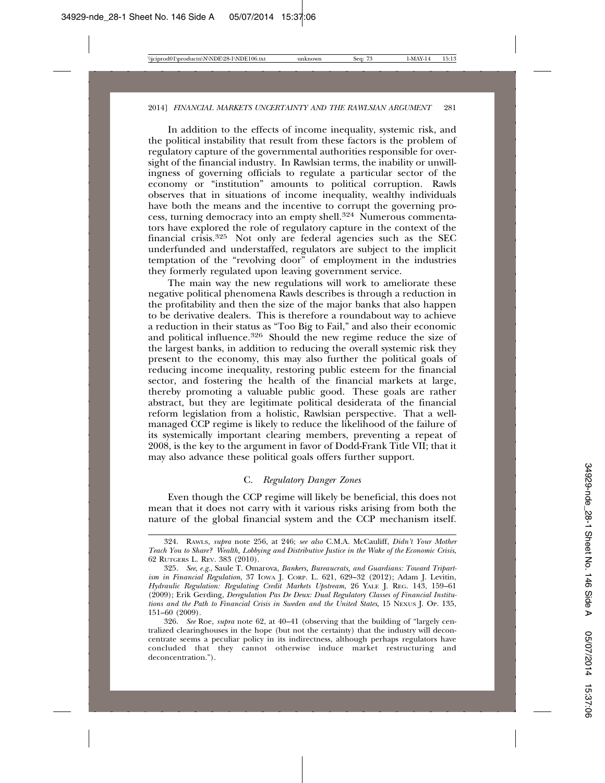In addition to the effects of income inequality, systemic risk, and the political instability that result from these factors is the problem of regulatory capture of the governmental authorities responsible for oversight of the financial industry. In Rawlsian terms, the inability or unwillingness of governing officials to regulate a particular sector of the economy or "institution" amounts to political corruption. Rawls observes that in situations of income inequality, wealthy individuals have both the means and the incentive to corrupt the governing process, turning democracy into an empty shell.324 Numerous commentators have explored the role of regulatory capture in the context of the financial crisis.325 Not only are federal agencies such as the SEC underfunded and understaffed, regulators are subject to the implicit temptation of the "revolving door" of employment in the industries they formerly regulated upon leaving government service.

The main way the new regulations will work to ameliorate these negative political phenomena Rawls describes is through a reduction in the profitability and then the size of the major banks that also happen to be derivative dealers. This is therefore a roundabout way to achieve a reduction in their status as "Too Big to Fail," and also their economic and political influence.<sup>326</sup> Should the new regime reduce the size of the largest banks, in addition to reducing the overall systemic risk they present to the economy, this may also further the political goals of reducing income inequality, restoring public esteem for the financial sector, and fostering the health of the financial markets at large, thereby promoting a valuable public good. These goals are rather abstract, but they are legitimate political desiderata of the financial reform legislation from a holistic, Rawlsian perspective. That a wellmanaged CCP regime is likely to reduce the likelihood of the failure of its systemically important clearing members, preventing a repeat of 2008, is the key to the argument in favor of Dodd-Frank Title VII; that it may also advance these political goals offers further support.

# C. *Regulatory Danger Zones*

Even though the CCP regime will likely be beneficial, this does not mean that it does not carry with it various risks arising from both the nature of the global financial system and the CCP mechanism itself.

<sup>324.</sup> RAWLS, *supra* note 256, at 246; *see also* C.M.A. McCauliff, *Didn't Your Mother Teach You to Share? Wealth, Lobbying and Distributive Justice in the Wake of the Economic Crisis*, 62 RUTGERS L. REV. 383 (2010).

<sup>325.</sup> *See*, *e.g.*, Saule T. Omarova, *Bankers, Bureaucrats, and Guardians: Toward Tripartism in Financial Regulation*, 37 IOWA J. CORP. L. 621, 629–32 (2012); Adam J. Levitin, *Hydraulic Regulation: Regulating Credit Markets Upstream*, 26 YALE J. REG. 143, 159–61 (2009); Erik Gerding, *Deregulation Pas De Deux: Dual Regulatory Classes of Financial Institutions and the Path to Financial Crisis in Sweden and the United States*, 15 NEXUS J. OP. 135, 151–60 (2009).

<sup>326.</sup> *See* Roe, *supra* note 62, at 40–41 (observing that the building of "largely centralized clearinghouses in the hope (but not the certainty) that the industry will deconcentrate seems a peculiar policy in its indirectness, although perhaps regulators have concluded that they cannot otherwise induce market restructuring and deconcentration.").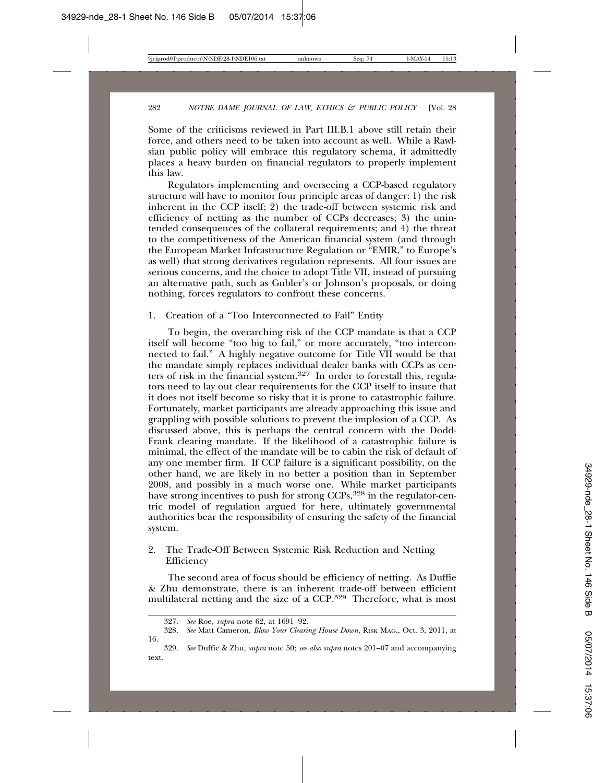Some of the criticisms reviewed in Part III.B.1 above still retain their force, and others need to be taken into account as well. While a Rawlsian public policy will embrace this regulatory schema, it admittedly places a heavy burden on financial regulators to properly implement this law.

Regulators implementing and overseeing a CCP-based regulatory structure will have to monitor four principle areas of danger: 1) the risk inherent in the CCP itself; 2) the trade-off between systemic risk and efficiency of netting as the number of CCPs decreases; 3) the unintended consequences of the collateral requirements; and 4) the threat to the competitiveness of the American financial system (and through the European Market Infrastructure Regulation or "EMIR," to Europe's as well) that strong derivatives regulation represents. All four issues are serious concerns, and the choice to adopt Title VII, instead of pursuing an alternative path, such as Gubler's or Johnson's proposals, or doing nothing, forces regulators to confront these concerns.

## 1. Creation of a "Too Interconnected to Fail" Entity

To begin, the overarching risk of the CCP mandate is that a CCP itself will become "too big to fail," or more accurately, "too interconnected to fail." A highly negative outcome for Title VII would be that the mandate simply replaces individual dealer banks with CCPs as centers of risk in the financial system.327 In order to forestall this, regulators need to lay out clear requirements for the CCP itself to insure that it does not itself become so risky that it is prone to catastrophic failure. Fortunately, market participants are already approaching this issue and grappling with possible solutions to prevent the implosion of a CCP. As discussed above, this is perhaps the central concern with the Dodd-Frank clearing mandate. If the likelihood of a catastrophic failure is minimal, the effect of the mandate will be to cabin the risk of default of any one member firm. If CCP failure is a significant possibility, on the other hand, we are likely in no better a position than in September 2008, and possibly in a much worse one. While market participants have strong incentives to push for strong CCPs,<sup>328</sup> in the regulator-centric model of regulation argued for here, ultimately governmental authorities bear the responsibility of ensuring the safety of the financial system.

2. The Trade-Off Between Systemic Risk Reduction and Netting Efficiency

The second area of focus should be efficiency of netting. As Duffie & Zhu demonstrate, there is an inherent trade-off between efficient multilateral netting and the size of a CCP.329 Therefore, what is most

<sup>327.</sup> *See* Roe, *supra* note 62, at 1691–92.

<sup>328.</sup> *See* Matt Cameron, *Blow Your Clearing House Down*, RISK MAG., Oct. 3, 2011, at 16.

<sup>329.</sup> *See* Duffie & Zhu, *supra* note 50; *see also supra* notes 201–07 and accompanying text.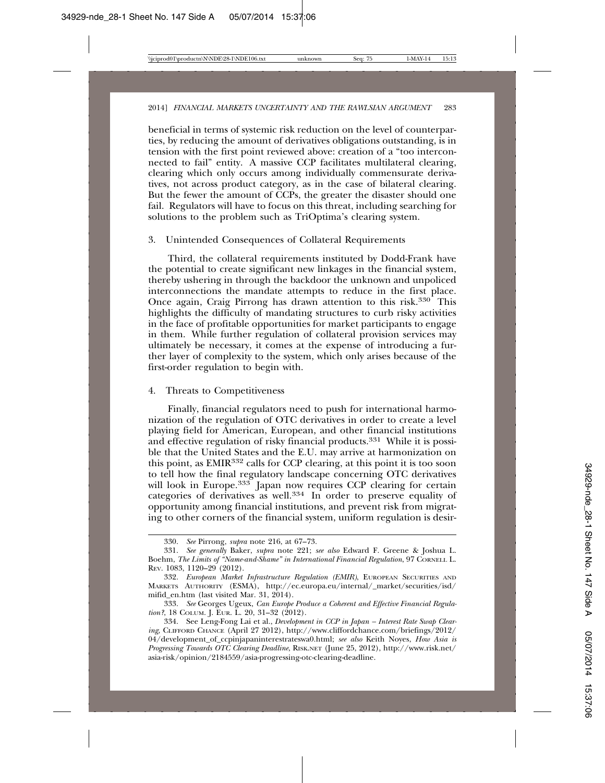beneficial in terms of systemic risk reduction on the level of counterparties, by reducing the amount of derivatives obligations outstanding, is in tension with the first point reviewed above: creation of a "too interconnected to fail" entity. A massive CCP facilitates multilateral clearing, clearing which only occurs among individually commensurate derivatives, not across product category, as in the case of bilateral clearing. But the fewer the amount of CCPs, the greater the disaster should one fail. Regulators will have to focus on this threat, including searching for solutions to the problem such as TriOptima's clearing system.

## 3. Unintended Consequences of Collateral Requirements

Third, the collateral requirements instituted by Dodd-Frank have the potential to create significant new linkages in the financial system, thereby ushering in through the backdoor the unknown and unpoliced interconnections the mandate attempts to reduce in the first place. Once again, Craig Pirrong has drawn attention to this risk.330 This highlights the difficulty of mandating structures to curb risky activities in the face of profitable opportunities for market participants to engage in them. While further regulation of collateral provision services may ultimately be necessary, it comes at the expense of introducing a further layer of complexity to the system, which only arises because of the first-order regulation to begin with.

#### 4. Threats to Competitiveness

Finally, financial regulators need to push for international harmonization of the regulation of OTC derivatives in order to create a level playing field for American, European, and other financial institutions and effective regulation of risky financial products.<sup>331</sup> While it is possible that the United States and the E.U. may arrive at harmonization on this point, as EMIR332 calls for CCP clearing, at this point it is too soon to tell how the final regulatory landscape concerning OTC derivatives will look in Europe.<sup>333</sup> Japan now requires CCP clearing for certain categories of derivatives as well.334 In order to preserve equality of opportunity among financial institutions, and prevent risk from migrating to other corners of the financial system, uniform regulation is desir-

<sup>330.</sup> *See* Pirrong, *supra* note 216, at 67–73.

<sup>331.</sup> *See generally* Baker, *supra* note 221; *see also* Edward F. Greene & Joshua L. Boehm, *The Limits of "Name-and-Shame" in International Financial Regulation*, 97 CORNELL L. REV. 1083, 1120–29 (2012).

<sup>332.</sup> *European Market Infrastructure Regulation (EMIR)*, EUROPEAN SECURITIES AND MARKETS AUTHORITY (ESMA), http://ec.europa.eu/internal/\_market/securities/isd/ mifid\_en.htm (last visited Mar. 31, 2014).

<sup>333.</sup> *See* Georges Ugeux, *Can Europe Produce a Coherent and Effective Financial Regulation?*, 18 COLUM. J. EUR. L. 20, 31–32 (2012).

<sup>334.</sup> See Leng-Fong Lai et al., *Development in CCP in Japan – Interest Rate Swap Clearing*, CLIFFORD CHANCE (April 27 2012), http://www.cliffordchance.com/briefings/2012/ 04/development\_of\_ccpinjapaninterestrateswa0.html; *see also* Keith Noyes, *How Asia is Progressing Towards OTC Clearing Deadline*, RISK.NET (June 25, 2012), http://www.risk.net/ asia-risk/opinion/2184559/asia-progressing-otc-clearing-deadline.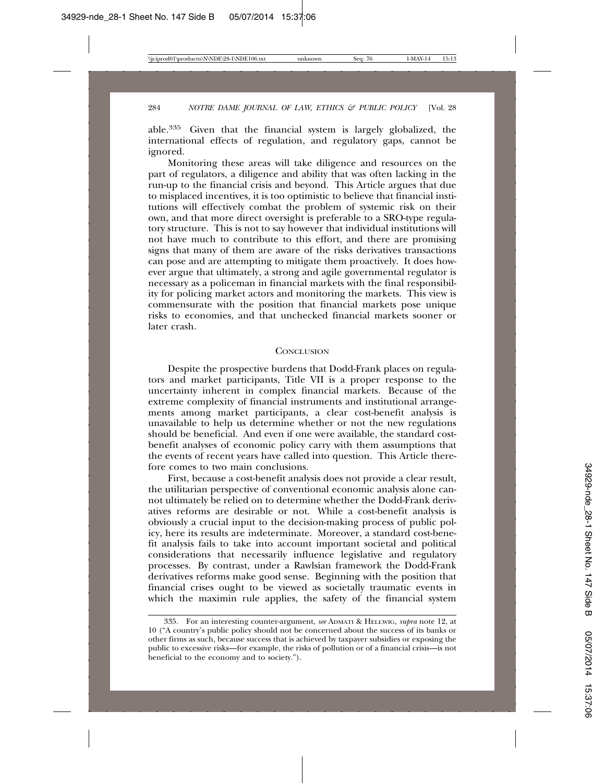able.335 Given that the financial system is largely globalized, the international effects of regulation, and regulatory gaps, cannot be ignored.

Monitoring these areas will take diligence and resources on the part of regulators, a diligence and ability that was often lacking in the run-up to the financial crisis and beyond. This Article argues that due to misplaced incentives, it is too optimistic to believe that financial institutions will effectively combat the problem of systemic risk on their own, and that more direct oversight is preferable to a SRO-type regulatory structure. This is not to say however that individual institutions will not have much to contribute to this effort, and there are promising signs that many of them are aware of the risks derivatives transactions can pose and are attempting to mitigate them proactively. It does however argue that ultimately, a strong and agile governmental regulator is necessary as a policeman in financial markets with the final responsibility for policing market actors and monitoring the markets. This view is commensurate with the position that financial markets pose unique risks to economies, and that unchecked financial markets sooner or later crash.

#### **CONCLUSION**

Despite the prospective burdens that Dodd-Frank places on regulators and market participants, Title VII is a proper response to the uncertainty inherent in complex financial markets. Because of the extreme complexity of financial instruments and institutional arrangements among market participants, a clear cost-benefit analysis is unavailable to help us determine whether or not the new regulations should be beneficial. And even if one were available, the standard costbenefit analyses of economic policy carry with them assumptions that the events of recent years have called into question. This Article therefore comes to two main conclusions.

First, because a cost-benefit analysis does not provide a clear result, the utilitarian perspective of conventional economic analysis alone cannot ultimately be relied on to determine whether the Dodd-Frank derivatives reforms are desirable or not. While a cost-benefit analysis is obviously a crucial input to the decision-making process of public policy, here its results are indeterminate. Moreover, a standard cost-benefit analysis fails to take into account important societal and political considerations that necessarily influence legislative and regulatory processes. By contrast, under a Rawlsian framework the Dodd-Frank derivatives reforms make good sense. Beginning with the position that financial crises ought to be viewed as societally traumatic events in which the maximin rule applies, the safety of the financial system

<sup>335.</sup> For an interesting counter-argument, *see* ADMATI & HELLWIG*, supra* note 12, at 10 ("A country's public policy should not be concerned about the success of its banks or other firms as such, because success that is achieved by taxpayer subsidies or exposing the public to excessive risks—for example, the risks of pollution or of a financial crisis—is not beneficial to the economy and to society.").